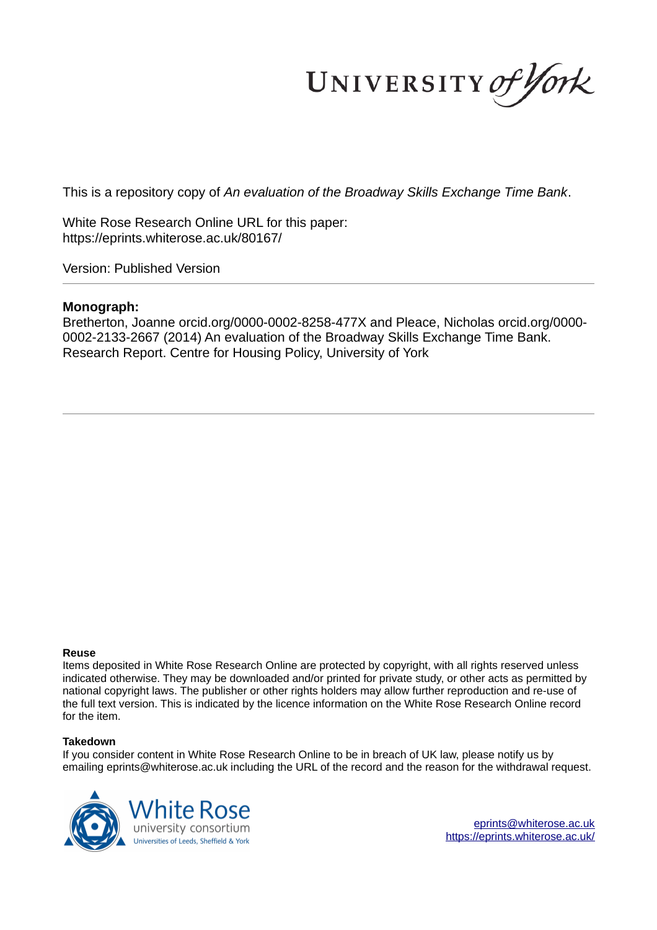UNIVERSITY of York

This is a repository copy of *An evaluation of the Broadway Skills Exchange Time Bank*.

White Rose Research Online URL for this paper: https://eprints.whiterose.ac.uk/80167/

Version: Published Version

#### **Monograph:**

Bretherton, Joanne orcid.org/0000-0002-8258-477X and Pleace, Nicholas orcid.org/0000- 0002-2133-2667 (2014) An evaluation of the Broadway Skills Exchange Time Bank. Research Report. Centre for Housing Policy, University of York

#### **Reuse**

Items deposited in White Rose Research Online are protected by copyright, with all rights reserved unless indicated otherwise. They may be downloaded and/or printed for private study, or other acts as permitted by national copyright laws. The publisher or other rights holders may allow further reproduction and re-use of the full text version. This is indicated by the licence information on the White Rose Research Online record for the item.

#### **Takedown**

If you consider content in White Rose Research Online to be in breach of UK law, please notify us by emailing eprints@whiterose.ac.uk including the URL of the record and the reason for the withdrawal request.



eprints@whiterose.ac.uk https://eprints.whiterose.ac.uk/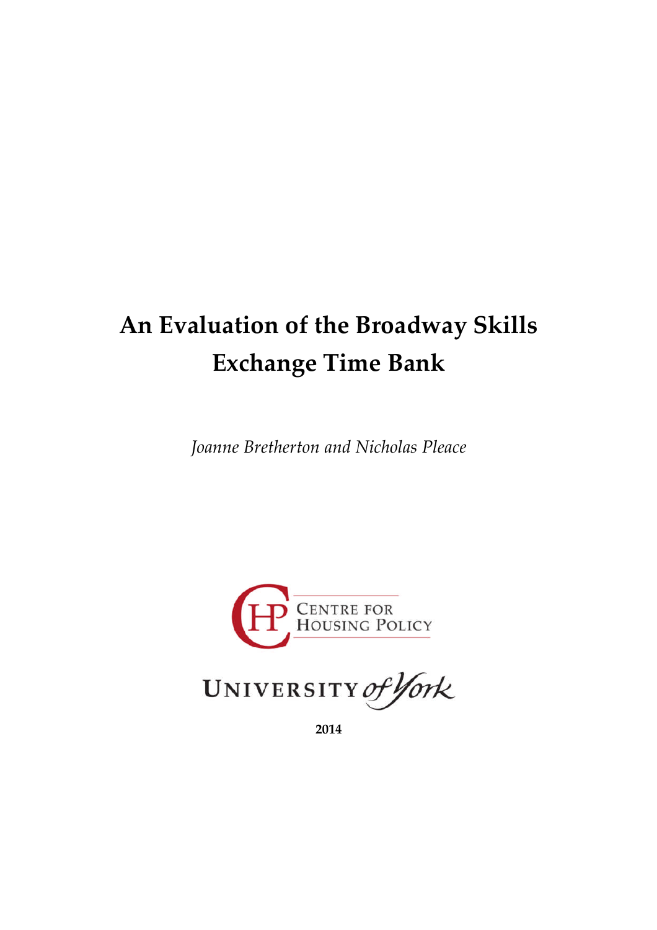# **An Evaluation of the Broadway Skills Exchange Time Bank**

*Joanne Bretherton and Nicholas Pleace*





**2014**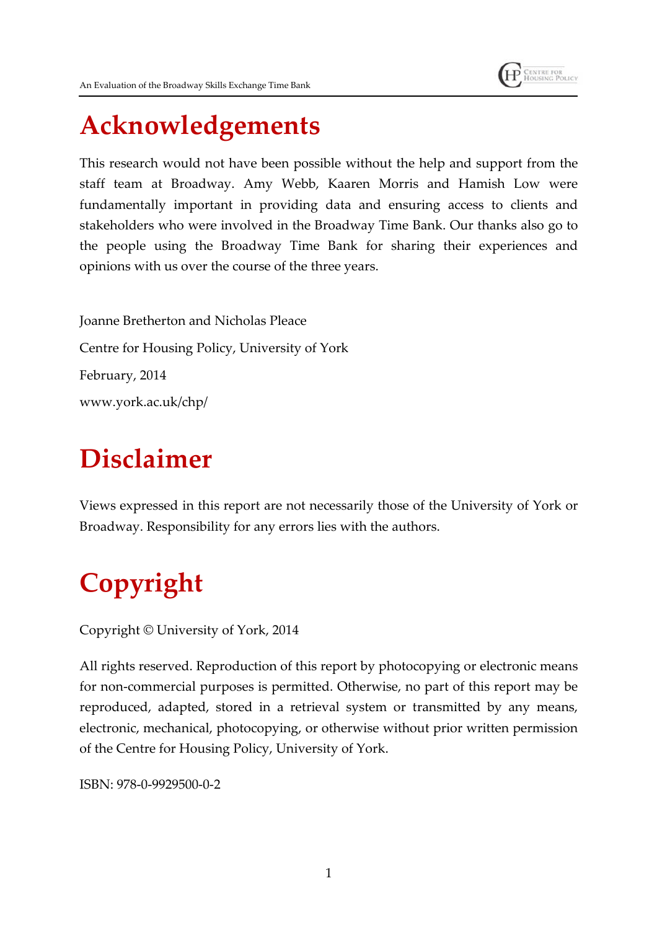

An Evaluation of the Broadway Skills Exchange Time Bank

## **Acknowledgements**

This research would not have been possible without the help and support from the staff team at Broadway. Amy Webb, Kaaren Morris and Hamish Low were fundamentally important in providing data and ensuring access to clients and stakeholders who were involved in the Broadway Time Bank. Our thanks also go to the people using the Broadway Time Bank for sharing their experiences and opinions with us over the course of the three years.

Joanne Bretherton and Nicholas Pleace Centre for Housing Policy, University of York February, 2014 www.york.ac.uk/chp/

# **Disclaimer**

Views expressed in this report are not necessarily those of the University of York or Broadway. Responsibility for any errors lies with the authors.

# **Copyright**

Copyright © University of York, 2014

All rights reserved. Reproduction of this report by photocopying or electronic means for non-commercial purposes is permitted. Otherwise, no part of this report may be reproduced, adapted, stored in a retrieval system or transmitted by any means, electronic, mechanical, photocopying, or otherwise without prior written permission of the Centre for Housing Policy, University of York.

ISBN: 978-0-9929500-0-2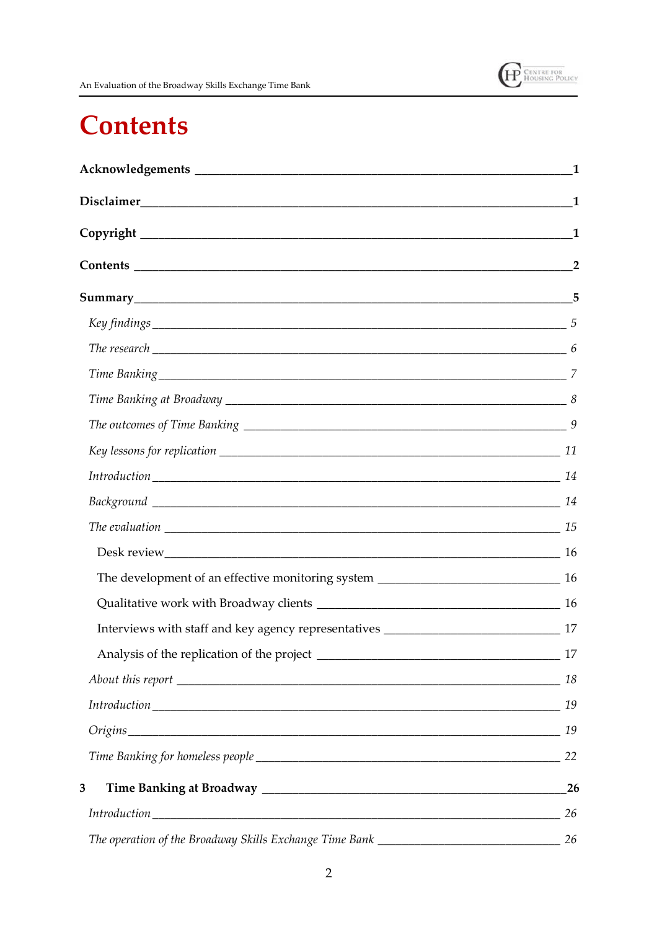

## **Contents**

| $Key findings$ 5                                                                  |                |
|-----------------------------------------------------------------------------------|----------------|
| The research $\frac{1}{100}$ 6                                                    |                |
|                                                                                   |                |
|                                                                                   |                |
|                                                                                   |                |
|                                                                                   |                |
|                                                                                   |                |
|                                                                                   |                |
|                                                                                   |                |
|                                                                                   |                |
|                                                                                   |                |
|                                                                                   |                |
|                                                                                   |                |
|                                                                                   | $\frac{17}{2}$ |
|                                                                                   |                |
|                                                                                   |                |
|                                                                                   |                |
|                                                                                   |                |
| 3                                                                                 | 26             |
|                                                                                   | 26             |
| The operation of the Broadway Skills Exchange Time Bank _________________________ | 26             |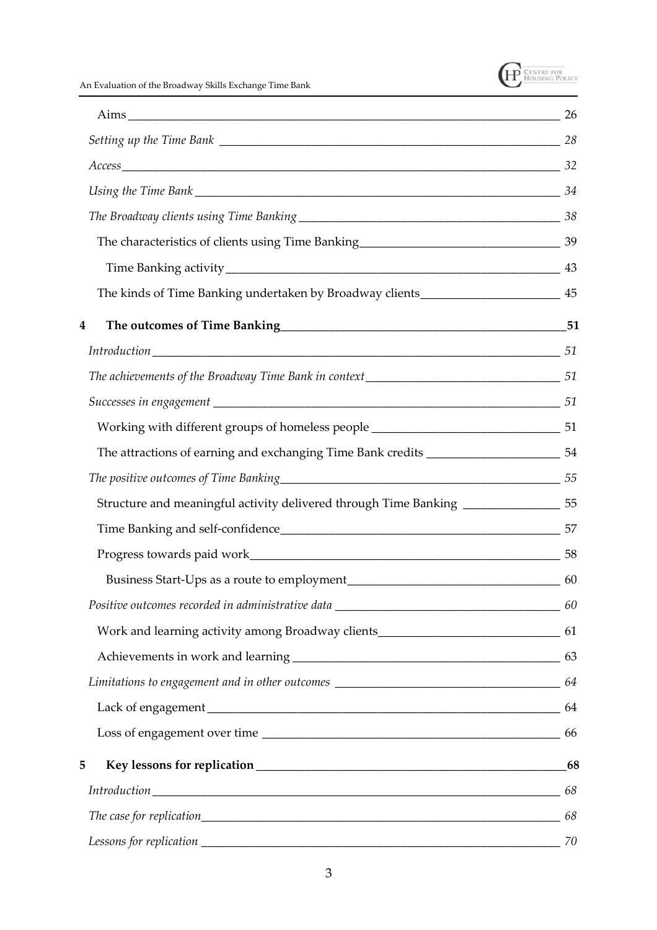

An Evaluation of the Broadway Skills Exchange Time Bank

| The kinds of Time Banking undertaken by Broadway clients_________________________ 45 |  |
|--------------------------------------------------------------------------------------|--|
| 4                                                                                    |  |
|                                                                                      |  |
|                                                                                      |  |
|                                                                                      |  |
| Working with different groups of homeless people ________________________________ 51 |  |
|                                                                                      |  |
|                                                                                      |  |
| Structure and meaningful activity delivered through Time Banking ______________55    |  |
|                                                                                      |  |
|                                                                                      |  |
|                                                                                      |  |
|                                                                                      |  |
| Work and learning activity among Broadway clients________________________________ 61 |  |
|                                                                                      |  |
|                                                                                      |  |
|                                                                                      |  |
|                                                                                      |  |
| 5                                                                                    |  |
|                                                                                      |  |
|                                                                                      |  |
|                                                                                      |  |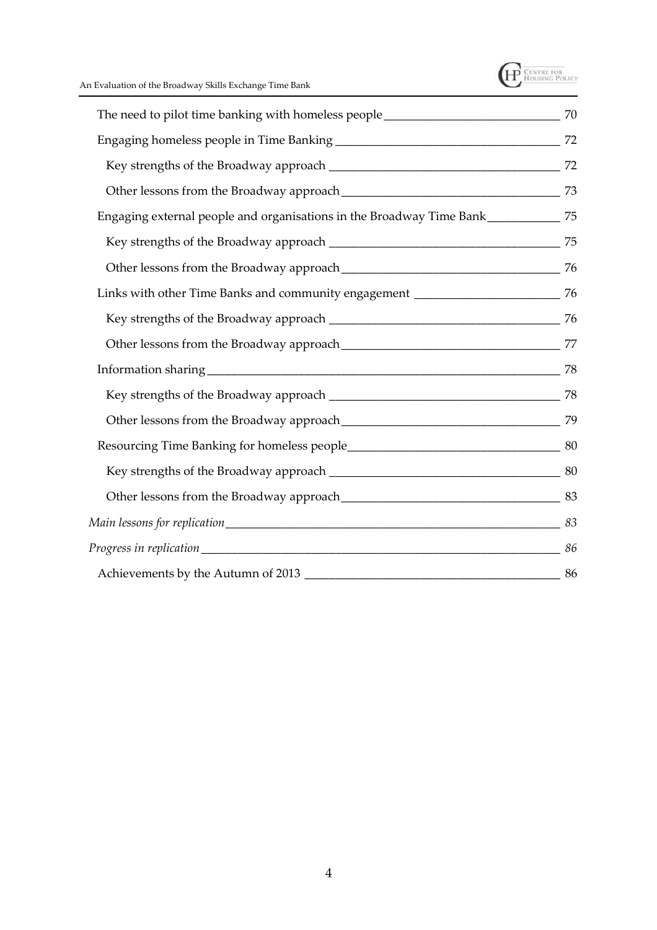

| Engaging external people and organisations in the Broadway Time Bank_____________75 |  |
|-------------------------------------------------------------------------------------|--|
|                                                                                     |  |
|                                                                                     |  |
|                                                                                     |  |
|                                                                                     |  |
|                                                                                     |  |
|                                                                                     |  |
|                                                                                     |  |
|                                                                                     |  |
|                                                                                     |  |
|                                                                                     |  |
|                                                                                     |  |
|                                                                                     |  |
|                                                                                     |  |
|                                                                                     |  |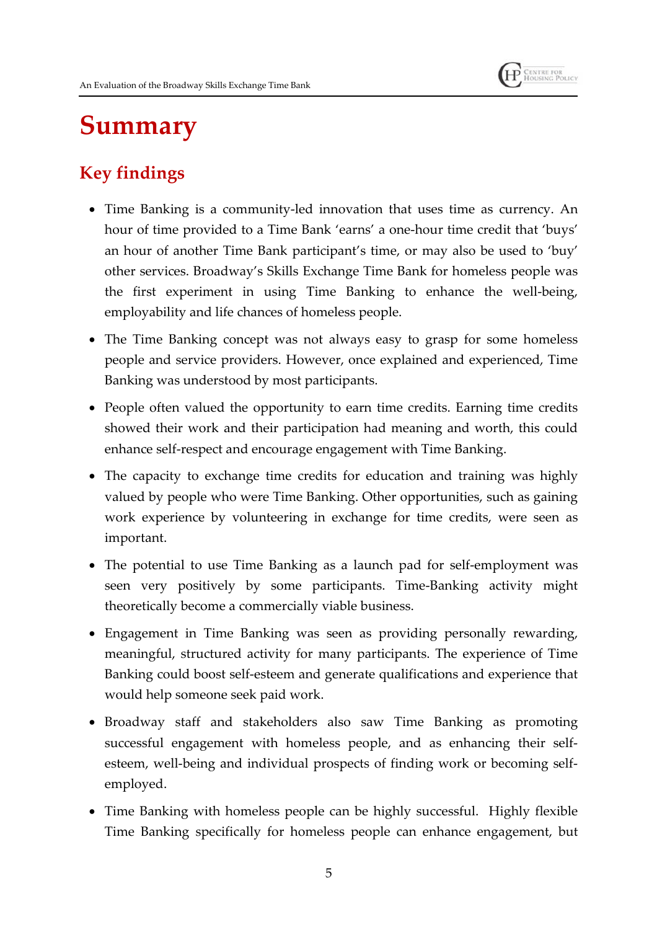

## **Summary**

## **Key findings**

- Time Banking is a community-led innovation that uses time as currency. An hour of time provided to a Time Bank 'earns' a one-hour time credit that 'buys' an hour of another Time Bank participant's time, or may also be used to 'buy' other services. Broadway's Skills Exchange Time Bank for homeless people was the first experiment in using Time Banking to enhance the well-being, employability and life chances of homeless people.
- The Time Banking concept was not always easy to grasp for some homeless people and service providers. However, once explained and experienced, Time Banking was understood by most participants.
- People often valued the opportunity to earn time credits. Earning time credits showed their work and their participation had meaning and worth, this could enhance self-respect and encourage engagement with Time Banking.
- The capacity to exchange time credits for education and training was highly valued by people who were Time Banking. Other opportunities, such as gaining work experience by volunteering in exchange for time credits, were seen as important.
- The potential to use Time Banking as a launch pad for self-employment was seen very positively by some participants. Time-Banking activity might theoretically become a commercially viable business.
- Engagement in Time Banking was seen as providing personally rewarding, meaningful, structured activity for many participants. The experience of Time Banking could boost self-esteem and generate qualifications and experience that would help someone seek paid work.
- Broadway staff and stakeholders also saw Time Banking as promoting successful engagement with homeless people, and as enhancing their selfesteem, well-being and individual prospects of finding work or becoming selfemployed.
- Time Banking with homeless people can be highly successful. Highly flexible Time Banking specifically for homeless people can enhance engagement, but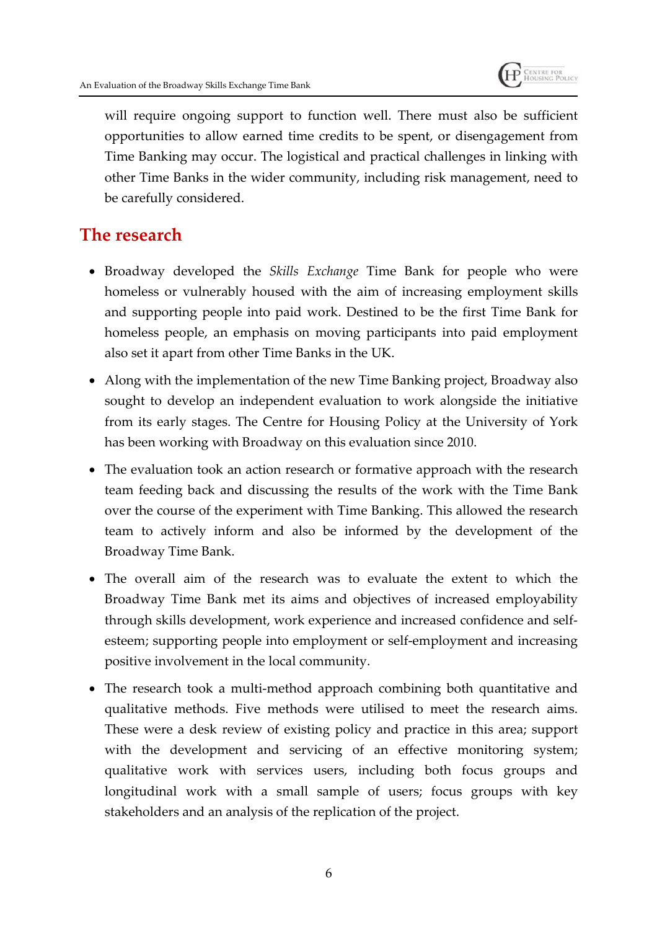

will require ongoing support to function well. There must also be sufficient opportunities to allow earned time credits to be spent, or disengagement from Time Banking may occur. The logistical and practical challenges in linking with other Time Banks in the wider community, including risk management, need to be carefully considered.

## **The research**

- Broadway developed the *Skills Exchange* Time Bank for people who were homeless or vulnerably housed with the aim of increasing employment skills and supporting people into paid work. Destined to be the first Time Bank for homeless people, an emphasis on moving participants into paid employment also set it apart from other Time Banks in the UK.
- Along with the implementation of the new Time Banking project, Broadway also sought to develop an independent evaluation to work alongside the initiative from its early stages. The Centre for Housing Policy at the University of York has been working with Broadway on this evaluation since 2010.
- The evaluation took an action research or formative approach with the research team feeding back and discussing the results of the work with the Time Bank over the course of the experiment with Time Banking. This allowed the research team to actively inform and also be informed by the development of the Broadway Time Bank.
- The overall aim of the research was to evaluate the extent to which the Broadway Time Bank met its aims and objectives of increased employability through skills development, work experience and increased confidence and selfesteem; supporting people into employment or self-employment and increasing positive involvement in the local community.
- The research took a multi-method approach combining both quantitative and qualitative methods. Five methods were utilised to meet the research aims. These were a desk review of existing policy and practice in this area; support with the development and servicing of an effective monitoring system; qualitative work with services users, including both focus groups and longitudinal work with a small sample of users; focus groups with key stakeholders and an analysis of the replication of the project.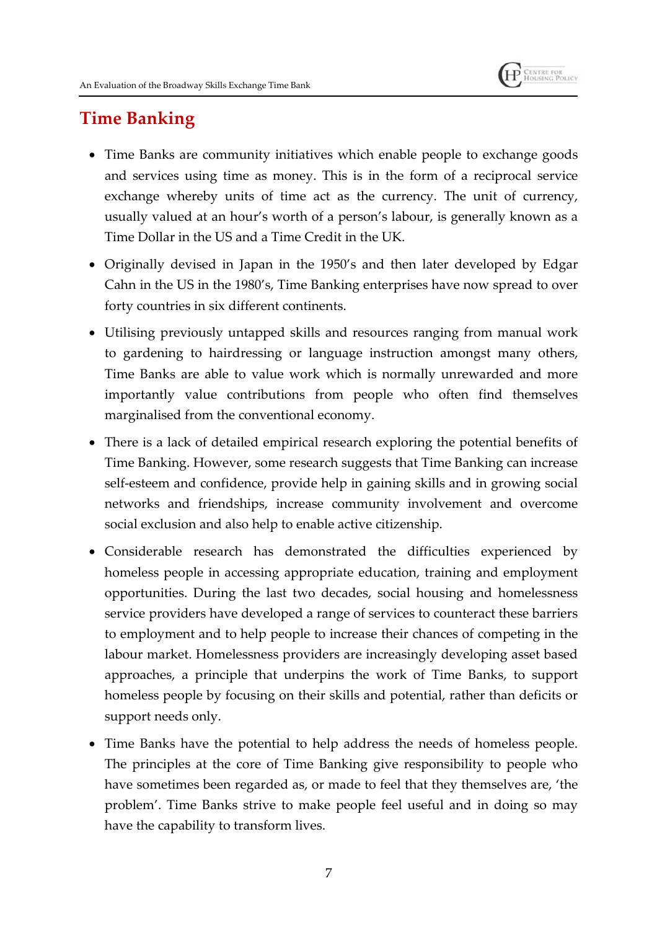

## **Time Banking**

- Time Banks are community initiatives which enable people to exchange goods and services using time as money. This is in the form of a reciprocal service exchange whereby units of time act as the currency. The unit of currency, usually valued at an hour's worth of a person's labour, is generally known as a Time Dollar in the US and a Time Credit in the UK.
- Originally devised in Japan in the 1950's and then later developed by Edgar Cahn in the US in the 1980's, Time Banking enterprises have now spread to over forty countries in six different continents.
- Utilising previously untapped skills and resources ranging from manual work to gardening to hairdressing or language instruction amongst many others, Time Banks are able to value work which is normally unrewarded and more importantly value contributions from people who often find themselves marginalised from the conventional economy.
- There is a lack of detailed empirical research exploring the potential benefits of Time Banking. However, some research suggests that Time Banking can increase self-esteem and confidence, provide help in gaining skills and in growing social networks and friendships, increase community involvement and overcome social exclusion and also help to enable active citizenship.
- Considerable research has demonstrated the difficulties experienced by homeless people in accessing appropriate education, training and employment opportunities. During the last two decades, social housing and homelessness service providers have developed a range of services to counteract these barriers to employment and to help people to increase their chances of competing in the labour market. Homelessness providers are increasingly developing asset based approaches, a principle that underpins the work of Time Banks, to support homeless people by focusing on their skills and potential, rather than deficits or support needs only.
- Time Banks have the potential to help address the needs of homeless people. The principles at the core of Time Banking give responsibility to people who have sometimes been regarded as, or made to feel that they themselves are, 'the problem'. Time Banks strive to make people feel useful and in doing so may have the capability to transform lives.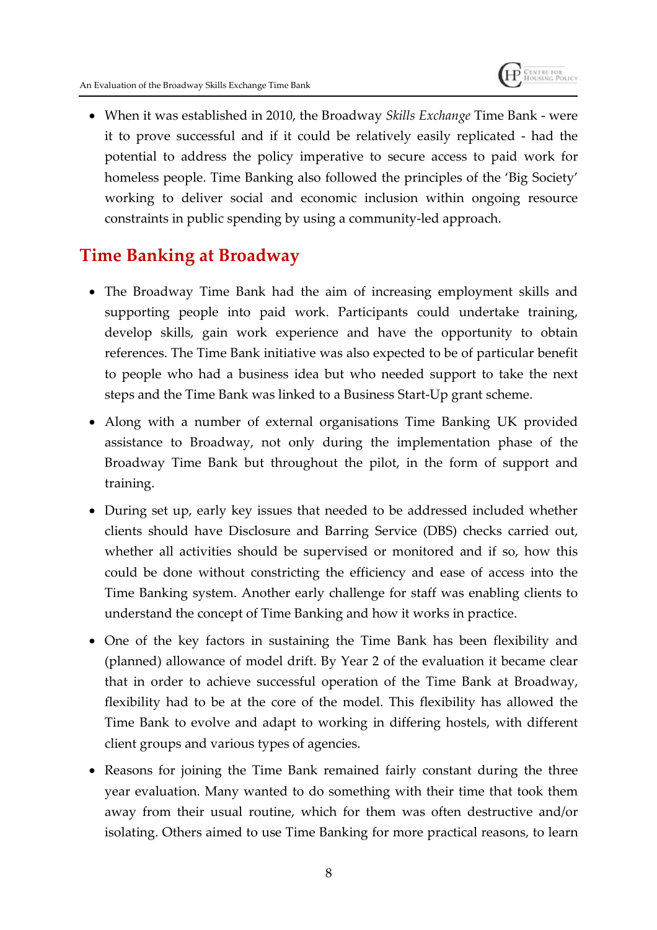When it was established in 2010, the Broadway *Skills Exchange* Time Bank - were it to prove successful and if it could be relatively easily replicated - had the potential to address the policy imperative to secure access to paid work for homeless people. Time Banking also followed the principles of the 'Big Society' working to deliver social and economic inclusion within ongoing resource constraints in public spending by using a community-led approach.

### **Time Banking at Broadway**

- The Broadway Time Bank had the aim of increasing employment skills and supporting people into paid work. Participants could undertake training, develop skills, gain work experience and have the opportunity to obtain references. The Time Bank initiative was also expected to be of particular benefit to people who had a business idea but who needed support to take the next steps and the Time Bank was linked to a Business Start-Up grant scheme.
- Along with a number of external organisations Time Banking UK provided assistance to Broadway, not only during the implementation phase of the Broadway Time Bank but throughout the pilot, in the form of support and training.
- During set up, early key issues that needed to be addressed included whether clients should have Disclosure and Barring Service (DBS) checks carried out, whether all activities should be supervised or monitored and if so, how this could be done without constricting the efficiency and ease of access into the Time Banking system. Another early challenge for staff was enabling clients to understand the concept of Time Banking and how it works in practice.
- One of the key factors in sustaining the Time Bank has been flexibility and (planned) allowance of model drift. By Year 2 of the evaluation it became clear that in order to achieve successful operation of the Time Bank at Broadway, flexibility had to be at the core of the model. This flexibility has allowed the Time Bank to evolve and adapt to working in differing hostels, with different client groups and various types of agencies.
- Reasons for joining the Time Bank remained fairly constant during the three year evaluation. Many wanted to do something with their time that took them away from their usual routine, which for them was often destructive and/or isolating. Others aimed to use Time Banking for more practical reasons, to learn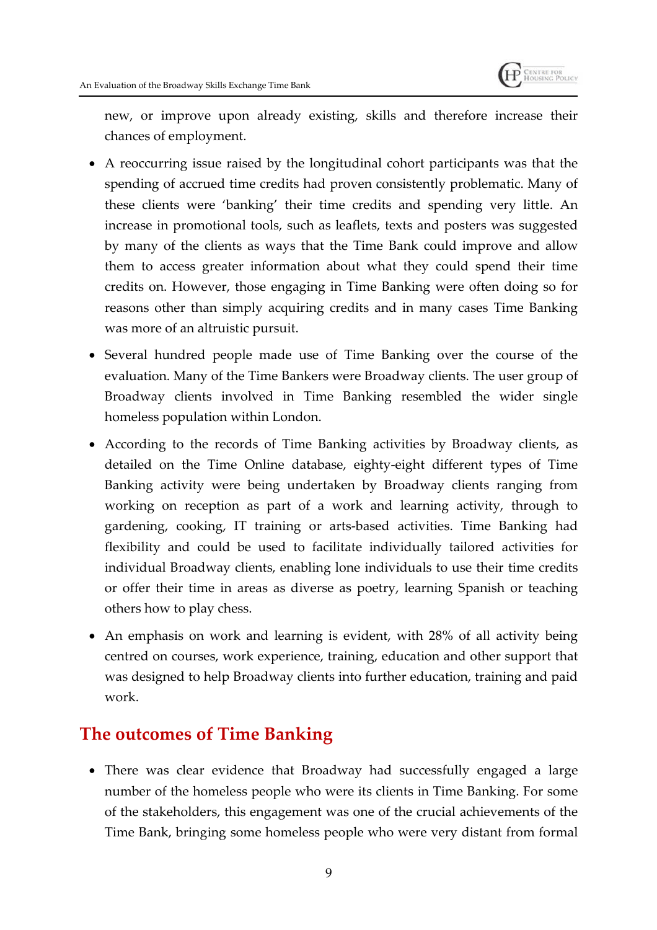

new, or improve upon already existing, skills and therefore increase their chances of employment.

- A reoccurring issue raised by the longitudinal cohort participants was that the spending of accrued time credits had proven consistently problematic. Many of these clients were 'banking' their time credits and spending very little. An increase in promotional tools, such as leaflets, texts and posters was suggested by many of the clients as ways that the Time Bank could improve and allow them to access greater information about what they could spend their time credits on. However, those engaging in Time Banking were often doing so for reasons other than simply acquiring credits and in many cases Time Banking was more of an altruistic pursuit.
- Several hundred people made use of Time Banking over the course of the evaluation. Many of the Time Bankers were Broadway clients. The user group of Broadway clients involved in Time Banking resembled the wider single homeless population within London.
- According to the records of Time Banking activities by Broadway clients, as detailed on the Time Online database, eighty-eight different types of Time Banking activity were being undertaken by Broadway clients ranging from working on reception as part of a work and learning activity, through to gardening, cooking, IT training or arts-based activities. Time Banking had flexibility and could be used to facilitate individually tailored activities for individual Broadway clients, enabling lone individuals to use their time credits or offer their time in areas as diverse as poetry, learning Spanish or teaching others how to play chess.
- An emphasis on work and learning is evident, with 28% of all activity being centred on courses, work experience, training, education and other support that was designed to help Broadway clients into further education, training and paid work.

## **The outcomes of Time Banking**

 There was clear evidence that Broadway had successfully engaged a large number of the homeless people who were its clients in Time Banking. For some of the stakeholders, this engagement was one of the crucial achievements of the Time Bank, bringing some homeless people who were very distant from formal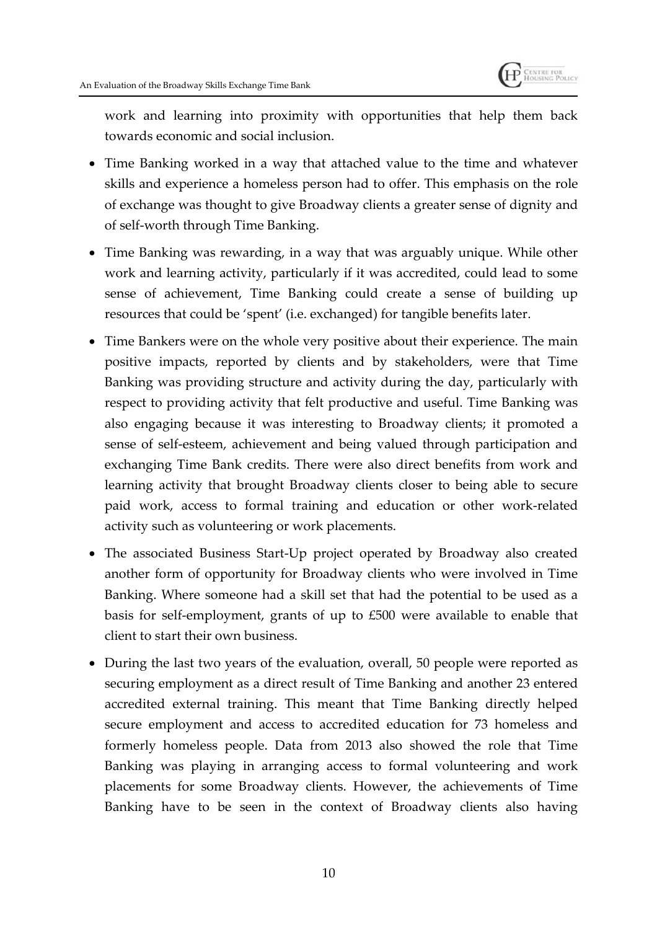

work and learning into proximity with opportunities that help them back towards economic and social inclusion.

- Time Banking worked in a way that attached value to the time and whatever skills and experience a homeless person had to offer. This emphasis on the role of exchange was thought to give Broadway clients a greater sense of dignity and of self-worth through Time Banking.
- Time Banking was rewarding, in a way that was arguably unique. While other work and learning activity, particularly if it was accredited, could lead to some sense of achievement, Time Banking could create a sense of building up resources that could be 'spent' (i.e. exchanged) for tangible benefits later.
- Time Bankers were on the whole very positive about their experience. The main positive impacts, reported by clients and by stakeholders, were that Time Banking was providing structure and activity during the day, particularly with respect to providing activity that felt productive and useful. Time Banking was also engaging because it was interesting to Broadway clients; it promoted a sense of self-esteem, achievement and being valued through participation and exchanging Time Bank credits. There were also direct benefits from work and learning activity that brought Broadway clients closer to being able to secure paid work, access to formal training and education or other work-related activity such as volunteering or work placements.
- The associated Business Start-Up project operated by Broadway also created another form of opportunity for Broadway clients who were involved in Time Banking. Where someone had a skill set that had the potential to be used as a basis for self-employment, grants of up to £500 were available to enable that client to start their own business.
- During the last two years of the evaluation, overall, 50 people were reported as securing employment as a direct result of Time Banking and another 23 entered accredited external training. This meant that Time Banking directly helped secure employment and access to accredited education for 73 homeless and formerly homeless people. Data from 2013 also showed the role that Time Banking was playing in arranging access to formal volunteering and work placements for some Broadway clients. However, the achievements of Time Banking have to be seen in the context of Broadway clients also having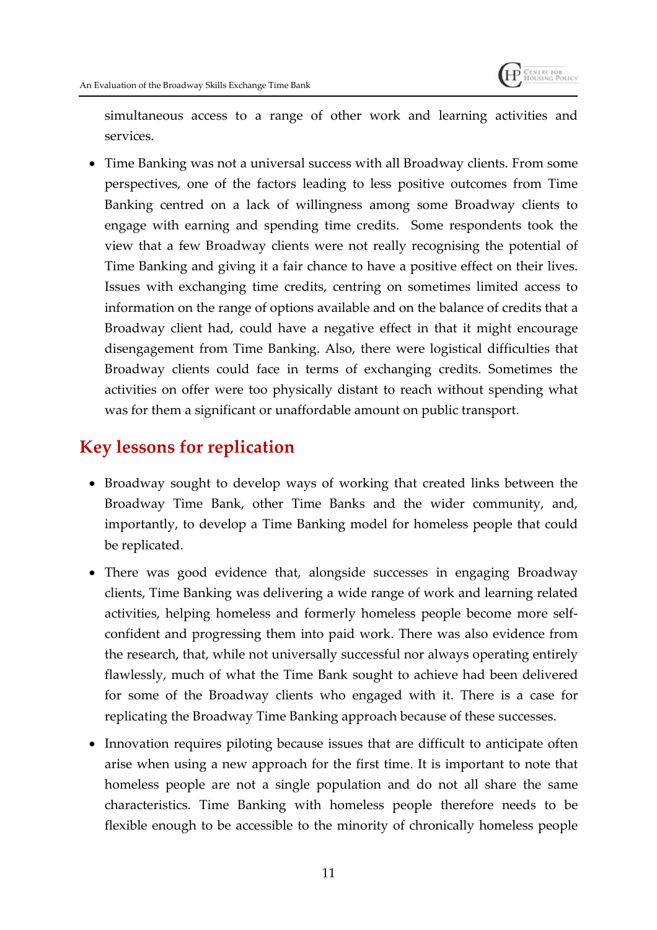

simultaneous access to a range of other work and learning activities and services.

 Time Banking was not a universal success with all Broadway clients. From some perspectives, one of the factors leading to less positive outcomes from Time Banking centred on a lack of willingness among some Broadway clients to engage with earning and spending time credits. Some respondents took the view that a few Broadway clients were not really recognising the potential of Time Banking and giving it a fair chance to have a positive effect on their lives. Issues with exchanging time credits, centring on sometimes limited access to information on the range of options available and on the balance of credits that a Broadway client had, could have a negative effect in that it might encourage disengagement from Time Banking. Also, there were logistical difficulties that Broadway clients could face in terms of exchanging credits. Sometimes the activities on offer were too physically distant to reach without spending what was for them a significant or unaffordable amount on public transport.

## **Key lessons for replication**

- Broadway sought to develop ways of working that created links between the Broadway Time Bank, other Time Banks and the wider community, and, importantly, to develop a Time Banking model for homeless people that could be replicated.
- There was good evidence that, alongside successes in engaging Broadway clients, Time Banking was delivering a wide range of work and learning related activities, helping homeless and formerly homeless people become more selfconfident and progressing them into paid work. There was also evidence from the research, that, while not universally successful nor always operating entirely flawlessly, much of what the Time Bank sought to achieve had been delivered for some of the Broadway clients who engaged with it. There is a case for replicating the Broadway Time Banking approach because of these successes.
- Innovation requires piloting because issues that are difficult to anticipate often arise when using a new approach for the first time. It is important to note that homeless people are not a single population and do not all share the same characteristics. Time Banking with homeless people therefore needs to be flexible enough to be accessible to the minority of chronically homeless people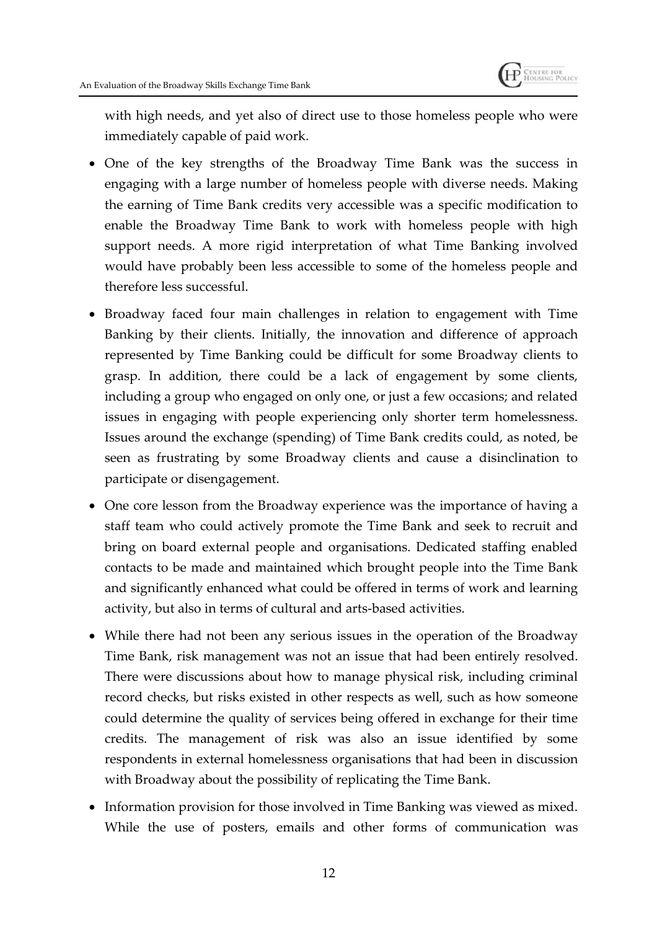

with high needs, and yet also of direct use to those homeless people who were immediately capable of paid work.

- One of the key strengths of the Broadway Time Bank was the success in engaging with a large number of homeless people with diverse needs. Making the earning of Time Bank credits very accessible was a specific modification to enable the Broadway Time Bank to work with homeless people with high support needs. A more rigid interpretation of what Time Banking involved would have probably been less accessible to some of the homeless people and therefore less successful.
- Broadway faced four main challenges in relation to engagement with Time Banking by their clients. Initially, the innovation and difference of approach represented by Time Banking could be difficult for some Broadway clients to grasp. In addition, there could be a lack of engagement by some clients, including a group who engaged on only one, or just a few occasions; and related issues in engaging with people experiencing only shorter term homelessness. Issues around the exchange (spending) of Time Bank credits could, as noted, be seen as frustrating by some Broadway clients and cause a disinclination to participate or disengagement.
- One core lesson from the Broadway experience was the importance of having a staff team who could actively promote the Time Bank and seek to recruit and bring on board external people and organisations. Dedicated staffing enabled contacts to be made and maintained which brought people into the Time Bank and significantly enhanced what could be offered in terms of work and learning activity, but also in terms of cultural and arts-based activities.
- While there had not been any serious issues in the operation of the Broadway Time Bank, risk management was not an issue that had been entirely resolved. There were discussions about how to manage physical risk, including criminal record checks, but risks existed in other respects as well, such as how someone could determine the quality of services being offered in exchange for their time credits. The management of risk was also an issue identified by some respondents in external homelessness organisations that had been in discussion with Broadway about the possibility of replicating the Time Bank.
- Information provision for those involved in Time Banking was viewed as mixed. While the use of posters, emails and other forms of communication was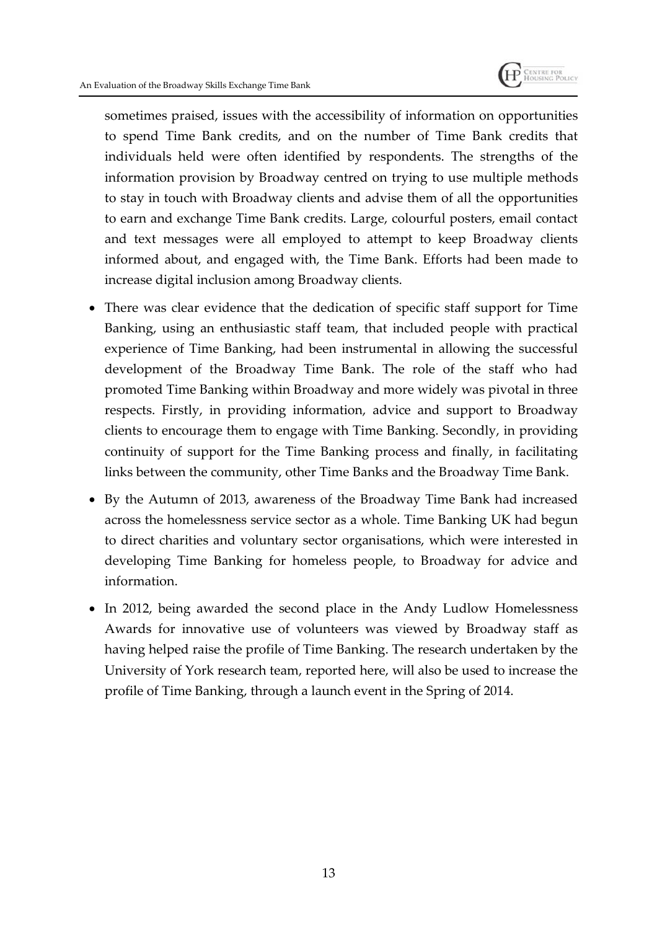

sometimes praised, issues with the accessibility of information on opportunities to spend Time Bank credits, and on the number of Time Bank credits that individuals held were often identified by respondents. The strengths of the information provision by Broadway centred on trying to use multiple methods to stay in touch with Broadway clients and advise them of all the opportunities to earn and exchange Time Bank credits. Large, colourful posters, email contact and text messages were all employed to attempt to keep Broadway clients informed about, and engaged with, the Time Bank. Efforts had been made to increase digital inclusion among Broadway clients.

- There was clear evidence that the dedication of specific staff support for Time Banking, using an enthusiastic staff team, that included people with practical experience of Time Banking, had been instrumental in allowing the successful development of the Broadway Time Bank. The role of the staff who had promoted Time Banking within Broadway and more widely was pivotal in three respects. Firstly, in providing information, advice and support to Broadway clients to encourage them to engage with Time Banking. Secondly, in providing continuity of support for the Time Banking process and finally, in facilitating links between the community, other Time Banks and the Broadway Time Bank.
- By the Autumn of 2013, awareness of the Broadway Time Bank had increased across the homelessness service sector as a whole. Time Banking UK had begun to direct charities and voluntary sector organisations, which were interested in developing Time Banking for homeless people, to Broadway for advice and information.
- In 2012, being awarded the second place in the Andy Ludlow Homelessness Awards for innovative use of volunteers was viewed by Broadway staff as having helped raise the profile of Time Banking. The research undertaken by the University of York research team, reported here, will also be used to increase the profile of Time Banking, through a launch event in the Spring of 2014.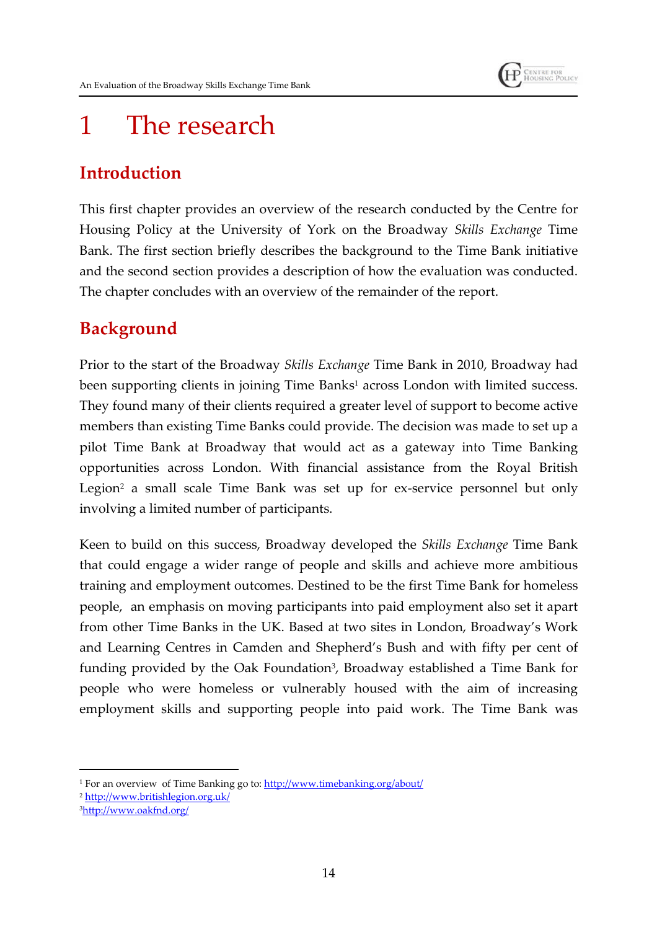

## 1 The research

## **Introduction**

This first chapter provides an overview of the research conducted by the Centre for Housing Policy at the University of York on the Broadway *Skills Exchange* Time Bank. The first section briefly describes the background to the Time Bank initiative and the second section provides a description of how the evaluation was conducted. The chapter concludes with an overview of the remainder of the report.

## **Background**

Prior to the start of the Broadway *Skills Exchange* Time Bank in 2010, Broadway had been supporting clients in joining Time Banks<sup>1</sup> across London with limited success. They found many of their clients required a greater level of support to become active members than existing Time Banks could provide. The decision was made to set up a pilot Time Bank at Broadway that would act as a gateway into Time Banking opportunities across London. With financial assistance from the Royal British Legion<sup>2</sup> a small scale Time Bank was set up for ex-service personnel but only involving a limited number of participants.

Keen to build on this success, Broadway developed the *Skills Exchange* Time Bank that could engage a wider range of people and skills and achieve more ambitious training and employment outcomes. Destined to be the first Time Bank for homeless people, an emphasis on moving participants into paid employment also set it apart from other Time Banks in the UK. Based at two sites in London, Broadway's Work and Learning Centres in Camden and Shepherd's Bush and with fifty per cent of funding provided by the Oak Foundation<sup>3</sup>, Broadway established a Time Bank for people who were homeless or vulnerably housed with the aim of increasing employment skills and supporting people into paid work. The Time Bank was

<sup>2</sup> http://www.britishlegion.org.uk/

<sup>1</sup> For an overview of Time Banking go to: http://www.timebanking.org/about/

<sup>3</sup>http://www.oakfnd.org/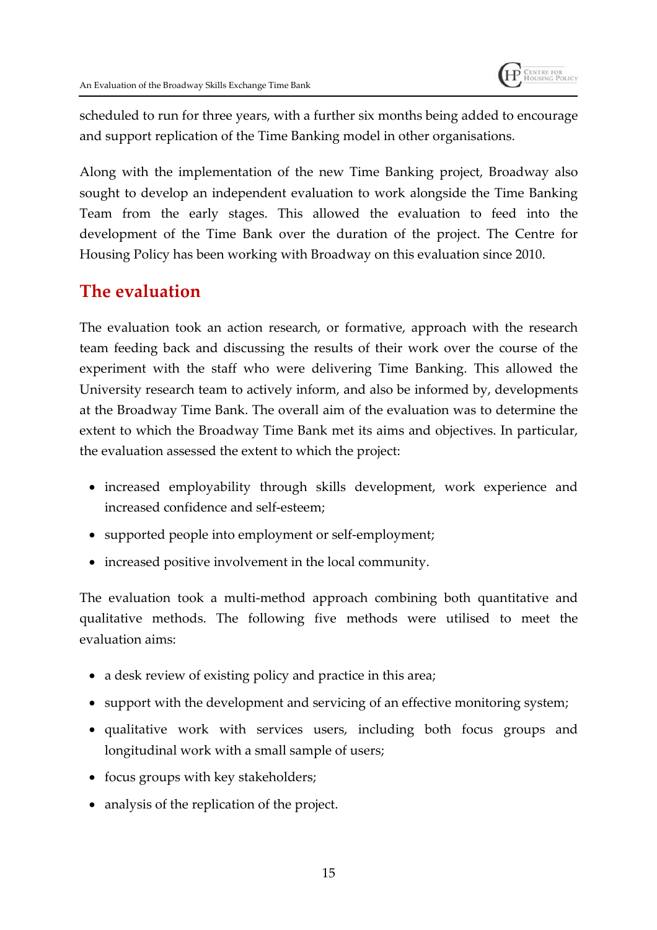

scheduled to run for three years, with a further six months being added to encourage and support replication of the Time Banking model in other organisations.

Along with the implementation of the new Time Banking project, Broadway also sought to develop an independent evaluation to work alongside the Time Banking Team from the early stages. This allowed the evaluation to feed into the development of the Time Bank over the duration of the project. The Centre for Housing Policy has been working with Broadway on this evaluation since 2010.

## **The evaluation**

The evaluation took an action research, or formative, approach with the research team feeding back and discussing the results of their work over the course of the experiment with the staff who were delivering Time Banking. This allowed the University research team to actively inform, and also be informed by, developments at the Broadway Time Bank. The overall aim of the evaluation was to determine the extent to which the Broadway Time Bank met its aims and objectives. In particular, the evaluation assessed the extent to which the project:

- increased employability through skills development, work experience and increased confidence and self-esteem;
- supported people into employment or self-employment;
- increased positive involvement in the local community.

The evaluation took a multi-method approach combining both quantitative and qualitative methods. The following five methods were utilised to meet the evaluation aims:

- a desk review of existing policy and practice in this area;
- support with the development and servicing of an effective monitoring system;
- qualitative work with services users, including both focus groups and longitudinal work with a small sample of users;
- focus groups with key stakeholders;
- analysis of the replication of the project.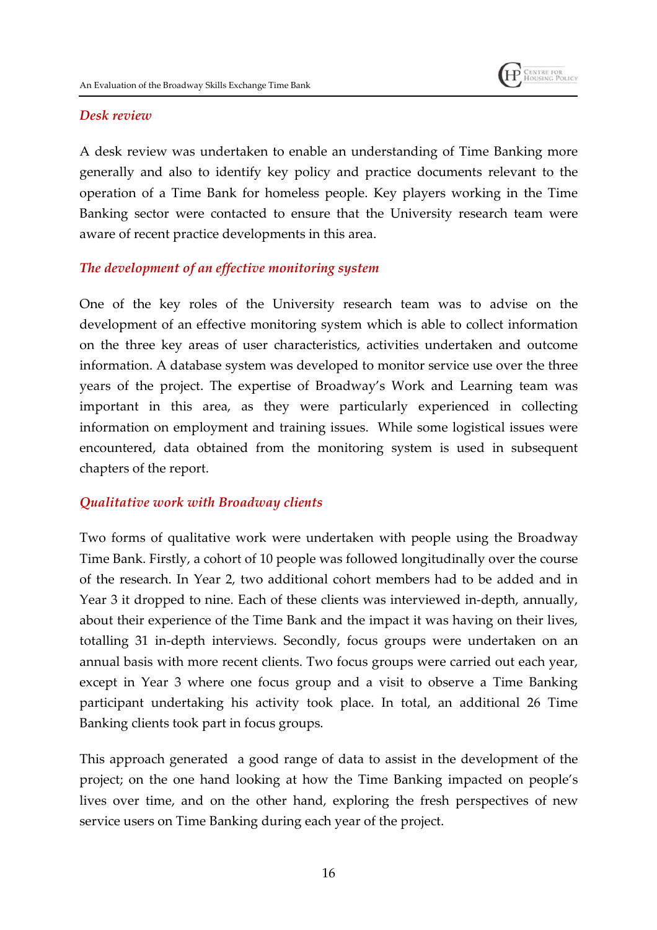

#### *Desk review*

A desk review was undertaken to enable an understanding of Time Banking more generally and also to identify key policy and practice documents relevant to the operation of a Time Bank for homeless people. Key players working in the Time Banking sector were contacted to ensure that the University research team were aware of recent practice developments in this area.

#### *The development of an effective monitoring system*

One of the key roles of the University research team was to advise on the development of an effective monitoring system which is able to collect information on the three key areas of user characteristics, activities undertaken and outcome information. A database system was developed to monitor service use over the three years of the project. The expertise of Broadway's Work and Learning team was important in this area, as they were particularly experienced in collecting information on employment and training issues. While some logistical issues were encountered, data obtained from the monitoring system is used in subsequent chapters of the report.

#### *Qualitative work with Broadway clients*

Two forms of qualitative work were undertaken with people using the Broadway Time Bank. Firstly, a cohort of 10 people was followed longitudinally over the course of the research. In Year 2, two additional cohort members had to be added and in Year 3 it dropped to nine. Each of these clients was interviewed in-depth, annually, about their experience of the Time Bank and the impact it was having on their lives, totalling 31 in-depth interviews. Secondly, focus groups were undertaken on an annual basis with more recent clients. Two focus groups were carried out each year, except in Year 3 where one focus group and a visit to observe a Time Banking participant undertaking his activity took place. In total, an additional 26 Time Banking clients took part in focus groups.

This approach generated a good range of data to assist in the development of the project; on the one hand looking at how the Time Banking impacted on people's lives over time, and on the other hand, exploring the fresh perspectives of new service users on Time Banking during each year of the project.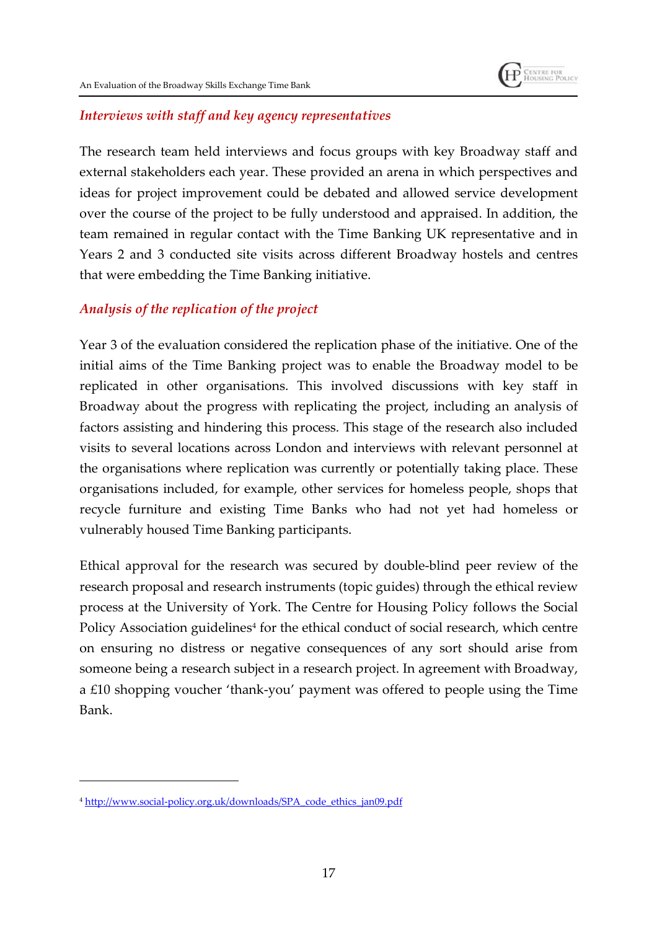#### *Interviews with staff and key agency representatives*

The research team held interviews and focus groups with key Broadway staff and external stakeholders each year. These provided an arena in which perspectives and ideas for project improvement could be debated and allowed service development over the course of the project to be fully understood and appraised. In addition, the team remained in regular contact with the Time Banking UK representative and in Years 2 and 3 conducted site visits across different Broadway hostels and centres that were embedding the Time Banking initiative.

#### *Analysis of the replication of the project*

Year 3 of the evaluation considered the replication phase of the initiative. One of the initial aims of the Time Banking project was to enable the Broadway model to be replicated in other organisations. This involved discussions with key staff in Broadway about the progress with replicating the project, including an analysis of factors assisting and hindering this process. This stage of the research also included visits to several locations across London and interviews with relevant personnel at the organisations where replication was currently or potentially taking place. These organisations included, for example, other services for homeless people, shops that recycle furniture and existing Time Banks who had not yet had homeless or vulnerably housed Time Banking participants.

Ethical approval for the research was secured by double-blind peer review of the research proposal and research instruments (topic guides) through the ethical review process at the University of York. The Centre for Housing Policy follows the Social Policy Association guidelines<sup>4</sup> for the ethical conduct of social research*,* which centre on ensuring no distress or negative consequences of any sort should arise from someone being a research subject in a research project. In agreement with Broadway, a £10 shopping voucher 'thank-you' payment was offered to people using the Time Bank.

<sup>4</sup> http://www.social-policy.org.uk/downloads/SPA\_code\_ethics\_jan09.pdf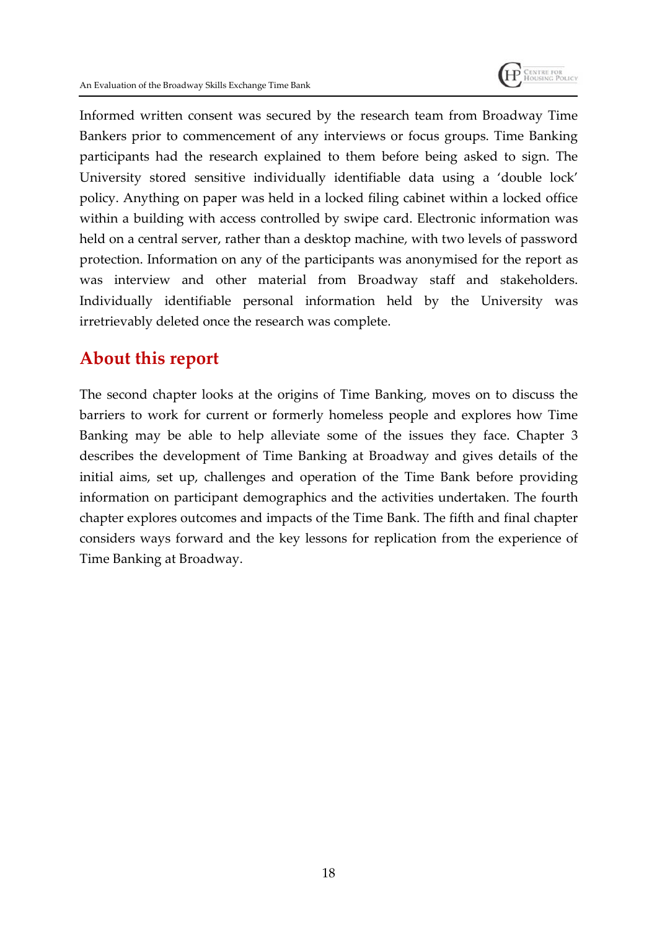

Informed written consent was secured by the research team from Broadway Time Bankers prior to commencement of any interviews or focus groups. Time Banking participants had the research explained to them before being asked to sign. The University stored sensitive individually identifiable data using a 'double lock' policy. Anything on paper was held in a locked filing cabinet within a locked office within a building with access controlled by swipe card. Electronic information was held on a central server, rather than a desktop machine, with two levels of password protection. Information on any of the participants was anonymised for the report as was interview and other material from Broadway staff and stakeholders. Individually identifiable personal information held by the University was irretrievably deleted once the research was complete.

## **About this report**

The second chapter looks at the origins of Time Banking, moves on to discuss the barriers to work for current or formerly homeless people and explores how Time Banking may be able to help alleviate some of the issues they face. Chapter 3 describes the development of Time Banking at Broadway and gives details of the initial aims, set up, challenges and operation of the Time Bank before providing information on participant demographics and the activities undertaken. The fourth chapter explores outcomes and impacts of the Time Bank. The fifth and final chapter considers ways forward and the key lessons for replication from the experience of Time Banking at Broadway.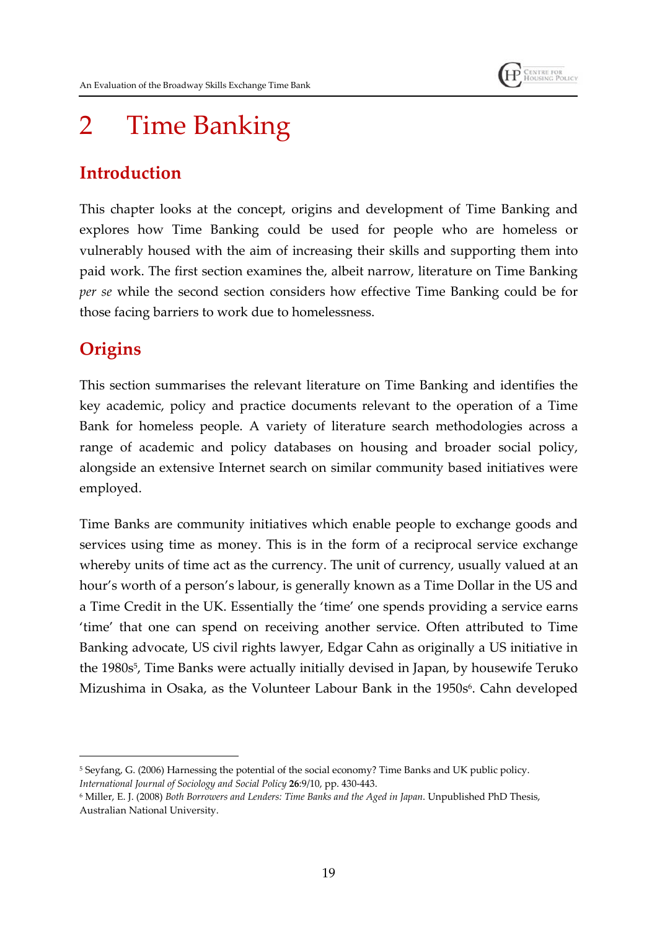

# 2 Time Banking

## **Introduction**

This chapter looks at the concept, origins and development of Time Banking and explores how Time Banking could be used for people who are homeless or vulnerably housed with the aim of increasing their skills and supporting them into paid work. The first section examines the, albeit narrow, literature on Time Banking *per se* while the second section considers how effective Time Banking could be for those facing barriers to work due to homelessness.

## **Origins**

This section summarises the relevant literature on Time Banking and identifies the key academic, policy and practice documents relevant to the operation of a Time Bank for homeless people. A variety of literature search methodologies across a range of academic and policy databases on housing and broader social policy, alongside an extensive Internet search on similar community based initiatives were employed.

Time Banks are community initiatives which enable people to exchange goods and services using time as money. This is in the form of a reciprocal service exchange whereby units of time act as the currency. The unit of currency, usually valued at an hour's worth of a person's labour, is generally known as a Time Dollar in the US and a Time Credit in the UK. Essentially the 'time' one spends providing a service earns 'time' that one can spend on receiving another service. Often attributed to Time Banking advocate, US civil rights lawyer, Edgar Cahn as originally a US initiative in the 1980s<sup>5</sup>, Time Banks were actually initially devised in Japan, by housewife Teruko Mizushima in Osaka, as the Volunteer Labour Bank in the 1950s<sup>6</sup>. Cahn developed

<sup>5</sup> Seyfang, G. (2006) Harnessing the potential of the social economy? Time Banks and UK public policy. *International Journal of Sociology and Social Policy* **26**:9/10, pp. 430-443.

<sup>6</sup> Miller, E. J. (2008) *Both Borrowers and Lenders: Time Banks and the Aged in Japan*. Unpublished PhD Thesis, Australian National University.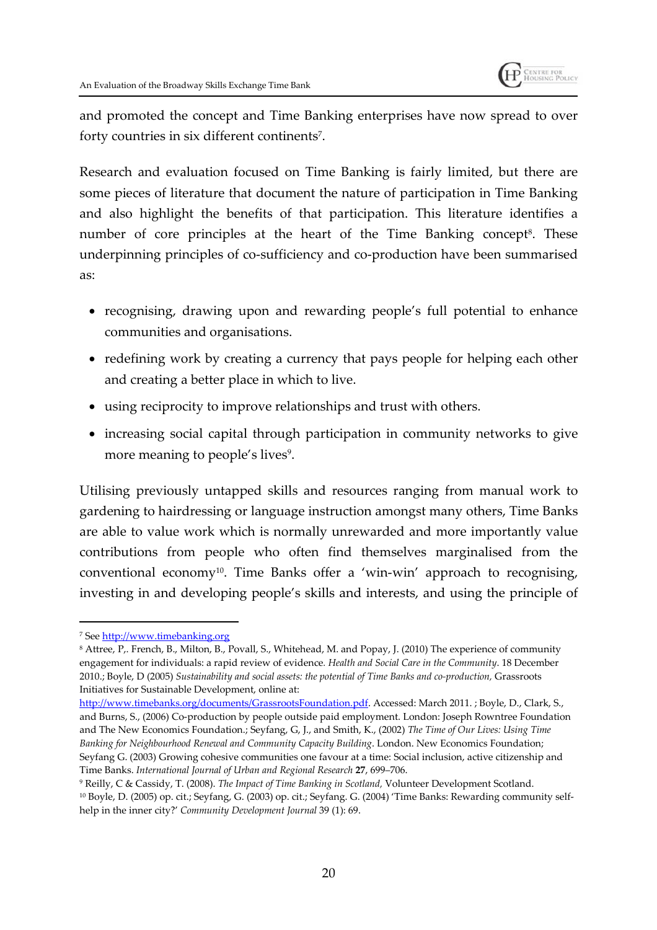

and promoted the concept and Time Banking enterprises have now spread to over forty countries in six different continents<sup>7</sup>.

Research and evaluation focused on Time Banking is fairly limited, but there are some pieces of literature that document the nature of participation in Time Banking and also highlight the benefits of that participation. This literature identifies a number of core principles at the heart of the Time Banking concept<sup>8</sup>. These underpinning principles of co-sufficiency and co-production have been summarised as:

- recognising, drawing upon and rewarding people's full potential to enhance communities and organisations.
- redefining work by creating a currency that pays people for helping each other and creating a better place in which to live.
- using reciprocity to improve relationships and trust with others.
- increasing social capital through participation in community networks to give more meaning to people's lives<sup>9</sup>.

Utilising previously untapped skills and resources ranging from manual work to gardening to hairdressing or language instruction amongst many others, Time Banks are able to value work which is normally unrewarded and more importantly value contributions from people who often find themselves marginalised from the conventional economy<sup>10</sup>. Time Banks offer a 'win-win' approach to recognising, investing in and developing people's skills and interests, and using the principle of

<sup>7</sup> See http://www.timebanking.org

<sup>8</sup> Attree, P,. French, B., Milton, B., Povall, S., Whitehead, M. and Popay, J. (2010) The experience of community engagement for individuals: a rapid review of evidence*. Health and Social Care in the Community*. 18 December 2010.; Boyle, D (2005) *Sustainability and social assets: the potential of Time Banks and co-production,* Grassroots Initiatives for Sustainable Development, online at:

http://www.timebanks.org/documents/GrassrootsFoundation.pdf. Accessed: March 2011. ; Boyle, D., Clark, S., and Burns, S., (2006) Co-production by people outside paid employment. London: Joseph Rowntree Foundation and The New Economics Foundation.; Seyfang, G, J., and Smith, K., (2002) *The Time of Our Lives: Using Time Banking for Neighbourhood Renewal and Community Capacity Building*. London. New Economics Foundation; Seyfang G. (2003) Growing cohesive communities one favour at a time: Social inclusion, active citizenship and Time Banks. *International Journal of Urban and Regional Research* **27**, 699–706.

<sup>9</sup> Reilly, C & Cassidy, T. (2008). *The Impact of Time Banking in Scotland,* Volunteer Development Scotland. <sup>10</sup> Boyle, D. (2005) op. cit.; Seyfang, G. (2003) op. cit.; Seyfang. G. (2004) 'Time Banks: Rewarding community selfhelp in the inner city?' *Community Development Journal* 39 (1): 69.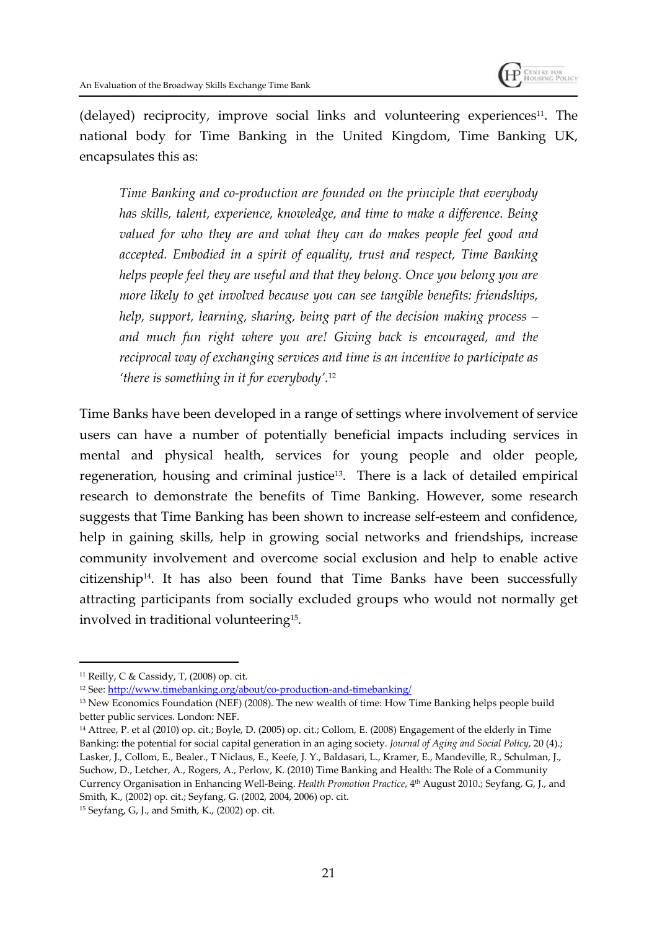

(delayed) reciprocity, improve social links and volunteering experiences<sup>11</sup>. The national body for Time Banking in the United Kingdom, Time Banking UK, encapsulates this as:

*Time Banking and co-production are founded on the principle that everybody has skills, talent, experience, knowledge, and time to make a difference. Being valued for who they are and what they can do makes people feel good and accepted. Embodied in a spirit of equality, trust and respect, Time Banking helps people feel they are useful and that they belong. Once you belong you are more likely to get involved because you can see tangible benefits: friendships, help, support, learning, sharing, being part of the decision making process – and much fun right where you are! Giving back is encouraged, and the reciprocal way of exchanging services and time is an incentive to participate as 'there is something in it for everybody'.*<sup>12</sup>

Time Banks have been developed in a range of settings where involvement of service users can have a number of potentially beneficial impacts including services in mental and physical health, services for young people and older people, regeneration, housing and criminal justice<sup>13</sup>. There is a lack of detailed empirical research to demonstrate the benefits of Time Banking. However, some research suggests that Time Banking has been shown to increase self-esteem and confidence, help in gaining skills, help in growing social networks and friendships, increase community involvement and overcome social exclusion and help to enable active citizenship14. It has also been found that Time Banks have been successfully attracting participants from socially excluded groups who would not normally get involved in traditional volunteering<sup>15</sup> .

<sup>11</sup> Reilly, C & Cassidy, T, (2008) op. cit.

<sup>12</sup> See: http://www.timebanking.org/about/co-production-and-timebanking/

<sup>&</sup>lt;sup>13</sup> New Economics Foundation (NEF) (2008). The new wealth of time: How Time Banking helps people build better public services. London: NEF.

<sup>14</sup> Attree, P. et al (2010) op. cit.; Boyle, D. (2005) op. cit.; Collom, E. (2008) Engagement of the elderly in Time Banking: the potential for social capital generation in an aging society. *Journal of Aging and Social Policy*, 20 (4).; Lasker, J., Collom, E., Bealer., T Niclaus, E., Keefe, J. Y., Baldasari, L., Kramer, E., Mandeville, R., Schulman, J., Suchow, D., Letcher, A., Rogers, A., Perlow, K. (2010) Time Banking and Health: The Role of a Community Currency Organisation in Enhancing Well-Being. *Health Promotion Practice*, 4<sup>th</sup> August 2010.; Seyfang, G, J., and Smith, K., (2002) op. cit.; Seyfang, G. (2002, 2004, 2006) op. cit.

<sup>15</sup> Seyfang, G, J., and Smith, K., (2002) op. cit.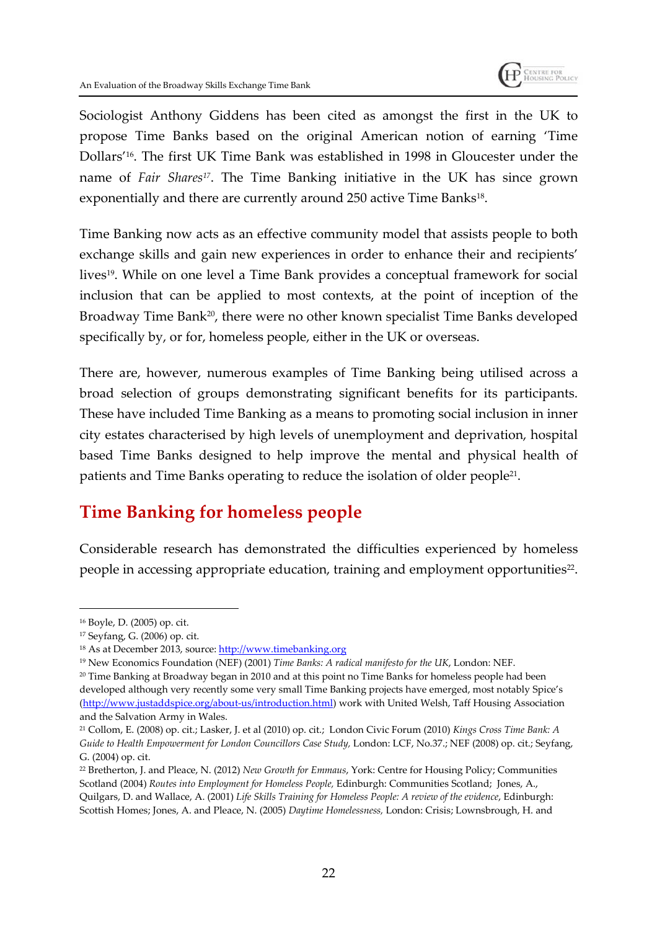

Sociologist Anthony Giddens has been cited as amongst the first in the UK to propose Time Banks based on the original American notion of earning 'Time Dollars'16. The first UK Time Bank was established in 1998 in Gloucester under the name of *Fair Shares17*. The Time Banking initiative in the UK has since grown exponentially and there are currently around 250 active Time Banks $^{\scriptscriptstyle 18}$ .

Time Banking now acts as an effective community model that assists people to both exchange skills and gain new experiences in order to enhance their and recipients' lives<sup>19</sup>. While on one level a Time Bank provides a conceptual framework for social inclusion that can be applied to most contexts, at the point of inception of the Broadway Time Bank<sup>20</sup>, there were no other known specialist Time Banks developed specifically by, or for, homeless people, either in the UK or overseas.

There are, however, numerous examples of Time Banking being utilised across a broad selection of groups demonstrating significant benefits for its participants. These have included Time Banking as a means to promoting social inclusion in inner city estates characterised by high levels of unemployment and deprivation, hospital based Time Banks designed to help improve the mental and physical health of patients and Time Banks operating to reduce the isolation of older people<sup>21</sup>.

## **Time Banking for homeless people**

Considerable research has demonstrated the difficulties experienced by homeless people in accessing appropriate education, training and employment opportunities $^{22}$ .

<sup>16</sup> Boyle, D. (2005) op. cit.

<sup>17</sup> Seyfang, G. (2006) op. cit.

<sup>18</sup> As at December 2013, source: http://www.timebanking.org

<sup>19</sup> New Economics Foundation (NEF) (2001) *Time Banks: A radical manifesto for the UK*, London: NEF.

<sup>20</sup> Time Banking at Broadway began in 2010 and at this point no Time Banks for homeless people had been developed although very recently some very small Time Banking projects have emerged, most notably Spice's (http://www.justaddspice.org/about-us/introduction.html) work with United Welsh, Taff Housing Association and the Salvation Army in Wales.

<sup>21</sup> Collom, E. (2008) op. cit.; Lasker, J. et al (2010) op. cit.; London Civic Forum (2010) *Kings Cross Time Bank: A Guide to Health Empowerment for London Councillors Case Study,* London: LCF, No.37.; NEF (2008) op. cit.; Seyfang, G. (2004) op. cit.

<sup>22</sup> Bretherton, J. and Pleace, N. (2012) *New Growth for Emmaus*, York: Centre for Housing Policy; Communities Scotland (2004) *Routes into Employment for Homeless People,* Edinburgh: Communities Scotland; Jones, A., Quilgars, D. and Wallace, A. (2001) *Life Skills Training for Homeless People: A review of the evidence*, Edinburgh: Scottish Homes; Jones, A. and Pleace, N. (2005) *Daytime Homelessness,* London: Crisis; Lownsbrough, H. and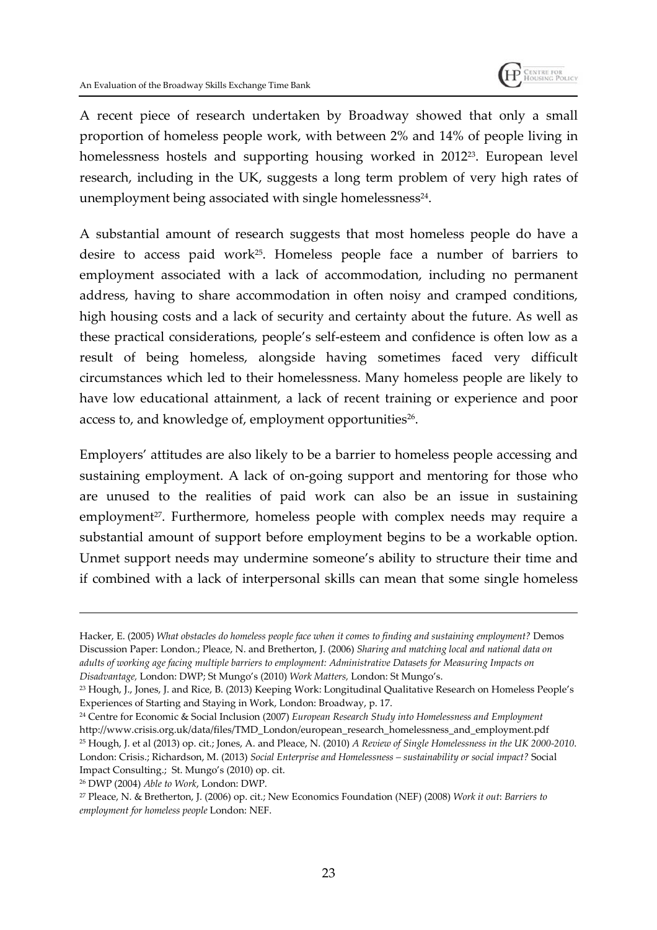A recent piece of research undertaken by Broadway showed that only a small proportion of homeless people work, with between 2% and 14% of people living in homelessness hostels and supporting housing worked in 201223. European level research, including in the UK, suggests a long term problem of very high rates of unemployment being associated with single homelessness $^{24}$ .

A substantial amount of research suggests that most homeless people do have a desire to access paid work25. Homeless people face a number of barriers to employment associated with a lack of accommodation, including no permanent address, having to share accommodation in often noisy and cramped conditions, high housing costs and a lack of security and certainty about the future. As well as these practical considerations, people's self-esteem and confidence is often low as a result of being homeless, alongside having sometimes faced very difficult circumstances which led to their homelessness. Many homeless people are likely to have low educational attainment, a lack of recent training or experience and poor access to, and knowledge of, employment opportunities $^{26}$ .

Employers' attitudes are also likely to be a barrier to homeless people accessing and sustaining employment. A lack of on-going support and mentoring for those who are unused to the realities of paid work can also be an issue in sustaining employment<sup>27</sup>. Furthermore, homeless people with complex needs may require a substantial amount of support before employment begins to be a workable option. Unmet support needs may undermine someone's ability to structure their time and if combined with a lack of interpersonal skills can mean that some single homeless

Hacker, E. (2005) *What obstacles do homeless people face when it comes to finding and sustaining employment?* Demos Discussion Paper: London.; Pleace, N. and Bretherton, J. (2006) *Sharing and matching local and national data on adults of working age facing multiple barriers to employment: Administrative Datasets for Measuring Impacts on Disadvantage,* London: DWP; St Mungo's (2010) *Work Matters,* London: St Mungo's.

<sup>23</sup> Hough, J., Jones, J. and Rice, B. (2013) Keeping Work: Longitudinal Qualitative Research on Homeless People's Experiences of Starting and Staying in Work, London: Broadway, p. 17.

<sup>24</sup> Centre for Economic & Social Inclusion (2007) *European Research Study into Homelessness and Employment* http://www.crisis.org.uk/data/files/TMD\_London/european\_research\_homelessness\_and\_employment.pdf <sup>25</sup> Hough, J. et al (2013) op. cit.; Jones, A. and Pleace, N. (2010) *A Review of Single Homelessness in the UK 2000-2010*.

London: Crisis.; Richardson, M. (2013) *Social Enterprise and Homelessness – sustainability or social impact?* Social Impact Consulting.; St. Mungo's (2010) op. cit.

<sup>26</sup> DWP (2004) *Able to Work*, London: DWP.

<sup>27</sup> Pleace, N. & Bretherton, J. (2006) op. cit.; New Economics Foundation (NEF) (2008) *Work it out*: *Barriers to employment for homeless people* London: NEF.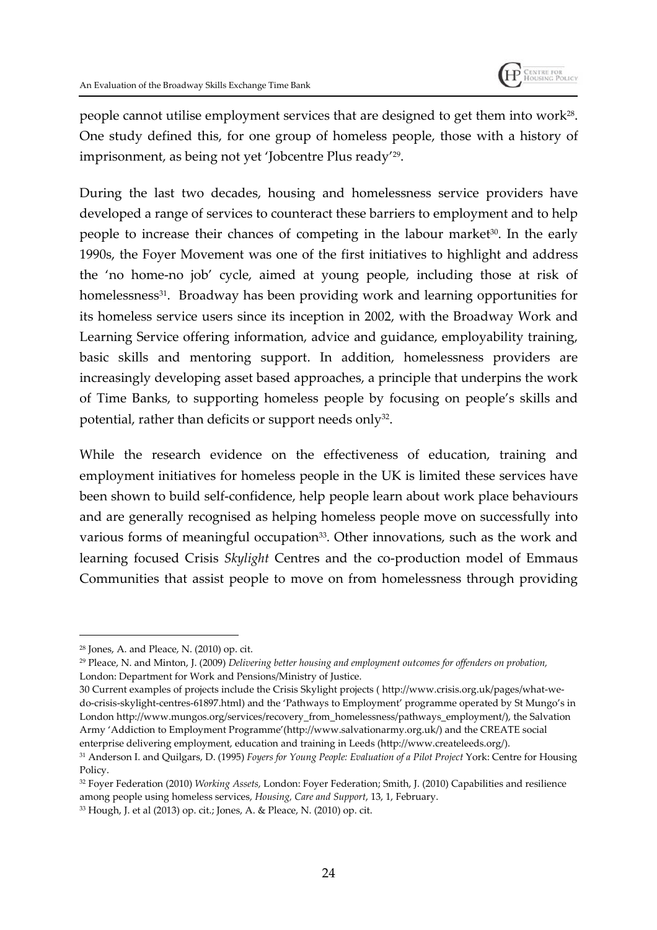

people cannot utilise employment services that are designed to get them into work $^{28}$ . One study defined this, for one group of homeless people, those with a history of imprisonment, as being not yet 'Jobcentre Plus ready'<sup>29</sup> .

During the last two decades, housing and homelessness service providers have developed a range of services to counteract these barriers to employment and to help people to increase their chances of competing in the labour market<sup>30</sup>. In the early 1990s, the Foyer Movement was one of the first initiatives to highlight and address the 'no home-no job' cycle, aimed at young people, including those at risk of homelessness<sup>31</sup>. Broadway has been providing work and learning opportunities for its homeless service users since its inception in 2002, with the Broadway Work and Learning Service offering information, advice and guidance, employability training, basic skills and mentoring support. In addition, homelessness providers are increasingly developing asset based approaches, a principle that underpins the work of Time Banks, to supporting homeless people by focusing on people's skills and potential, rather than deficits or support needs only $^{32}$ .

While the research evidence on the effectiveness of education, training and employment initiatives for homeless people in the UK is limited these services have been shown to build self-confidence, help people learn about work place behaviours and are generally recognised as helping homeless people move on successfully into various forms of meaningful occupation<sup>33</sup>. Other innovations, such as the work and learning focused Crisis *Skylight* Centres and the co-production model of Emmaus Communities that assist people to move on from homelessness through providing

30 Current examples of projects include the Crisis Skylight projects ( http://www.crisis.org.uk/pages/what-wedo-crisis-skylight-centres-61897.html) and the 'Pathways to Employment' programme operated by St Mungo's in London http://www.mungos.org/services/recovery\_from\_homelessness/pathways\_employment/), the Salvation Army 'Addiction to Employment Programme'(http://www.salvationarmy.org.uk/) and the CREATE social enterprise delivering employment, education and training in Leeds (http://www.createleeds.org/).

<sup>28</sup> Jones, A. and Pleace, N. (2010) op. cit.

<sup>29</sup> Pleace, N. and Minton, J. (2009) *Delivering better housing and employment outcomes for offenders on probation,* London: Department for Work and Pensions/Ministry of Justice.

<sup>31</sup> Anderson I. and Quilgars, D. (1995) *Foyers for Young People: Evaluation of a Pilot Project* York: Centre for Housing Policy.

<sup>32</sup> Foyer Federation (2010) *Working Assets,* London: Foyer Federation; Smith, J. (2010) Capabilities and resilience among people using homeless services, *Housing, Care and Support*, 13, 1, February.

<sup>33</sup> Hough, J. et al (2013) op. cit.; Jones, A. & Pleace, N. (2010) op. cit.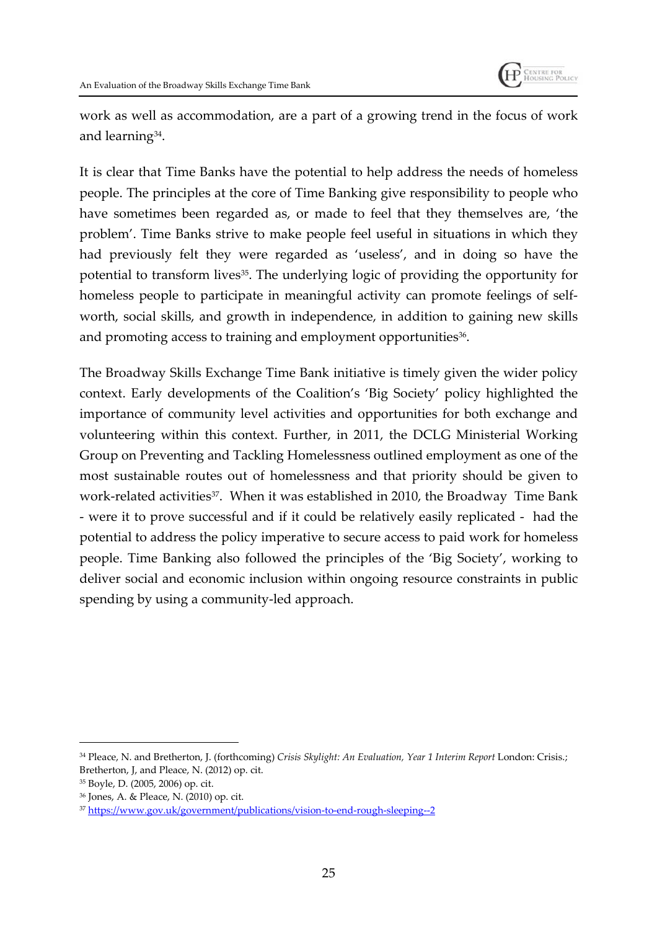

work as well as accommodation, are a part of a growing trend in the focus of work and learning<sup>34</sup> .

It is clear that Time Banks have the potential to help address the needs of homeless people. The principles at the core of Time Banking give responsibility to people who have sometimes been regarded as, or made to feel that they themselves are, 'the problem'. Time Banks strive to make people feel useful in situations in which they had previously felt they were regarded as 'useless', and in doing so have the potential to transform lives<sup>35</sup>. The underlying logic of providing the opportunity for homeless people to participate in meaningful activity can promote feelings of selfworth, social skills, and growth in independence, in addition to gaining new skills and promoting access to training and employment opportunities $^{36}$ .

The Broadway Skills Exchange Time Bank initiative is timely given the wider policy context. Early developments of the Coalition's 'Big Society' policy highlighted the importance of community level activities and opportunities for both exchange and volunteering within this context. Further, in 2011, the DCLG Ministerial Working Group on Preventing and Tackling Homelessness outlined employment as one of the most sustainable routes out of homelessness and that priority should be given to work-related activities<sup>37</sup>. When it was established in 2010, the Broadway Time Bank - were it to prove successful and if it could be relatively easily replicated - had the potential to address the policy imperative to secure access to paid work for homeless people. Time Banking also followed the principles of the 'Big Society', working to deliver social and economic inclusion within ongoing resource constraints in public spending by using a community-led approach.

<sup>34</sup> Pleace, N. and Bretherton, J. (forthcoming) *Crisis Skylight: An Evaluation, Year 1 Interim Report* London: Crisis.; Bretherton, J, and Pleace, N. (2012) op. cit.

<sup>35</sup> Boyle, D. (2005, 2006) op. cit.

<sup>36</sup> Jones, A. & Pleace, N. (2010) op. cit.

<sup>37</sup> https://www.gov.uk/government/publications/vision-to-end-rough-sleeping--2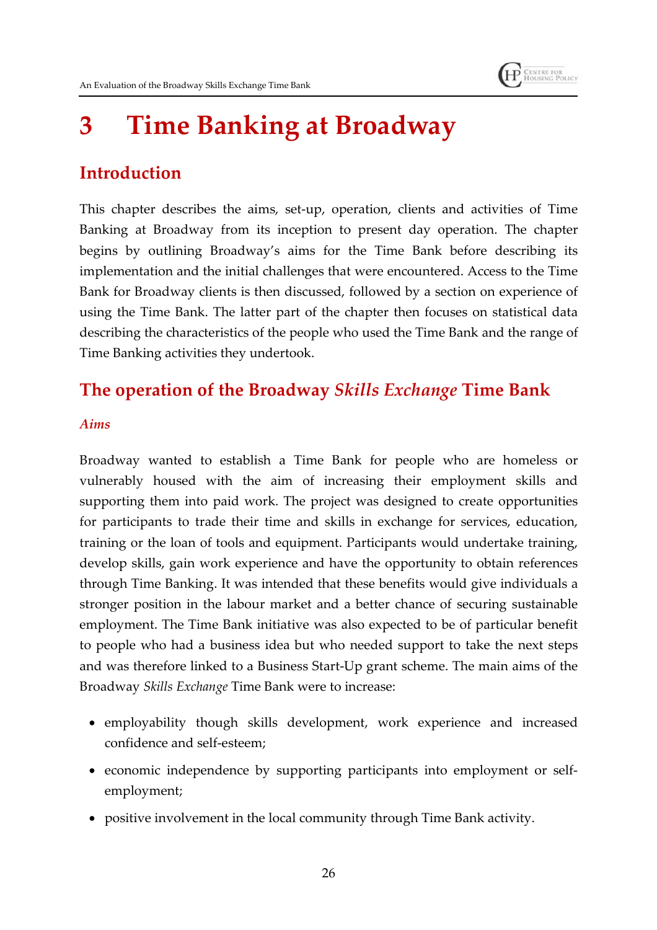# **3 Time Banking at Broadway**

## **Introduction**

This chapter describes the aims, set-up, operation, clients and activities of Time Banking at Broadway from its inception to present day operation. The chapter begins by outlining Broadway's aims for the Time Bank before describing its implementation and the initial challenges that were encountered. Access to the Time Bank for Broadway clients is then discussed, followed by a section on experience of using the Time Bank. The latter part of the chapter then focuses on statistical data describing the characteristics of the people who used the Time Bank and the range of Time Banking activities they undertook.

## **The operation of the Broadway** *Skills Exchange* **Time Bank**

#### *Aims*

Broadway wanted to establish a Time Bank for people who are homeless or vulnerably housed with the aim of increasing their employment skills and supporting them into paid work. The project was designed to create opportunities for participants to trade their time and skills in exchange for services, education, training or the loan of tools and equipment. Participants would undertake training, develop skills, gain work experience and have the opportunity to obtain references through Time Banking. It was intended that these benefits would give individuals a stronger position in the labour market and a better chance of securing sustainable employment. The Time Bank initiative was also expected to be of particular benefit to people who had a business idea but who needed support to take the next steps and was therefore linked to a Business Start-Up grant scheme. The main aims of the Broadway *Skills Exchange* Time Bank were to increase:

- employability though skills development, work experience and increased confidence and self-esteem;
- economic independence by supporting participants into employment or selfemployment;
- positive involvement in the local community through Time Bank activity.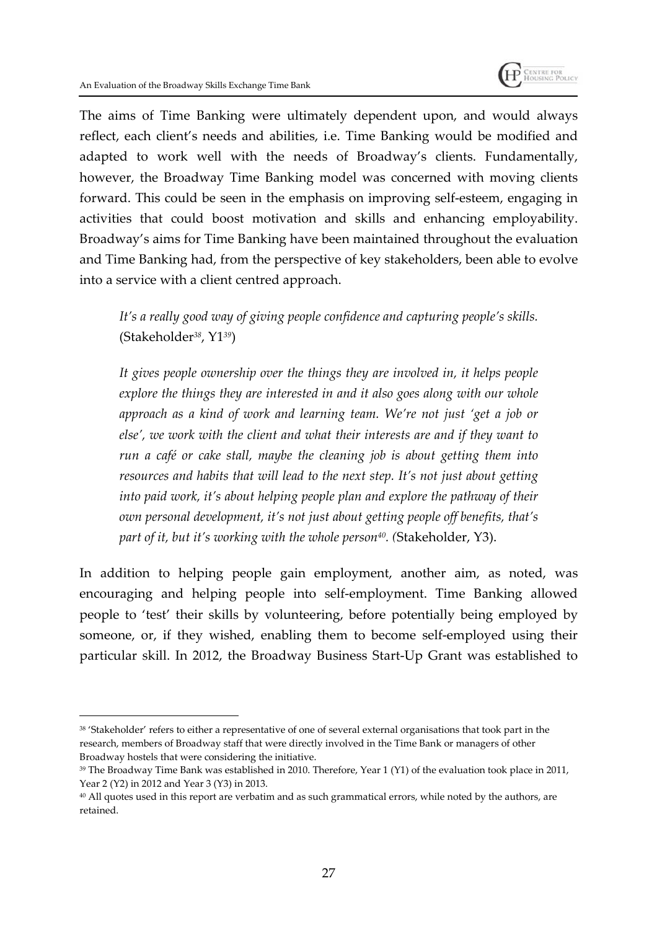

The aims of Time Banking were ultimately dependent upon, and would always reflect, each client's needs and abilities, i.e. Time Banking would be modified and adapted to work well with the needs of Broadway's clients. Fundamentally, however, the Broadway Time Banking model was concerned with moving clients forward. This could be seen in the emphasis on improving self-esteem, engaging in activities that could boost motivation and skills and enhancing employability. Broadway's aims for Time Banking have been maintained throughout the evaluation and Time Banking had, from the perspective of key stakeholders, been able to evolve into a service with a client centred approach.

*It's a really good way of giving people confidence and capturing people's skills.* (Stakeholder*38*, Y1*39*)

*It gives people ownership over the things they are involved in, it helps people explore the things they are interested in and it also goes along with our whole approach as a kind of work and learning team. We're not just 'get a job or else', we work with the client and what their interests are and if they want to run a café or cake stall, maybe the cleaning job is about getting them into resources and habits that will lead to the next step. It's not just about getting into paid work, it's about helping people plan and explore the pathway of their own personal development, it's not just about getting people off benefits, that's part of it, but it's working with the whole person40. (*Stakeholder, Y3).

In addition to helping people gain employment, another aim, as noted, was encouraging and helping people into self-employment. Time Banking allowed people to 'test' their skills by volunteering, before potentially being employed by someone, or, if they wished, enabling them to become self-employed using their particular skill. In 2012, the Broadway Business Start-Up Grant was established to

<sup>38</sup> 'Stakeholder' refers to either a representative of one of several external organisations that took part in the research, members of Broadway staff that were directly involved in the Time Bank or managers of other Broadway hostels that were considering the initiative.

<sup>&</sup>lt;sup>39</sup> The Broadway Time Bank was established in 2010. Therefore, Year 1 (Y1) of the evaluation took place in 2011, Year 2 (Y2) in 2012 and Year 3 (Y3) in 2013.

<sup>&</sup>lt;sup>40</sup> All quotes used in this report are verbatim and as such grammatical errors, while noted by the authors, are retained.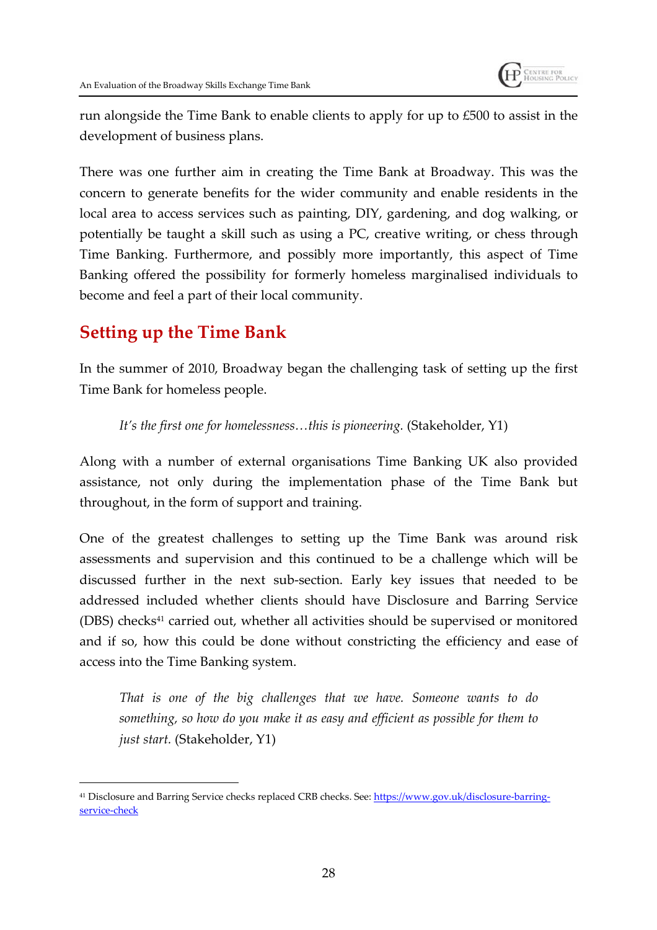

run alongside the Time Bank to enable clients to apply for up to £500 to assist in the development of business plans.

There was one further aim in creating the Time Bank at Broadway. This was the concern to generate benefits for the wider community and enable residents in the local area to access services such as painting, DIY, gardening, and dog walking, or potentially be taught a skill such as using a PC, creative writing, or chess through Time Banking. Furthermore, and possibly more importantly, this aspect of Time Banking offered the possibility for formerly homeless marginalised individuals to become and feel a part of their local community.

### **Setting up the Time Bank**

In the summer of 2010, Broadway began the challenging task of setting up the first Time Bank for homeless people.

*It's the first one for homelessness…this is pioneering.* (Stakeholder, Y1)

Along with a number of external organisations Time Banking UK also provided assistance, not only during the implementation phase of the Time Bank but throughout, in the form of support and training.

One of the greatest challenges to setting up the Time Bank was around risk assessments and supervision and this continued to be a challenge which will be discussed further in the next sub-section. Early key issues that needed to be addressed included whether clients should have Disclosure and Barring Service (DBS) checks<sup>41</sup> carried out, whether all activities should be supervised or monitored and if so, how this could be done without constricting the efficiency and ease of access into the Time Banking system.

*That is one of the big challenges that we have. Someone wants to do something, so how do you make it as easy and efficient as possible for them to just start.* (Stakeholder, Y1)

<sup>41</sup> Disclosure and Barring Service checks replaced CRB checks. See: https://www.gov.uk/disclosure-barringservice-check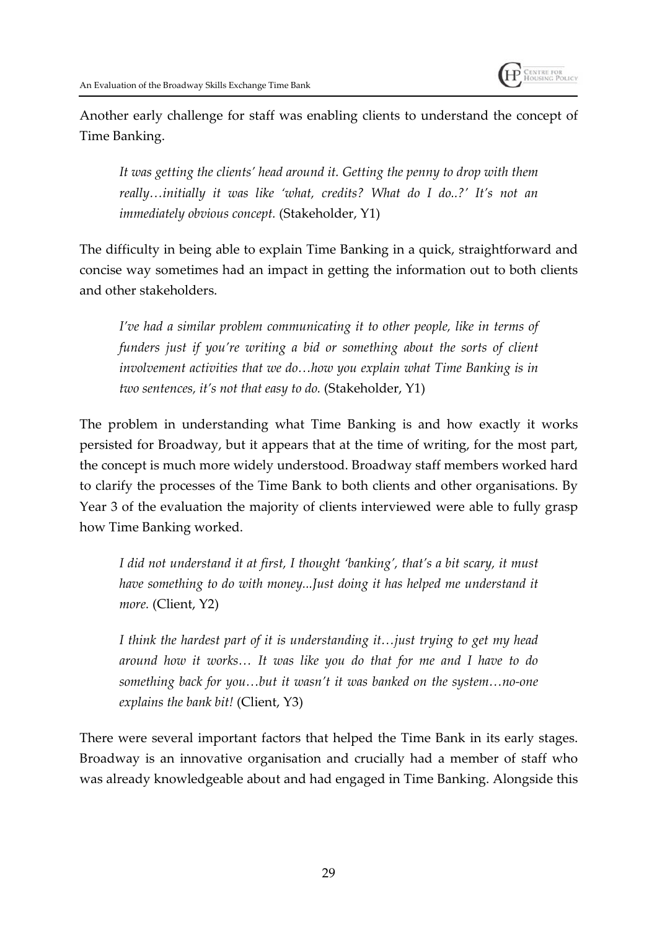

Another early challenge for staff was enabling clients to understand the concept of Time Banking.

*It was getting the clients' head around it. Getting the penny to drop with them really…initially it was like 'what, credits? What do I do..?' It's not an immediately obvious concept.* (Stakeholder, Y1)

The difficulty in being able to explain Time Banking in a quick, straightforward and concise way sometimes had an impact in getting the information out to both clients and other stakeholders.

*I've had a similar problem communicating it to other people, like in terms of funders just if you're writing a bid or something about the sorts of client involvement activities that we do…how you explain what Time Banking is in two sentences, it's not that easy to do.* (Stakeholder, Y1)

The problem in understanding what Time Banking is and how exactly it works persisted for Broadway, but it appears that at the time of writing, for the most part, the concept is much more widely understood. Broadway staff members worked hard to clarify the processes of the Time Bank to both clients and other organisations. By Year 3 of the evaluation the majority of clients interviewed were able to fully grasp how Time Banking worked.

*I did not understand it at first, I thought 'banking', that's a bit scary, it must have something to do with money...Just doing it has helped me understand it more.* (Client, Y2)

*I think the hardest part of it is understanding it…just trying to get my head around how it works… It was like you do that for me and I have to do something back for you…but it wasn't it was banked on the system…no-one explains the bank bit!* (Client, Y3)

There were several important factors that helped the Time Bank in its early stages. Broadway is an innovative organisation and crucially had a member of staff who was already knowledgeable about and had engaged in Time Banking. Alongside this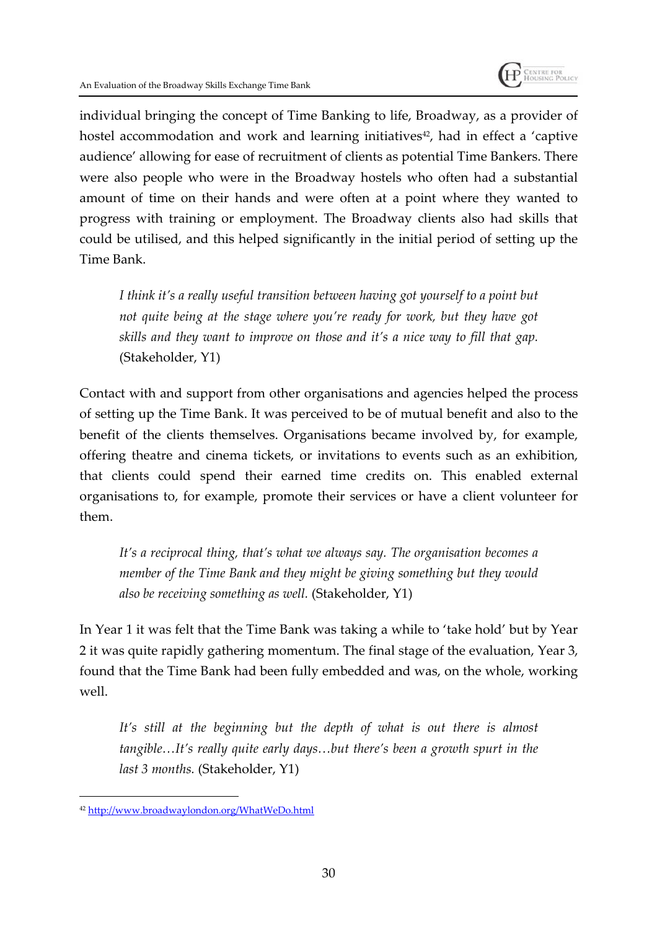

individual bringing the concept of Time Banking to life, Broadway, as a provider of hostel accommodation and work and learning initiatives<sup>42</sup>, had in effect a 'captive audience' allowing for ease of recruitment of clients as potential Time Bankers. There were also people who were in the Broadway hostels who often had a substantial amount of time on their hands and were often at a point where they wanted to progress with training or employment. The Broadway clients also had skills that could be utilised, and this helped significantly in the initial period of setting up the Time Bank.

*I think it's a really useful transition between having got yourself to a point but not quite being at the stage where you're ready for work, but they have got skills and they want to improve on those and it's a nice way to fill that gap.* (Stakeholder, Y1)

Contact with and support from other organisations and agencies helped the process of setting up the Time Bank. It was perceived to be of mutual benefit and also to the benefit of the clients themselves. Organisations became involved by, for example, offering theatre and cinema tickets, or invitations to events such as an exhibition, that clients could spend their earned time credits on. This enabled external organisations to, for example, promote their services or have a client volunteer for them.

*It's a reciprocal thing, that's what we always say. The organisation becomes a member of the Time Bank and they might be giving something but they would also be receiving something as well.* (Stakeholder, Y1)

In Year 1 it was felt that the Time Bank was taking a while to 'take hold' but by Year 2 it was quite rapidly gathering momentum. The final stage of the evaluation, Year 3, found that the Time Bank had been fully embedded and was, on the whole, working well.

*It's still at the beginning but the depth of what is out there is almost tangible…It's really quite early days…but there's been a growth spurt in the last 3 months.* (Stakeholder, Y1)

<sup>42</sup> http://www.broadwaylondon.org/WhatWeDo.html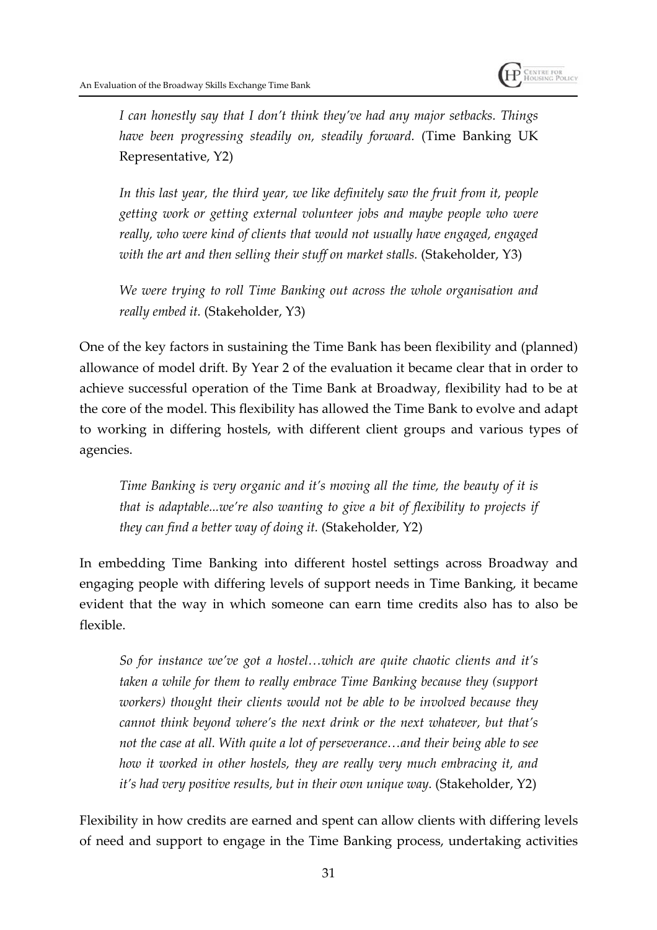

*I can honestly say that I don't think they've had any major setbacks. Things have been progressing steadily on, steadily forward.* (Time Banking UK Representative, Y2)

*In this last year, the third year, we like definitely saw the fruit from it, people getting work or getting external volunteer jobs and maybe people who were really, who were kind of clients that would not usually have engaged, engaged with the art and then selling their stuff on market stalls.* (Stakeholder, Y3)

*We were trying to roll Time Banking out across the whole organisation and really embed it.* (Stakeholder, Y3)

One of the key factors in sustaining the Time Bank has been flexibility and (planned) allowance of model drift. By Year 2 of the evaluation it became clear that in order to achieve successful operation of the Time Bank at Broadway, flexibility had to be at the core of the model. This flexibility has allowed the Time Bank to evolve and adapt to working in differing hostels, with different client groups and various types of agencies.

*Time Banking is very organic and it's moving all the time, the beauty of it is that is adaptable...we're also wanting to give a bit of flexibility to projects if they can find a better way of doing it.* (Stakeholder, Y2)

In embedding Time Banking into different hostel settings across Broadway and engaging people with differing levels of support needs in Time Banking, it became evident that the way in which someone can earn time credits also has to also be flexible.

*So for instance we've got a hostel…which are quite chaotic clients and it's taken a while for them to really embrace Time Banking because they (support workers) thought their clients would not be able to be involved because they cannot think beyond where's the next drink or the next whatever, but that's not the case at all. With quite a lot of perseverance…and their being able to see how it worked in other hostels, they are really very much embracing it, and it's had very positive results, but in their own unique way.* (Stakeholder, Y2)

Flexibility in how credits are earned and spent can allow clients with differing levels of need and support to engage in the Time Banking process, undertaking activities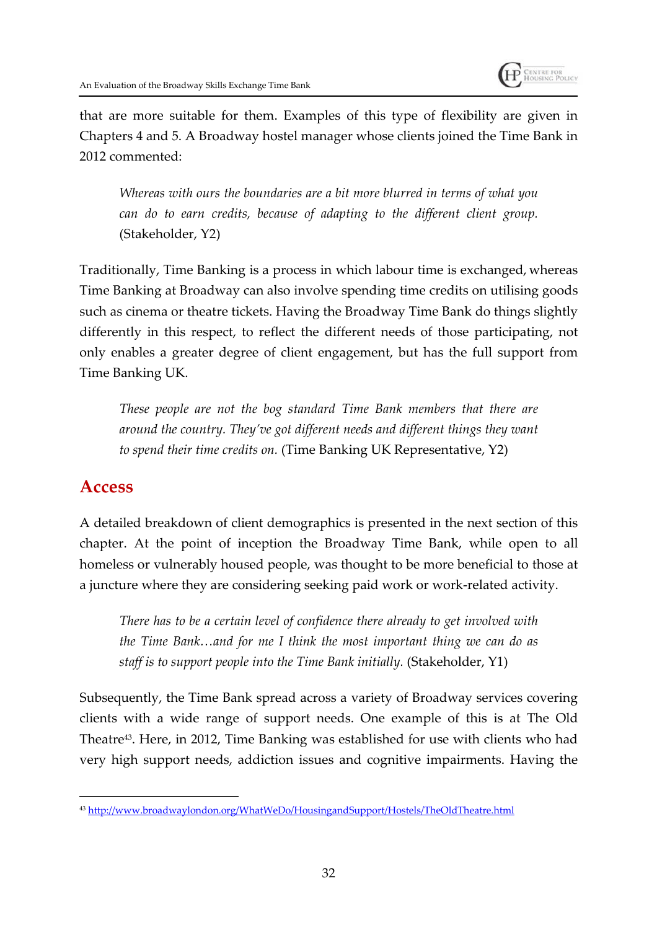

that are more suitable for them. Examples of this type of flexibility are given in Chapters 4 and 5. A Broadway hostel manager whose clients joined the Time Bank in 2012 commented:

*Whereas with ours the boundaries are a bit more blurred in terms of what you can do to earn credits, because of adapting to the different client group.* (Stakeholder, Y2)

Traditionally, Time Banking is a process in which labour time is exchanged, whereas Time Banking at Broadway can also involve spending time credits on utilising goods such as cinema or theatre tickets. Having the Broadway Time Bank do things slightly differently in this respect, to reflect the different needs of those participating, not only enables a greater degree of client engagement, but has the full support from Time Banking UK.

*These people are not the bog standard Time Bank members that there are around the country. They've got different needs and different things they want to spend their time credits on.* (Time Banking UK Representative, Y2)

### **Access**

A detailed breakdown of client demographics is presented in the next section of this chapter. At the point of inception the Broadway Time Bank, while open to all homeless or vulnerably housed people, was thought to be more beneficial to those at a juncture where they are considering seeking paid work or work-related activity.

*There has to be a certain level of confidence there already to get involved with the Time Bank…and for me I think the most important thing we can do as staff is to support people into the Time Bank initially.* (Stakeholder, Y1)

Subsequently, the Time Bank spread across a variety of Broadway services covering clients with a wide range of support needs. One example of this is at The Old Theatre<sup>43</sup>. Here, in 2012, Time Banking was established for use with clients who had very high support needs, addiction issues and cognitive impairments. Having the

<sup>43</sup> http://www.broadwaylondon.org/WhatWeDo/HousingandSupport/Hostels/TheOldTheatre.html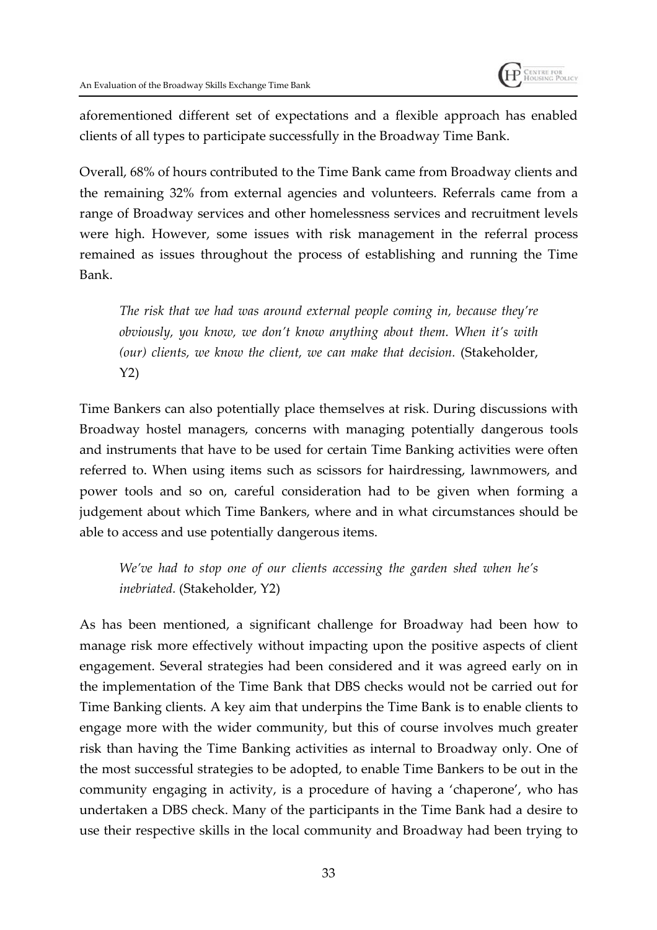

aforementioned different set of expectations and a flexible approach has enabled clients of all types to participate successfully in the Broadway Time Bank.

Overall, 68% of hours contributed to the Time Bank came from Broadway clients and the remaining 32% from external agencies and volunteers. Referrals came from a range of Broadway services and other homelessness services and recruitment levels were high. However, some issues with risk management in the referral process remained as issues throughout the process of establishing and running the Time Bank.

*The risk that we had was around external people coming in, because they're obviously, you know, we don't know anything about them. When it's with (our) clients, we know the client, we can make that decision.* (Stakeholder, Y2)

Time Bankers can also potentially place themselves at risk. During discussions with Broadway hostel managers, concerns with managing potentially dangerous tools and instruments that have to be used for certain Time Banking activities were often referred to. When using items such as scissors for hairdressing, lawnmowers, and power tools and so on, careful consideration had to be given when forming a judgement about which Time Bankers, where and in what circumstances should be able to access and use potentially dangerous items.

*We've had to stop one of our clients accessing the garden shed when he's inebriated.* (Stakeholder, Y2)

As has been mentioned, a significant challenge for Broadway had been how to manage risk more effectively without impacting upon the positive aspects of client engagement. Several strategies had been considered and it was agreed early on in the implementation of the Time Bank that DBS checks would not be carried out for Time Banking clients. A key aim that underpins the Time Bank is to enable clients to engage more with the wider community, but this of course involves much greater risk than having the Time Banking activities as internal to Broadway only. One of the most successful strategies to be adopted, to enable Time Bankers to be out in the community engaging in activity, is a procedure of having a 'chaperone', who has undertaken a DBS check. Many of the participants in the Time Bank had a desire to use their respective skills in the local community and Broadway had been trying to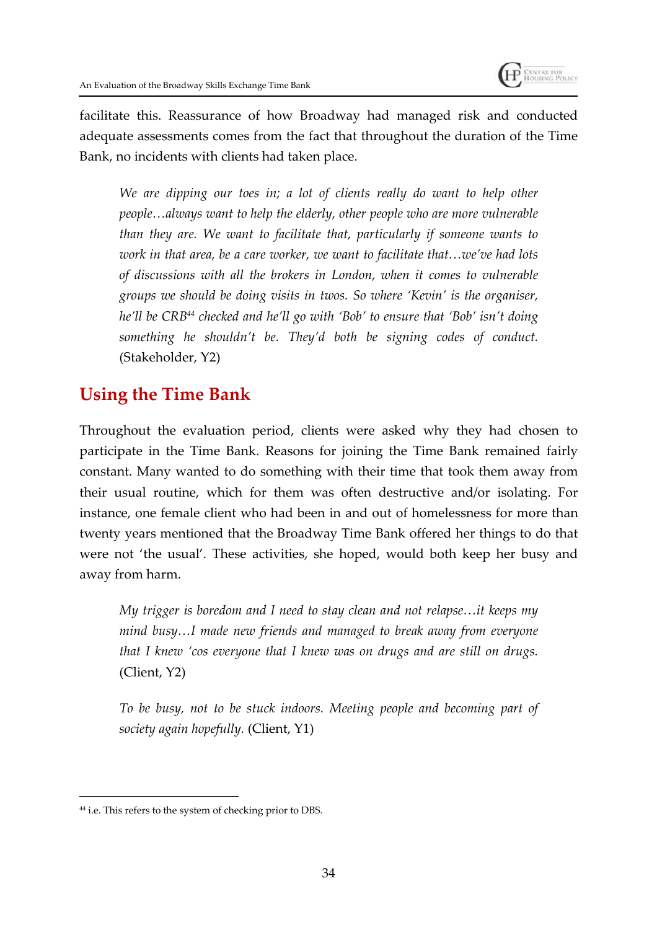

facilitate this. Reassurance of how Broadway had managed risk and conducted adequate assessments comes from the fact that throughout the duration of the Time Bank, no incidents with clients had taken place.

*We are dipping our toes in; a lot of clients really do want to help other people…always want to help the elderly, other people who are more vulnerable than they are. We want to facilitate that, particularly if someone wants to work in that area, be a care worker, we want to facilitate that…we've had lots of discussions with all the brokers in London, when it comes to vulnerable groups we should be doing visits in twos. So where 'Kevin' is the organiser, he'll be CRB<sup>44</sup> checked and he'll go with 'Bob' to ensure that 'Bob' isn't doing something he shouldn't be. They'd both be signing codes of conduct.* (Stakeholder, Y2)

## **Using the Time Bank**

Throughout the evaluation period, clients were asked why they had chosen to participate in the Time Bank. Reasons for joining the Time Bank remained fairly constant. Many wanted to do something with their time that took them away from their usual routine, which for them was often destructive and/or isolating. For instance, one female client who had been in and out of homelessness for more than twenty years mentioned that the Broadway Time Bank offered her things to do that were not 'the usual'. These activities, she hoped, would both keep her busy and away from harm.

*My trigger is boredom and I need to stay clean and not relapse…it keeps my mind busy…I made new friends and managed to break away from everyone that I knew 'cos everyone that I knew was on drugs and are still on drugs.* (Client, Y2)

*To be busy, not to be stuck indoors. Meeting people and becoming part of society again hopefully.* (Client, Y1)

<sup>44</sup> i.e. This refers to the system of checking prior to DBS.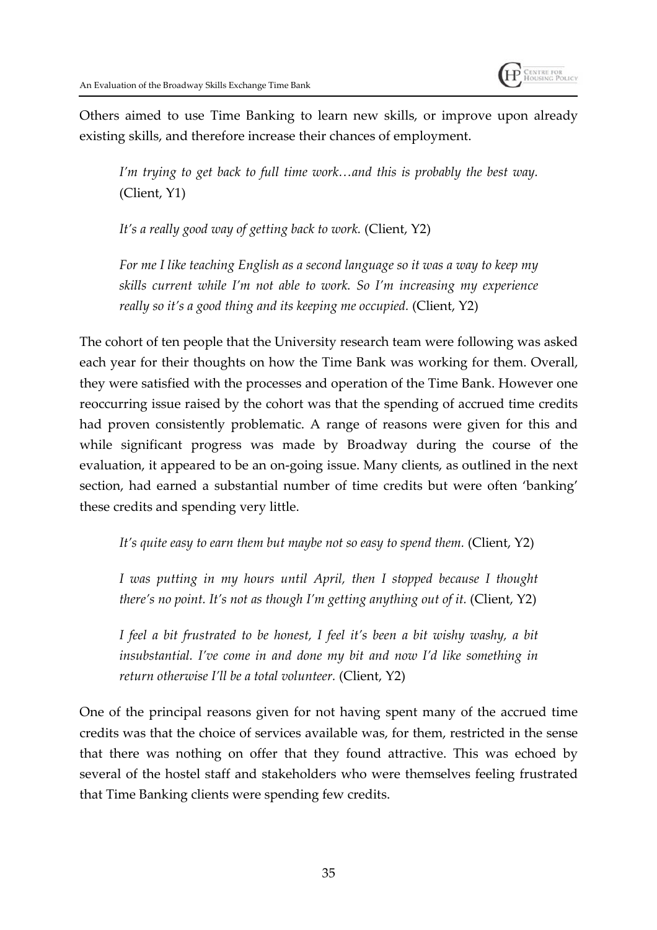

Others aimed to use Time Banking to learn new skills, or improve upon already existing skills, and therefore increase their chances of employment.

*I'm trying to get back to full time work…and this is probably the best way.* (Client, Y1)

*It's a really good way of getting back to work.* (Client, Y2)

*For me I like teaching English as a second language so it was a way to keep my skills current while I'm not able to work. So I'm increasing my experience really so it's a good thing and its keeping me occupied.* (Client, Y2)

The cohort of ten people that the University research team were following was asked each year for their thoughts on how the Time Bank was working for them. Overall, they were satisfied with the processes and operation of the Time Bank. However one reoccurring issue raised by the cohort was that the spending of accrued time credits had proven consistently problematic. A range of reasons were given for this and while significant progress was made by Broadway during the course of the evaluation, it appeared to be an on-going issue. Many clients, as outlined in the next section, had earned a substantial number of time credits but were often 'banking' these credits and spending very little.

*It's quite easy to earn them but maybe not so easy to spend them.* (Client, Y2)

*I was putting in my hours until April, then I stopped because I thought there's no point. It's not as though I'm getting anything out of it.* (Client, Y2)

*I feel a bit frustrated to be honest, I feel it's been a bit wishy washy, a bit insubstantial. I've come in and done my bit and now I'd like something in return otherwise I'll be a total volunteer.* (Client, Y2)

One of the principal reasons given for not having spent many of the accrued time credits was that the choice of services available was, for them, restricted in the sense that there was nothing on offer that they found attractive. This was echoed by several of the hostel staff and stakeholders who were themselves feeling frustrated that Time Banking clients were spending few credits.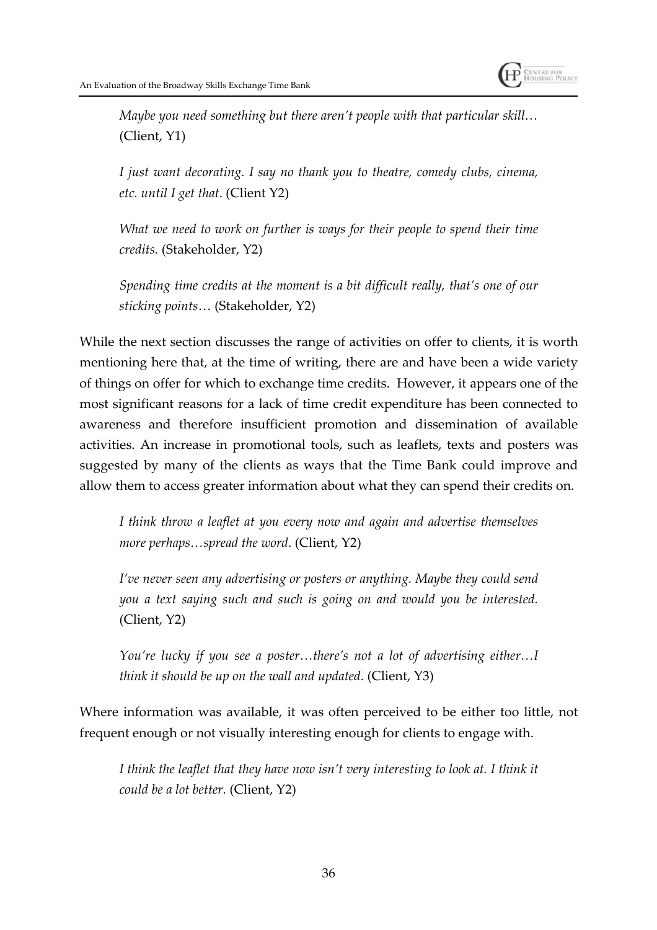

*Maybe you need something but there aren't people with that particular skill…* (Client, Y1)

*I just want decorating. I say no thank you to theatre, comedy clubs, cinema, etc. until I get that*. (Client Y2)

*What we need to work on further is ways for their people to spend their time credits.* (Stakeholder, Y2)

*Spending time credits at the moment is a bit difficult really, that's one of our sticking points*… (Stakeholder, Y2)

While the next section discusses the range of activities on offer to clients, it is worth mentioning here that, at the time of writing, there are and have been a wide variety of things on offer for which to exchange time credits. However, it appears one of the most significant reasons for a lack of time credit expenditure has been connected to awareness and therefore insufficient promotion and dissemination of available activities. An increase in promotional tools, such as leaflets, texts and posters was suggested by many of the clients as ways that the Time Bank could improve and allow them to access greater information about what they can spend their credits on.

*I think throw a leaflet at you every now and again and advertise themselves more perhaps…spread the word*. (Client, Y2)

*I've never seen any advertising or posters or anything. Maybe they could send you a text saying such and such is going on and would you be interested.* (Client, Y2)

*You're lucky if you see a poster…there's not a lot of advertising either…I think it should be up on the wall and updated*. (Client, Y3)

Where information was available, it was often perceived to be either too little, not frequent enough or not visually interesting enough for clients to engage with.

*I think the leaflet that they have now isn't very interesting to look at. I think it could be a lot better.* (Client, Y2)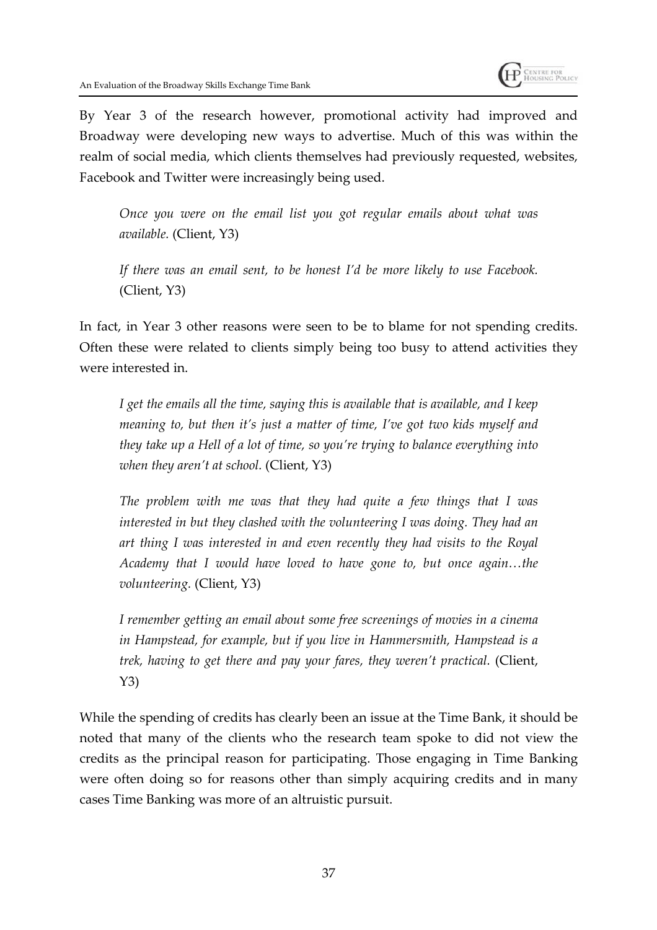

By Year 3 of the research however, promotional activity had improved and Broadway were developing new ways to advertise. Much of this was within the realm of social media, which clients themselves had previously requested, websites, Facebook and Twitter were increasingly being used.

*Once you were on the email list you got regular emails about what was available.* (Client, Y3)

*If there was an email sent, to be honest I'd be more likely to use Facebook.* (Client, Y3)

In fact, in Year 3 other reasons were seen to be to blame for not spending credits. Often these were related to clients simply being too busy to attend activities they were interested in.

*I get the emails all the time, saying this is available that is available, and I keep meaning to, but then it's just a matter of time, I've got two kids myself and they take up a Hell of a lot of time, so you're trying to balance everything into when they aren't at school.* (Client, Y3)

*The problem with me was that they had quite a few things that I was interested in but they clashed with the volunteering I was doing. They had an art thing I was interested in and even recently they had visits to the Royal Academy that I would have loved to have gone to, but once again…the volunteering.* (Client, Y3)

*I remember getting an email about some free screenings of movies in a cinema in Hampstead, for example, but if you live in Hammersmith, Hampstead is a trek, having to get there and pay your fares, they weren't practical.* (Client, Y3)

While the spending of credits has clearly been an issue at the Time Bank, it should be noted that many of the clients who the research team spoke to did not view the credits as the principal reason for participating. Those engaging in Time Banking were often doing so for reasons other than simply acquiring credits and in many cases Time Banking was more of an altruistic pursuit.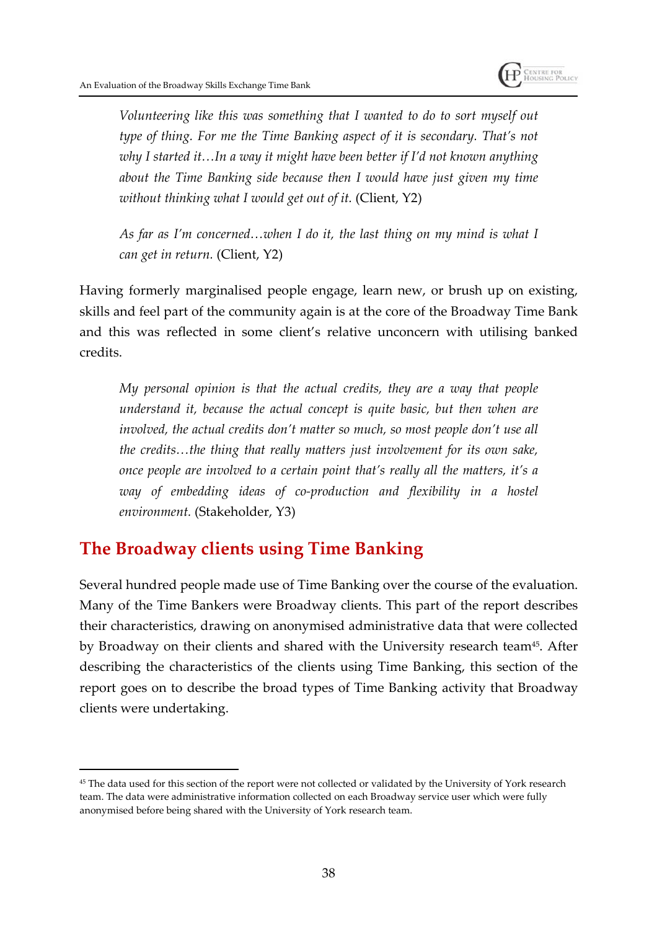

*Volunteering like this was something that I wanted to do to sort myself out type of thing. For me the Time Banking aspect of it is secondary. That's not why I started it…In a way it might have been better if I'd not known anything about the Time Banking side because then I would have just given my time without thinking what I would get out of it.* (Client, Y2)

*As far as I'm concerned…when I do it, the last thing on my mind is what I can get in return.* (Client, Y2)

Having formerly marginalised people engage, learn new, or brush up on existing, skills and feel part of the community again is at the core of the Broadway Time Bank and this was reflected in some client's relative unconcern with utilising banked credits.

*My personal opinion is that the actual credits, they are a way that people understand it, because the actual concept is quite basic, but then when are involved, the actual credits don't matter so much, so most people don't use all the credits…the thing that really matters just involvement for its own sake, once people are involved to a certain point that's really all the matters, it's a way of embedding ideas of co-production and flexibility in a hostel environment.* (Stakeholder, Y3)

## **The Broadway clients using Time Banking**

Several hundred people made use of Time Banking over the course of the evaluation. Many of the Time Bankers were Broadway clients. This part of the report describes their characteristics, drawing on anonymised administrative data that were collected by Broadway on their clients and shared with the University research team<sup>45</sup>. After describing the characteristics of the clients using Time Banking, this section of the report goes on to describe the broad types of Time Banking activity that Broadway clients were undertaking.

<sup>45</sup> The data used for this section of the report were not collected or validated by the University of York research team. The data were administrative information collected on each Broadway service user which were fully anonymised before being shared with the University of York research team.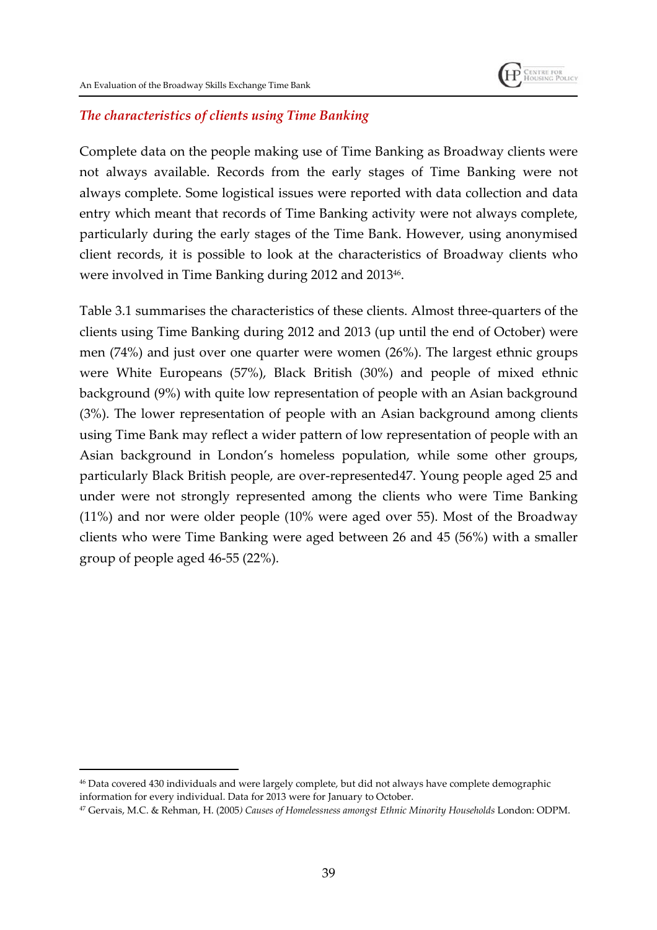

#### *The characteristics of clients using Time Banking*

Complete data on the people making use of Time Banking as Broadway clients were not always available. Records from the early stages of Time Banking were not always complete. Some logistical issues were reported with data collection and data entry which meant that records of Time Banking activity were not always complete, particularly during the early stages of the Time Bank. However, using anonymised client records, it is possible to look at the characteristics of Broadway clients who were involved in Time Banking during 2012 and 2013<sup>46</sup> .

Table 3.1 summarises the characteristics of these clients. Almost three-quarters of the clients using Time Banking during 2012 and 2013 (up until the end of October) were men (74%) and just over one quarter were women (26%). The largest ethnic groups were White Europeans (57%), Black British (30%) and people of mixed ethnic background (9%) with quite low representation of people with an Asian background (3%). The lower representation of people with an Asian background among clients using Time Bank may reflect a wider pattern of low representation of people with an Asian background in London's homeless population, while some other groups, particularly Black British people, are over-represented47. Young people aged 25 and under were not strongly represented among the clients who were Time Banking (11%) and nor were older people (10% were aged over 55). Most of the Broadway clients who were Time Banking were aged between 26 and 45 (56%) with a smaller group of people aged 46-55 (22%).

<sup>46</sup> Data covered 430 individuals and were largely complete, but did not always have complete demographic information for every individual. Data for 2013 were for January to October.

<sup>47</sup> Gervais, M.C. & Rehman, H. (2005*) Causes of Homelessness amongst Ethnic Minority Households* London: ODPM.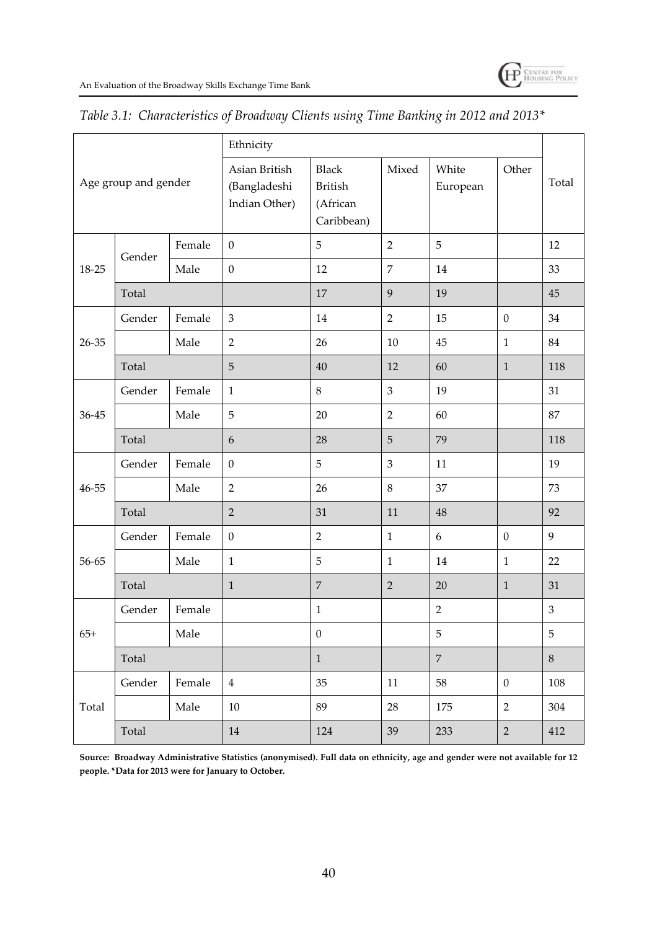|                      |        | Ethnicity |                                                |                                                          |                |                   |                  |         |
|----------------------|--------|-----------|------------------------------------------------|----------------------------------------------------------|----------------|-------------------|------------------|---------|
| Age group and gender |        |           | Asian British<br>(Bangladeshi<br>Indian Other) | <b>Black</b><br><b>British</b><br>(African<br>Caribbean) | Mixed          | White<br>European | Other            | Total   |
| 18-25                | Gender | Female    | $\boldsymbol{0}$                               | 5                                                        | $\overline{2}$ | 5                 |                  | 12      |
|                      |        | Male      | $\boldsymbol{0}$                               | 12                                                       | $\overline{7}$ | 14                |                  | 33      |
|                      | Total  |           |                                                | 17                                                       | 9              | 19                |                  | 45      |
| 26-35                | Gender | Female    | 3                                              | 14                                                       | $\overline{2}$ | 15                | $\mathbf{0}$     | 34      |
|                      |        | Male      | $\overline{2}$                                 | 26                                                       | 10             | 45                | $\mathbf{1}$     | 84      |
|                      | Total  |           | 5                                              | 40                                                       | 12             | 60                | $\mathbf{1}$     | 118     |
| 36-45                | Gender | Female    | $\mathbf{1}$                                   | $\,8\,$                                                  | $\mathfrak{Z}$ | 19                |                  | 31      |
|                      |        | Male      | 5                                              | 20                                                       | $\overline{2}$ | 60                |                  | 87      |
|                      | Total  |           | 6                                              | 28                                                       | 5              | 79                |                  | 118     |
| $46 - 55$            | Gender | Female    | $\boldsymbol{0}$                               | 5                                                        | $\mathfrak{Z}$ | 11                |                  | 19      |
|                      |        | Male      | $\overline{2}$                                 | 26                                                       | $8\,$          | 37                |                  | 73      |
|                      | Total  |           | $\overline{2}$                                 | 31                                                       | 11             | 48                |                  | 92      |
| 56-65                | Gender | Female    | $\boldsymbol{0}$                               | $\overline{2}$                                           | $\mathbf{1}$   | 6                 | $\boldsymbol{0}$ | 9       |
|                      |        | Male      | $\mathbf{1}$                                   | 5                                                        | $\mathbf{1}$   | 14                | $\mathbf{1}$     | 22      |
|                      | Total  |           | $\mathbf{1}$                                   | $\overline{7}$                                           | $\overline{2}$ | 20                | $\mathbf{1}$     | 31      |
| $65+$                | Gender | Female    |                                                | $\mathbf{1}$                                             |                | $\overline{2}$    |                  | 3       |
|                      |        | Male      |                                                | $\boldsymbol{0}$                                         |                | 5                 |                  | 5       |
|                      | Total  |           |                                                | $\,1\,$                                                  |                | $\overline{7}$    |                  | $\,8\,$ |
|                      | Gender | Female    | $\overline{4}$                                 | 35                                                       | $11\,$         | 58                | $\boldsymbol{0}$ | 108     |
| Total                |        | Male      | $10\,$                                         | 89                                                       | 28             | 175               | $\overline{2}$   | 304     |
|                      | Total  |           | $14\,$                                         | 124                                                      | 39             | 233               | $\overline{2}$   | 412     |

#### *Table 3.1: Characteristics of Broadway Clients using Time Banking in 2012 and 2013\**

**Source: Broadway Administrative Statistics (anonymised). Full data on ethnicity, age and gender were not available for 12 people. \*Data for 2013 were for January to October.**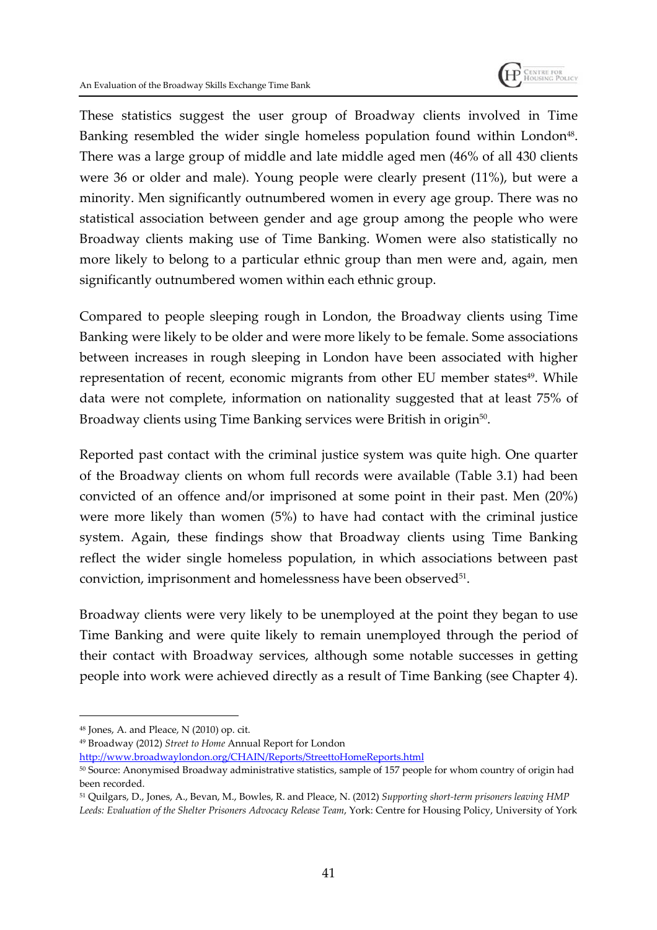

These statistics suggest the user group of Broadway clients involved in Time Banking resembled the wider single homeless population found within London<sup>48</sup>. There was a large group of middle and late middle aged men (46% of all 430 clients were 36 or older and male). Young people were clearly present (11%), but were a minority. Men significantly outnumbered women in every age group. There was no statistical association between gender and age group among the people who were Broadway clients making use of Time Banking. Women were also statistically no more likely to belong to a particular ethnic group than men were and, again, men significantly outnumbered women within each ethnic group.

Compared to people sleeping rough in London, the Broadway clients using Time Banking were likely to be older and were more likely to be female. Some associations between increases in rough sleeping in London have been associated with higher representation of recent, economic migrants from other EU member states<sup>49</sup>. While data were not complete, information on nationality suggested that at least 75% of Broadway clients using Time Banking services were British in origin $^{50}$ .

Reported past contact with the criminal justice system was quite high. One quarter of the Broadway clients on whom full records were available (Table 3.1) had been convicted of an offence and/or imprisoned at some point in their past. Men (20%) were more likely than women (5%) to have had contact with the criminal justice system. Again, these findings show that Broadway clients using Time Banking reflect the wider single homeless population, in which associations between past conviction, imprisonment and homelessness have been observed<sup>51</sup>.

Broadway clients were very likely to be unemployed at the point they began to use Time Banking and were quite likely to remain unemployed through the period of their contact with Broadway services, although some notable successes in getting people into work were achieved directly as a result of Time Banking (see Chapter 4).

<sup>48</sup> Jones, A. and Pleace, N (2010) op. cit.

<sup>49</sup> Broadway (2012) *Street to Home* Annual Report for London

http://www.broadwaylondon.org/CHAIN/Reports/StreettoHomeReports.html

<sup>50</sup> Source: Anonymised Broadway administrative statistics, sample of 157 people for whom country of origin had been recorded.

<sup>51</sup> Quilgars, D., Jones, A., Bevan, M., Bowles, R. and Pleace, N. (2012) *Supporting short-term prisoners leaving HMP Leeds: Evaluation of the Shelter Prisoners Advocacy Release Team*, York: Centre for Housing Policy, University of York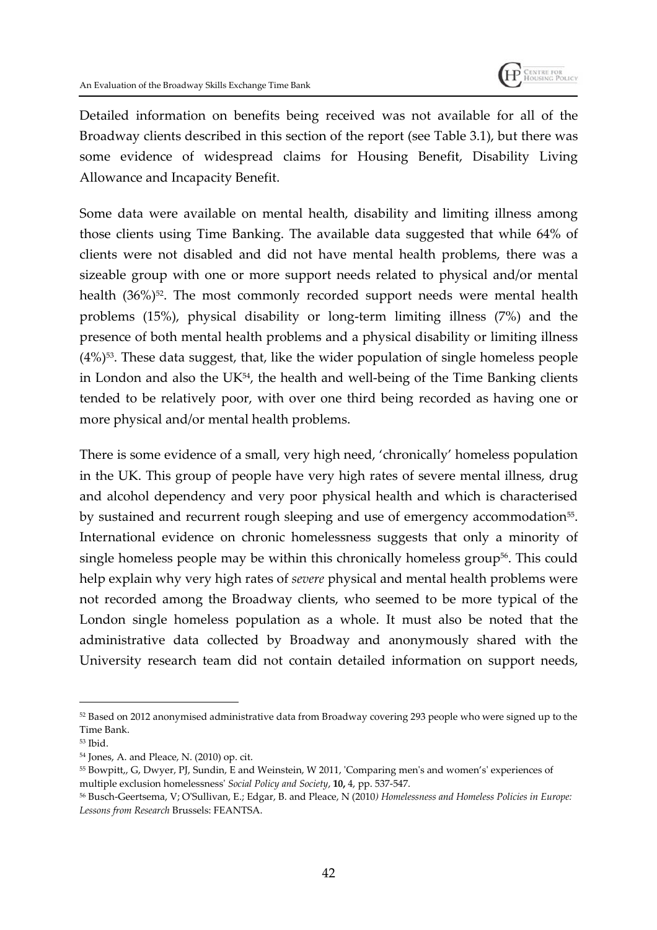

Detailed information on benefits being received was not available for all of the Broadway clients described in this section of the report (see Table 3.1), but there was some evidence of widespread claims for Housing Benefit, Disability Living Allowance and Incapacity Benefit.

Some data were available on mental health, disability and limiting illness among those clients using Time Banking. The available data suggested that while 64% of clients were not disabled and did not have mental health problems, there was a sizeable group with one or more support needs related to physical and/or mental health (36%)<sup>52</sup>. The most commonly recorded support needs were mental health problems (15%), physical disability or long-term limiting illness (7%) and the presence of both mental health problems and a physical disability or limiting illness  $(4\%)$ <sup>53</sup>. These data suggest, that, like the wider population of single homeless people in London and also the UK $^{54}$ , the health and well-being of the Time Banking clients tended to be relatively poor, with over one third being recorded as having one or more physical and/or mental health problems.

There is some evidence of a small, very high need, 'chronically' homeless population in the UK. This group of people have very high rates of severe mental illness, drug and alcohol dependency and very poor physical health and which is characterised by sustained and recurrent rough sleeping and use of emergency accommodation<sup>55</sup>. International evidence on chronic homelessness suggests that only a minority of single homeless people may be within this chronically homeless group<sup>56</sup>. This could help explain why very high rates of *severe* physical and mental health problems were not recorded among the Broadway clients, who seemed to be more typical of the London single homeless population as a whole. It must also be noted that the administrative data collected by Broadway and anonymously shared with the University research team did not contain detailed information on support needs,

<sup>52</sup> Based on 2012 anonymised administrative data from Broadway covering 293 people who were signed up to the Time Bank.

<sup>53</sup> Ibid.

<sup>54</sup> Jones, A. and Pleace, N. (2010) op. cit.

<sup>55</sup> Bowpitt,, G, Dwyer, PJ, Sundin, E and Weinstein, W 2011, 'Comparing men's and women's' experiences of multiple exclusion homelessness' *Social Policy and Society*, **10,** 4, pp. 537-547.

<sup>56</sup> Busch-Geertsema, V; O'Sullivan, E.; Edgar, B. and Pleace, N (2010*) Homelessness and Homeless Policies in Europe: Lessons from Research* Brussels: FEANTSA.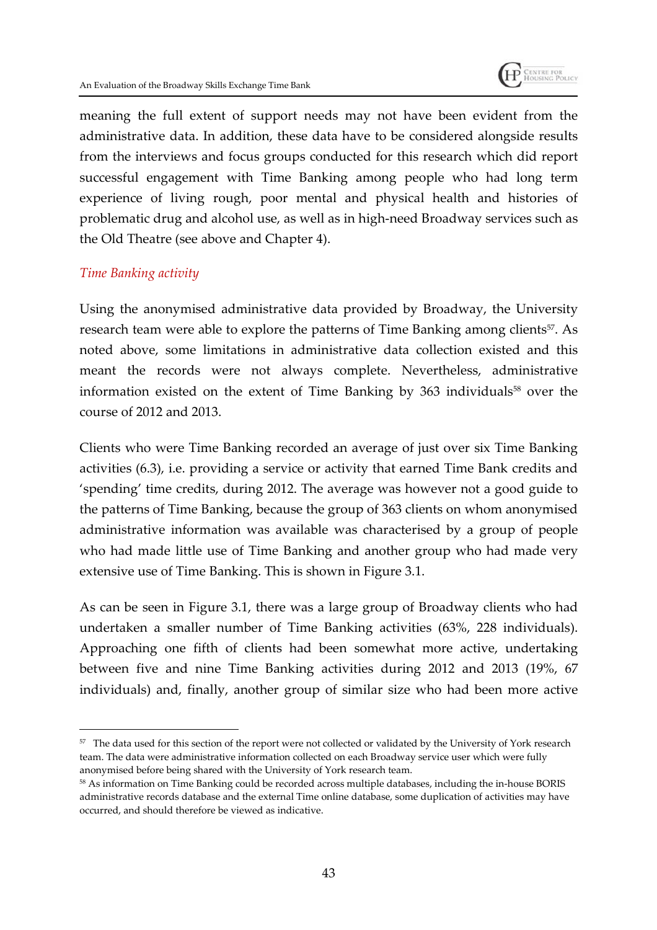

meaning the full extent of support needs may not have been evident from the administrative data. In addition, these data have to be considered alongside results from the interviews and focus groups conducted for this research which did report successful engagement with Time Banking among people who had long term experience of living rough, poor mental and physical health and histories of problematic drug and alcohol use, as well as in high-need Broadway services such as the Old Theatre (see above and Chapter 4).

#### *Time Banking activity*

Using the anonymised administrative data provided by Broadway, the University research team were able to explore the patterns of Time Banking among clients<sup>57</sup>. As noted above, some limitations in administrative data collection existed and this meant the records were not always complete. Nevertheless, administrative information existed on the extent of Time Banking by 363 individuals<sup>58</sup> over the course of 2012 and 2013.

Clients who were Time Banking recorded an average of just over six Time Banking activities (6.3), i.e. providing a service or activity that earned Time Bank credits and 'spending' time credits, during 2012. The average was however not a good guide to the patterns of Time Banking, because the group of 363 clients on whom anonymised administrative information was available was characterised by a group of people who had made little use of Time Banking and another group who had made very extensive use of Time Banking. This is shown in Figure 3.1.

As can be seen in Figure 3.1, there was a large group of Broadway clients who had undertaken a smaller number of Time Banking activities (63%, 228 individuals). Approaching one fifth of clients had been somewhat more active, undertaking between five and nine Time Banking activities during 2012 and 2013 (19%, 67 individuals) and, finally, another group of similar size who had been more active

<sup>57</sup> The data used for this section of the report were not collected or validated by the University of York research team. The data were administrative information collected on each Broadway service user which were fully anonymised before being shared with the University of York research team.

<sup>58</sup> As information on Time Banking could be recorded across multiple databases, including the in-house BORIS administrative records database and the external Time online database, some duplication of activities may have occurred, and should therefore be viewed as indicative.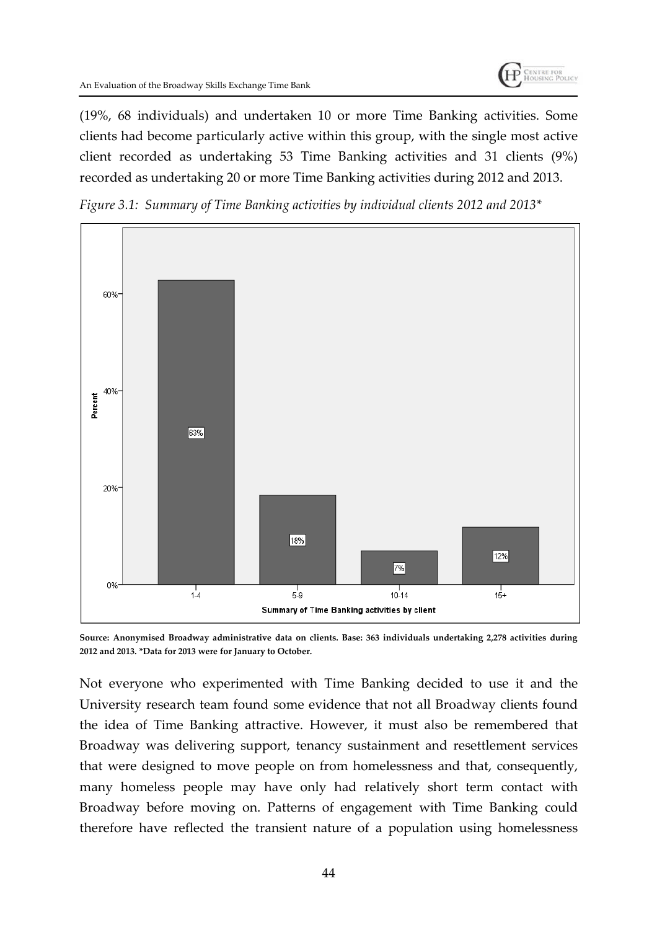(19%, 68 individuals) and undertaken 10 or more Time Banking activities. Some clients had become particularly active within this group, with the single most active client recorded as undertaking 53 Time Banking activities and 31 clients (9%) recorded as undertaking 20 or more Time Banking activities during 2012 and 2013.

*Figure 3.1: Summary of Time Banking activities by individual clients 2012 and 2013\**



**Source: Anonymised Broadway administrative data on clients. Base: 363 individuals undertaking 2,278 activities during 2012 and 2013. \*Data for 2013 were for January to October.**

Not everyone who experimented with Time Banking decided to use it and the University research team found some evidence that not all Broadway clients found the idea of Time Banking attractive. However, it must also be remembered that Broadway was delivering support, tenancy sustainment and resettlement services that were designed to move people on from homelessness and that, consequently, many homeless people may have only had relatively short term contact with Broadway before moving on. Patterns of engagement with Time Banking could therefore have reflected the transient nature of a population using homelessness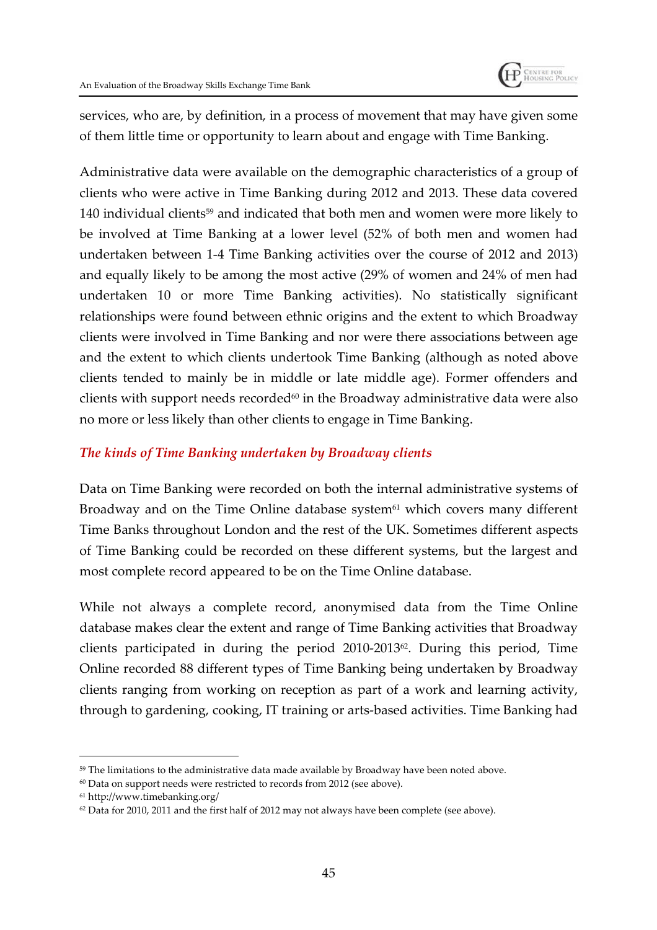

services, who are, by definition, in a process of movement that may have given some of them little time or opportunity to learn about and engage with Time Banking.

Administrative data were available on the demographic characteristics of a group of clients who were active in Time Banking during 2012 and 2013. These data covered 140 individual clients<sup>59</sup> and indicated that both men and women were more likely to be involved at Time Banking at a lower level (52% of both men and women had undertaken between 1-4 Time Banking activities over the course of 2012 and 2013) and equally likely to be among the most active (29% of women and 24% of men had undertaken 10 or more Time Banking activities). No statistically significant relationships were found between ethnic origins and the extent to which Broadway clients were involved in Time Banking and nor were there associations between age and the extent to which clients undertook Time Banking (although as noted above clients tended to mainly be in middle or late middle age). Former offenders and clients with support needs recorded $60$  in the Broadway administrative data were also no more or less likely than other clients to engage in Time Banking.

#### *The kinds of Time Banking undertaken by Broadway clients*

Data on Time Banking were recorded on both the internal administrative systems of Broadway and on the Time Online database system $61$  which covers many different Time Banks throughout London and the rest of the UK. Sometimes different aspects of Time Banking could be recorded on these different systems, but the largest and most complete record appeared to be on the Time Online database.

While not always a complete record, anonymised data from the Time Online database makes clear the extent and range of Time Banking activities that Broadway clients participated in during the period 2010-201362. During this period, Time Online recorded 88 different types of Time Banking being undertaken by Broadway clients ranging from working on reception as part of a work and learning activity, through to gardening, cooking, IT training or arts-based activities. Time Banking had

<sup>&</sup>lt;sup>59</sup> The limitations to the administrative data made available by Broadway have been noted above.

<sup>&</sup>lt;sup>60</sup> Data on support needs were restricted to records from 2012 (see above).

<sup>61</sup> http://www.timebanking.org/

 $62$  Data for 2010, 2011 and the first half of 2012 may not always have been complete (see above).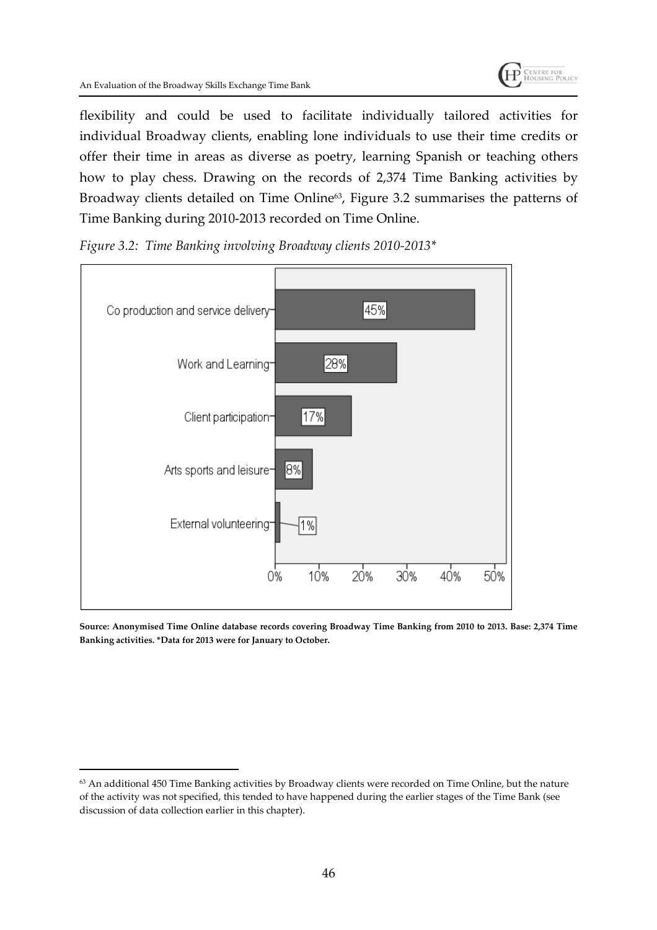flexibility and could be used to facilitate individually tailored activities for individual Broadway clients, enabling lone individuals to use their time credits or offer their time in areas as diverse as poetry, learning Spanish or teaching others how to play chess. Drawing on the records of 2,374 Time Banking activities by Broadway clients detailed on Time Online<sup>63</sup>, Figure 3.2 summarises the patterns of Time Banking during 2010-2013 recorded on Time Online.



*Figure 3.2: Time Banking involving Broadway clients 2010-2013\**

**Source: Anonymised Time Online database records covering Broadway Time Banking from 2010 to 2013. Base: 2,374 Time Banking activities. \*Data for 2013 were for January to October.**

<sup>63</sup> An additional 450 Time Banking activities by Broadway clients were recorded on Time Online, but the nature of the activity was not specified, this tended to have happened during the earlier stages of the Time Bank (see discussion of data collection earlier in this chapter).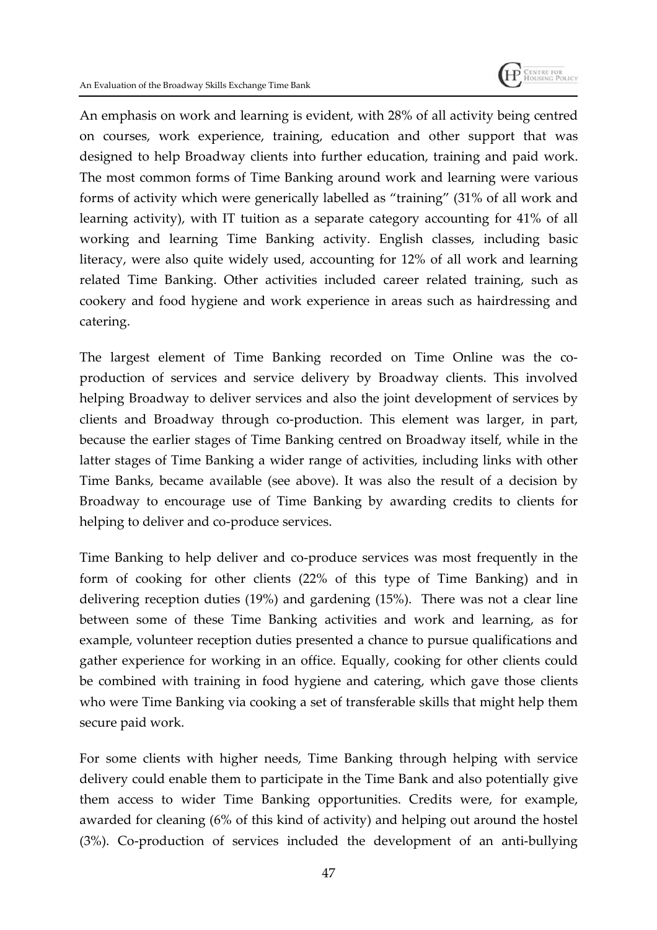

An emphasis on work and learning is evident, with 28% of all activity being centred on courses, work experience, training, education and other support that was designed to help Broadway clients into further education, training and paid work. The most common forms of Time Banking around work and learning were various forms of activity which were generically labelled as "training" (31% of all work and learning activity), with IT tuition as a separate category accounting for 41% of all working and learning Time Banking activity. English classes, including basic literacy, were also quite widely used, accounting for 12% of all work and learning related Time Banking. Other activities included career related training, such as cookery and food hygiene and work experience in areas such as hairdressing and catering.

The largest element of Time Banking recorded on Time Online was the coproduction of services and service delivery by Broadway clients. This involved helping Broadway to deliver services and also the joint development of services by clients and Broadway through co-production. This element was larger, in part, because the earlier stages of Time Banking centred on Broadway itself, while in the latter stages of Time Banking a wider range of activities, including links with other Time Banks, became available (see above). It was also the result of a decision by Broadway to encourage use of Time Banking by awarding credits to clients for helping to deliver and co-produce services.

Time Banking to help deliver and co-produce services was most frequently in the form of cooking for other clients (22% of this type of Time Banking) and in delivering reception duties (19%) and gardening (15%). There was not a clear line between some of these Time Banking activities and work and learning, as for example, volunteer reception duties presented a chance to pursue qualifications and gather experience for working in an office. Equally, cooking for other clients could be combined with training in food hygiene and catering, which gave those clients who were Time Banking via cooking a set of transferable skills that might help them secure paid work.

For some clients with higher needs, Time Banking through helping with service delivery could enable them to participate in the Time Bank and also potentially give them access to wider Time Banking opportunities. Credits were, for example, awarded for cleaning (6% of this kind of activity) and helping out around the hostel (3%). Co-production of services included the development of an anti-bullying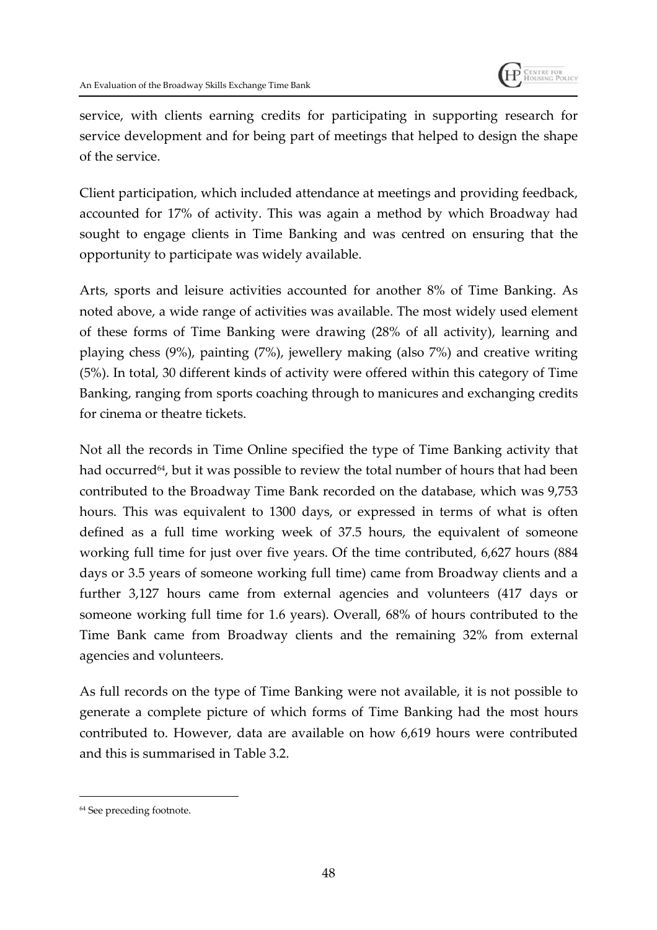

service, with clients earning credits for participating in supporting research for service development and for being part of meetings that helped to design the shape of the service.

Client participation, which included attendance at meetings and providing feedback, accounted for 17% of activity. This was again a method by which Broadway had sought to engage clients in Time Banking and was centred on ensuring that the opportunity to participate was widely available.

Arts, sports and leisure activities accounted for another 8% of Time Banking. As noted above, a wide range of activities was available. The most widely used element of these forms of Time Banking were drawing (28% of all activity), learning and playing chess (9%), painting (7%), jewellery making (also 7%) and creative writing (5%). In total, 30 different kinds of activity were offered within this category of Time Banking, ranging from sports coaching through to manicures and exchanging credits for cinema or theatre tickets.

Not all the records in Time Online specified the type of Time Banking activity that had occurred<sup>64</sup>, but it was possible to review the total number of hours that had been contributed to the Broadway Time Bank recorded on the database, which was 9,753 hours. This was equivalent to 1300 days, or expressed in terms of what is often defined as a full time working week of 37.5 hours, the equivalent of someone working full time for just over five years. Of the time contributed, 6,627 hours (884 days or 3.5 years of someone working full time) came from Broadway clients and a further 3,127 hours came from external agencies and volunteers (417 days or someone working full time for 1.6 years). Overall, 68% of hours contributed to the Time Bank came from Broadway clients and the remaining 32% from external agencies and volunteers.

As full records on the type of Time Banking were not available, it is not possible to generate a complete picture of which forms of Time Banking had the most hours contributed to. However, data are available on how 6,619 hours were contributed and this is summarised in Table 3.2.

<sup>64</sup> See preceding footnote.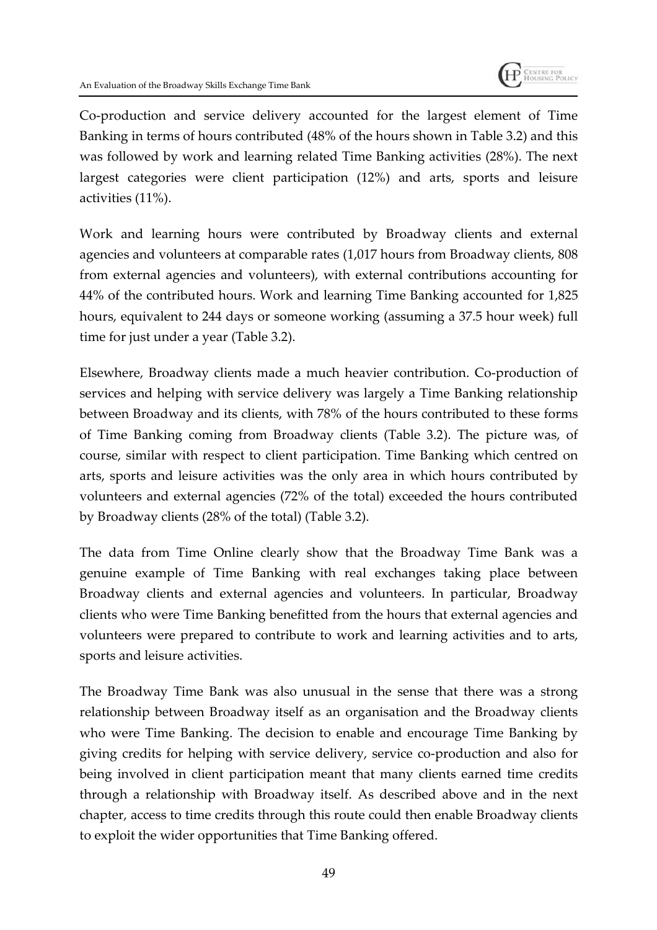

Co-production and service delivery accounted for the largest element of Time Banking in terms of hours contributed (48% of the hours shown in Table 3.2) and this was followed by work and learning related Time Banking activities (28%). The next largest categories were client participation (12%) and arts, sports and leisure activities (11%).

Work and learning hours were contributed by Broadway clients and external agencies and volunteers at comparable rates (1,017 hours from Broadway clients, 808 from external agencies and volunteers), with external contributions accounting for 44% of the contributed hours. Work and learning Time Banking accounted for 1,825 hours, equivalent to 244 days or someone working (assuming a 37.5 hour week) full time for just under a year (Table 3.2).

Elsewhere, Broadway clients made a much heavier contribution. Co-production of services and helping with service delivery was largely a Time Banking relationship between Broadway and its clients, with 78% of the hours contributed to these forms of Time Banking coming from Broadway clients (Table 3.2). The picture was, of course, similar with respect to client participation. Time Banking which centred on arts, sports and leisure activities was the only area in which hours contributed by volunteers and external agencies (72% of the total) exceeded the hours contributed by Broadway clients (28% of the total) (Table 3.2).

The data from Time Online clearly show that the Broadway Time Bank was a genuine example of Time Banking with real exchanges taking place between Broadway clients and external agencies and volunteers. In particular, Broadway clients who were Time Banking benefitted from the hours that external agencies and volunteers were prepared to contribute to work and learning activities and to arts, sports and leisure activities.

The Broadway Time Bank was also unusual in the sense that there was a strong relationship between Broadway itself as an organisation and the Broadway clients who were Time Banking. The decision to enable and encourage Time Banking by giving credits for helping with service delivery, service co-production and also for being involved in client participation meant that many clients earned time credits through a relationship with Broadway itself. As described above and in the next chapter, access to time credits through this route could then enable Broadway clients to exploit the wider opportunities that Time Banking offered.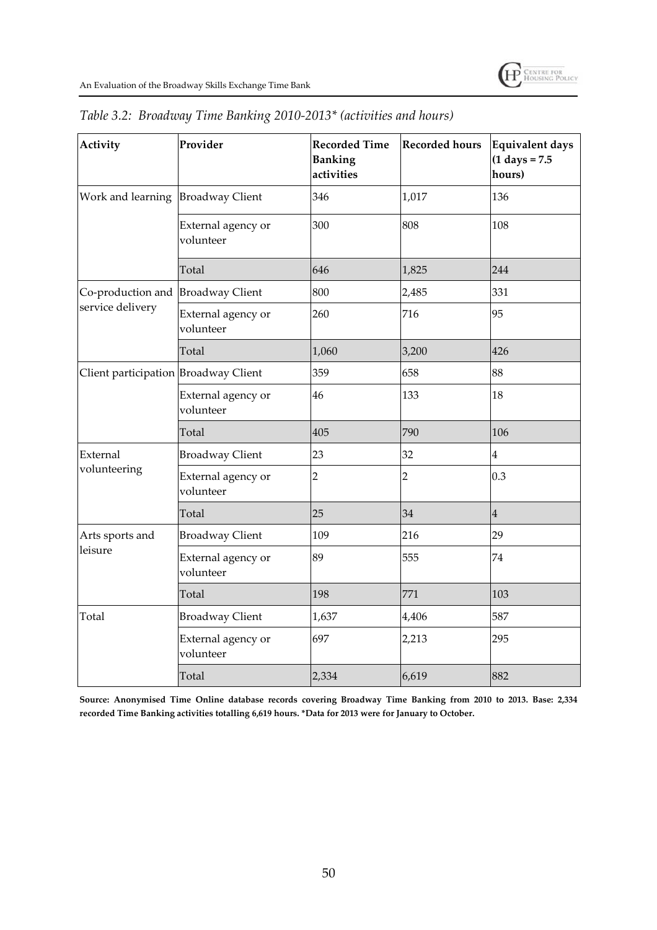| Activity                             | Provider                        | <b>Recorded Time</b><br><b>Banking</b><br>activities | <b>Recorded hours</b> | <b>Equivalent days</b><br>$(1 \text{ days} = 7.5)$<br>hours) |
|--------------------------------------|---------------------------------|------------------------------------------------------|-----------------------|--------------------------------------------------------------|
| Work and learning Broadway Client    |                                 | 346                                                  | 1,017                 | 136                                                          |
|                                      | External agency or<br>volunteer | 300                                                  | 808                   | 108                                                          |
|                                      | Total                           | 646                                                  | 1,825                 | 244                                                          |
| Co-production and Broadway Client    |                                 | 800                                                  | 2,485                 | 331                                                          |
| service delivery                     | External agency or<br>volunteer | 260                                                  | 716                   | 95                                                           |
|                                      | Total                           | 1,060                                                | 3,200                 | 426                                                          |
| Client participation Broadway Client |                                 | 359                                                  | 658                   | 88                                                           |
|                                      | External agency or<br>volunteer | 46                                                   | 133                   | 18                                                           |
|                                      | Total                           | 405                                                  | 790                   | 106                                                          |
| External                             | <b>Broadway Client</b>          | 23                                                   | 32                    | $\overline{\mathbf{4}}$                                      |
| volunteering                         | External agency or<br>volunteer | 2                                                    | $\overline{2}$        | 0.3                                                          |
|                                      | Total                           | 25                                                   | 34                    | $\overline{4}$                                               |
| Arts sports and                      | <b>Broadway Client</b>          | 109                                                  | 216                   | 29                                                           |
| leisure                              | External agency or<br>volunteer | 89                                                   | 555                   | 74                                                           |
|                                      | Total                           | 198                                                  | 771                   | 103                                                          |
| Total                                | <b>Broadway Client</b>          | 1,637                                                | 4,406                 | 587                                                          |
|                                      | External agency or<br>volunteer | 697                                                  | 2,213                 | 295                                                          |
|                                      | Total                           | 2,334                                                | 6,619                 | 882                                                          |

|  |  | Table 3.2: Broadway Time Banking 2010-2013* (activities and hours) |  |
|--|--|--------------------------------------------------------------------|--|
|  |  |                                                                    |  |

**Source: Anonymised Time Online database records covering Broadway Time Banking from 2010 to 2013. Base: 2,334 recorded Time Banking activities totalling 6,619 hours. \*Data for 2013 were for January to October.**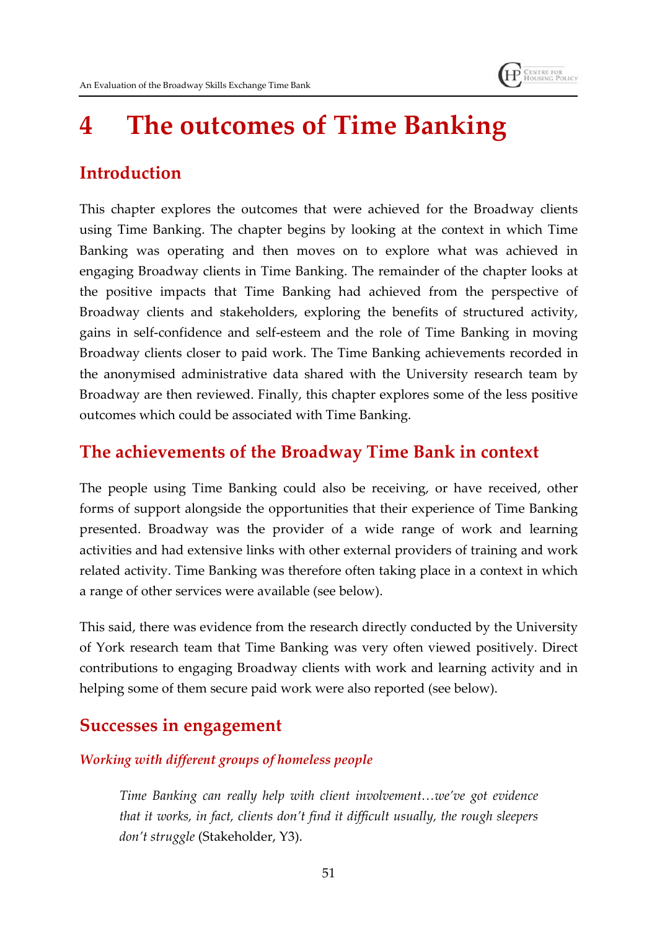# **4 The outcomes of Time Banking**

**HP** CENTRE FOR

# **Introduction**

This chapter explores the outcomes that were achieved for the Broadway clients using Time Banking. The chapter begins by looking at the context in which Time Banking was operating and then moves on to explore what was achieved in engaging Broadway clients in Time Banking. The remainder of the chapter looks at the positive impacts that Time Banking had achieved from the perspective of Broadway clients and stakeholders, exploring the benefits of structured activity, gains in self-confidence and self-esteem and the role of Time Banking in moving Broadway clients closer to paid work. The Time Banking achievements recorded in the anonymised administrative data shared with the University research team by Broadway are then reviewed. Finally, this chapter explores some of the less positive outcomes which could be associated with Time Banking.

### **The achievements of the Broadway Time Bank in context**

The people using Time Banking could also be receiving, or have received, other forms of support alongside the opportunities that their experience of Time Banking presented. Broadway was the provider of a wide range of work and learning activities and had extensive links with other external providers of training and work related activity. Time Banking was therefore often taking place in a context in which a range of other services were available (see below).

This said, there was evidence from the research directly conducted by the University of York research team that Time Banking was very often viewed positively. Direct contributions to engaging Broadway clients with work and learning activity and in helping some of them secure paid work were also reported (see below).

## **Successes in engagement**

#### *Working with different groups of homeless people*

*Time Banking can really help with client involvement…we've got evidence that it works, in fact, clients don't find it difficult usually, the rough sleepers don't struggle* (Stakeholder, Y3).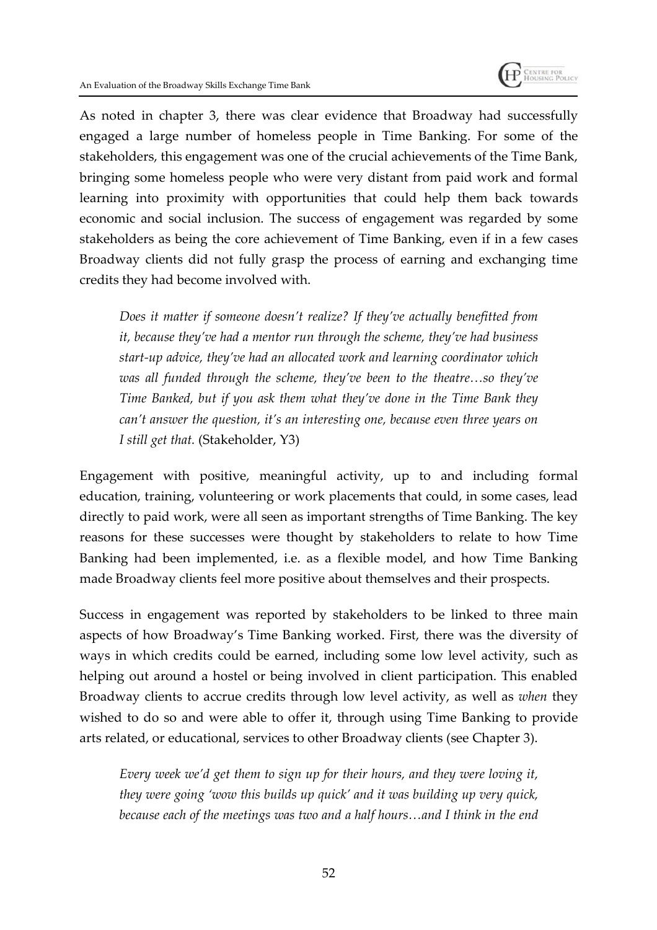

As noted in chapter 3, there was clear evidence that Broadway had successfully engaged a large number of homeless people in Time Banking. For some of the stakeholders, this engagement was one of the crucial achievements of the Time Bank, bringing some homeless people who were very distant from paid work and formal learning into proximity with opportunities that could help them back towards economic and social inclusion. The success of engagement was regarded by some stakeholders as being the core achievement of Time Banking, even if in a few cases Broadway clients did not fully grasp the process of earning and exchanging time credits they had become involved with.

*Does it matter if someone doesn't realize? If they've actually benefitted from it, because they've had a mentor run through the scheme, they've had business start-up advice, they've had an allocated work and learning coordinator which was all funded through the scheme, they've been to the theatre…so they've Time Banked, but if you ask them what they've done in the Time Bank they can't answer the question, it's an interesting one, because even three years on I still get that.* (Stakeholder, Y3)

Engagement with positive, meaningful activity, up to and including formal education, training, volunteering or work placements that could, in some cases, lead directly to paid work, were all seen as important strengths of Time Banking. The key reasons for these successes were thought by stakeholders to relate to how Time Banking had been implemented, i.e. as a flexible model, and how Time Banking made Broadway clients feel more positive about themselves and their prospects.

Success in engagement was reported by stakeholders to be linked to three main aspects of how Broadway's Time Banking worked. First, there was the diversity of ways in which credits could be earned, including some low level activity, such as helping out around a hostel or being involved in client participation. This enabled Broadway clients to accrue credits through low level activity, as well as *when* they wished to do so and were able to offer it, through using Time Banking to provide arts related, or educational, services to other Broadway clients (see Chapter 3).

*Every week we'd get them to sign up for their hours, and they were loving it, they were going 'wow this builds up quick' and it was building up very quick, because each of the meetings was two and a half hours…and I think in the end*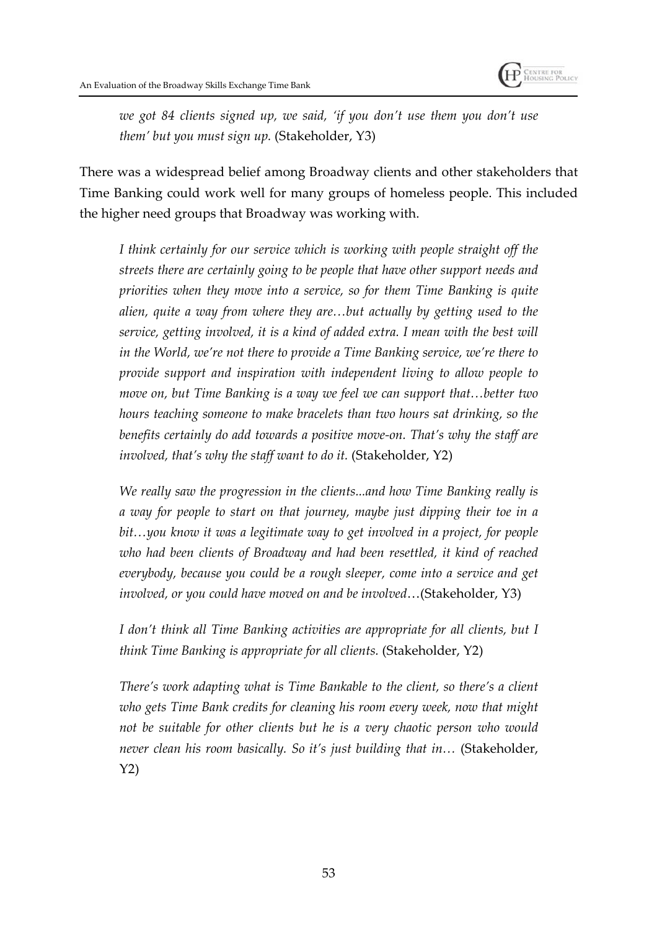

*we got 84 clients signed up, we said, 'if you don't use them you don't use them' but you must sign up.* (Stakeholder, Y3)

There was a widespread belief among Broadway clients and other stakeholders that Time Banking could work well for many groups of homeless people. This included the higher need groups that Broadway was working with.

*I think certainly for our service which is working with people straight off the streets there are certainly going to be people that have other support needs and priorities when they move into a service, so for them Time Banking is quite alien, quite a way from where they are…but actually by getting used to the service, getting involved, it is a kind of added extra. I mean with the best will in the World, we're not there to provide a Time Banking service, we're there to provide support and inspiration with independent living to allow people to move on, but Time Banking is a way we feel we can support that…better two hours teaching someone to make bracelets than two hours sat drinking, so the benefits certainly do add towards a positive move-on. That's why the staff are involved, that's why the staff want to do it.* (Stakeholder, Y2)

*We really saw the progression in the clients...and how Time Banking really is a way for people to start on that journey, maybe just dipping their toe in a bit…you know it was a legitimate way to get involved in a project, for people who had been clients of Broadway and had been resettled, it kind of reached everybody, because you could be a rough sleeper, come into a service and get involved, or you could have moved on and be involved*…(Stakeholder, Y3)

*I don't think all Time Banking activities are appropriate for all clients, but I think Time Banking is appropriate for all clients.* (Stakeholder, Y2)

*There's work adapting what is Time Bankable to the client, so there's a client who gets Time Bank credits for cleaning his room every week, now that might not be suitable for other clients but he is a very chaotic person who would never clean his room basically. So it's just building that in…* (Stakeholder, Y2)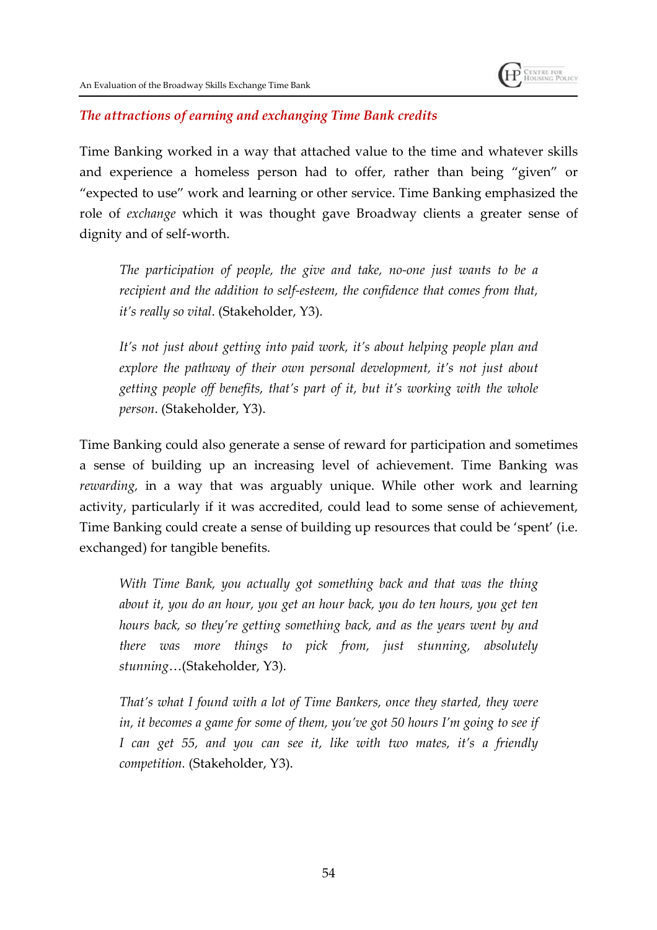#### *The attractions of earning and exchanging Time Bank credits*

Time Banking worked in a way that attached value to the time and whatever skills and experience a homeless person had to offer, rather than being "given" or "expected to use" work and learning or other service. Time Banking emphasized the role of *exchange* which it was thought gave Broadway clients a greater sense of dignity and of self-worth.

*The participation of people, the give and take, no-one just wants to be a recipient and the addition to self-esteem, the confidence that comes from that, it's really so vital*. (Stakeholder, Y3).

*It's not just about getting into paid work, it's about helping people plan and explore the pathway of their own personal development, it's not just about getting people off benefits, that's part of it, but it's working with the whole person*. (Stakeholder, Y3).

Time Banking could also generate a sense of reward for participation and sometimes a sense of building up an increasing level of achievement. Time Banking was *rewarding,* in a way that was arguably unique. While other work and learning activity, particularly if it was accredited, could lead to some sense of achievement, Time Banking could create a sense of building up resources that could be 'spent' (i.e. exchanged) for tangible benefits.

*With Time Bank, you actually got something back and that was the thing about it, you do an hour, you get an hour back, you do ten hours, you get ten hours back, so they're getting something back, and as the years went by and there was more things to pick from, just stunning, absolutely stunning*…(Stakeholder, Y3).

*That's what I found with a lot of Time Bankers, once they started, they were in, it becomes a game for some of them, you've got 50 hours I'm going to see if I can get 55, and you can see it, like with two mates, it's a friendly competition.* (Stakeholder, Y3).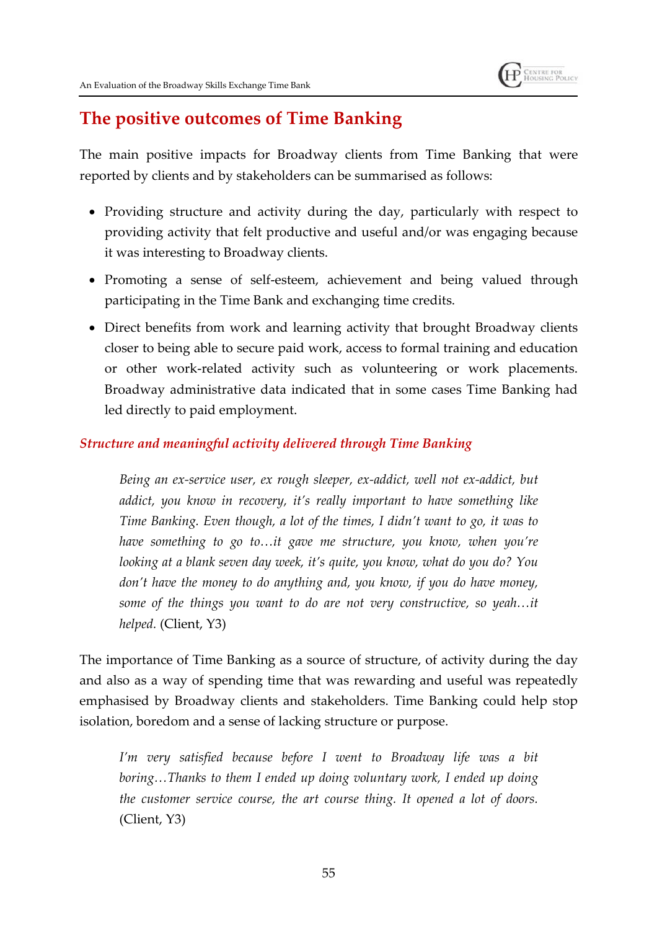

# **The positive outcomes of Time Banking**

The main positive impacts for Broadway clients from Time Banking that were reported by clients and by stakeholders can be summarised as follows:

- Providing structure and activity during the day, particularly with respect to providing activity that felt productive and useful and/or was engaging because it was interesting to Broadway clients.
- Promoting a sense of self-esteem, achievement and being valued through participating in the Time Bank and exchanging time credits.
- Direct benefits from work and learning activity that brought Broadway clients closer to being able to secure paid work, access to formal training and education or other work-related activity such as volunteering or work placements. Broadway administrative data indicated that in some cases Time Banking had led directly to paid employment.

#### *Structure and meaningful activity delivered through Time Banking*

*Being an ex-service user, ex rough sleeper, ex-addict, well not ex-addict, but addict, you know in recovery, it's really important to have something like Time Banking. Even though, a lot of the times, I didn't want to go, it was to have something to go to…it gave me structure, you know, when you're looking at a blank seven day week, it's quite, you know, what do you do? You don't have the money to do anything and, you know, if you do have money, some of the things you want to do are not very constructive, so yeah…it helped.* (Client, Y3)

The importance of Time Banking as a source of structure, of activity during the day and also as a way of spending time that was rewarding and useful was repeatedly emphasised by Broadway clients and stakeholders. Time Banking could help stop isolation, boredom and a sense of lacking structure or purpose.

*I'm very satisfied because before I went to Broadway life was a bit boring…Thanks to them I ended up doing voluntary work, I ended up doing the customer service course, the art course thing. It opened a lot of doors.* (Client, Y3)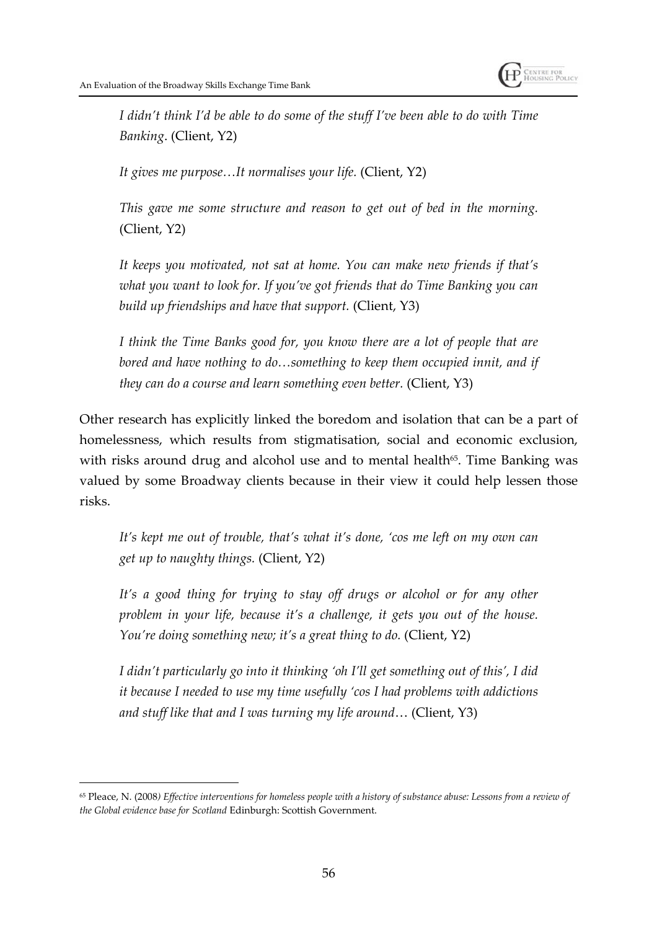

*I didn't think I'd be able to do some of the stuff I've been able to do with Time Banking*. (Client, Y2)

*It gives me purpose…It normalises your life.* (Client, Y2)

*This gave me some structure and reason to get out of bed in the morning.* (Client, Y2)

*It keeps you motivated, not sat at home. You can make new friends if that's what you want to look for. If you've got friends that do Time Banking you can build up friendships and have that support.* (Client, Y3)

*I think the Time Banks good for, you know there are a lot of people that are bored and have nothing to do…something to keep them occupied innit, and if they can do a course and learn something even better.* (Client, Y3)

Other research has explicitly linked the boredom and isolation that can be a part of homelessness, which results from stigmatisation, social and economic exclusion, with risks around drug and alcohol use and to mental health<sup> $65$ </sup>. Time Banking was valued by some Broadway clients because in their view it could help lessen those risks.

*It's kept me out of trouble, that's what it's done, 'cos me left on my own can get up to naughty things.* (Client, Y2)

*It's a good thing for trying to stay off drugs or alcohol or for any other problem in your life, because it's a challenge, it gets you out of the house. You're doing something new; it's a great thing to do.* (Client, Y2)

*I didn't particularly go into it thinking 'oh I'll get something out of this', I did it because I needed to use my time usefully 'cos I had problems with addictions and stuff like that and I was turning my life around*… (Client, Y3)

<sup>65</sup> Pleace, N. (2008*) Effective interventions for homeless people with a history of substance abuse: Lessons from a review of the Global evidence base for Scotland* Edinburgh: Scottish Government.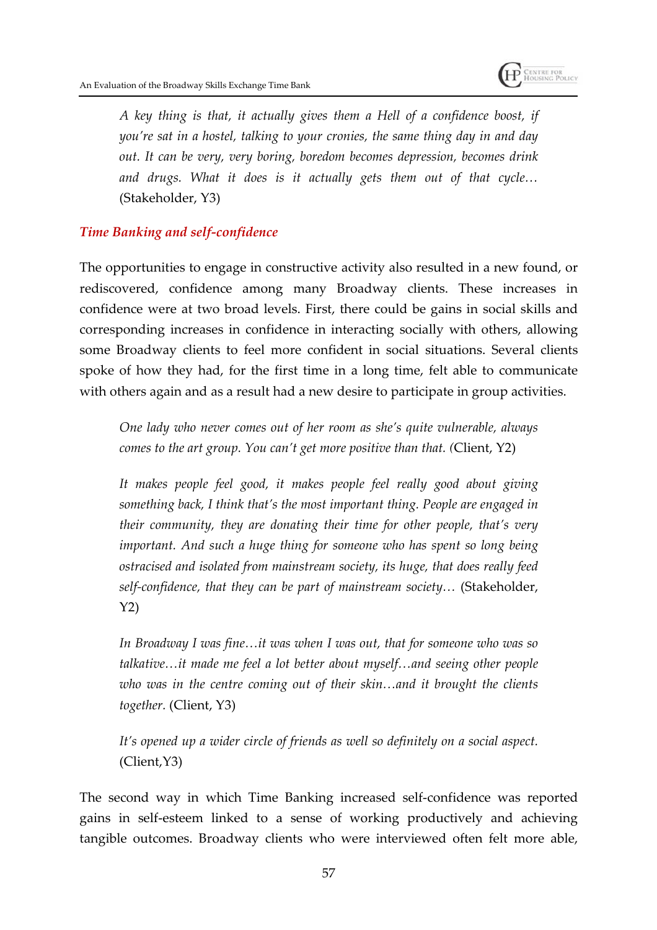

*A key thing is that, it actually gives them a Hell of a confidence boost, if you're sat in a hostel, talking to your cronies, the same thing day in and day out. It can be very, very boring, boredom becomes depression, becomes drink and drugs. What it does is it actually gets them out of that cycle…* (Stakeholder, Y3)

#### *Time Banking and self-confidence*

The opportunities to engage in constructive activity also resulted in a new found, or rediscovered, confidence among many Broadway clients. These increases in confidence were at two broad levels. First, there could be gains in social skills and corresponding increases in confidence in interacting socially with others, allowing some Broadway clients to feel more confident in social situations. Several clients spoke of how they had, for the first time in a long time, felt able to communicate with others again and as a result had a new desire to participate in group activities.

*One lady who never comes out of her room as she's quite vulnerable, always comes to the art group. You can't get more positive than that. (*Client, Y2)

*It makes people feel good, it makes people feel really good about giving something back, I think that's the most important thing. People are engaged in their community, they are donating their time for other people, that's very important. And such a huge thing for someone who has spent so long being ostracised and isolated from mainstream society, its huge, that does really feed self-confidence, that they can be part of mainstream society…* (Stakeholder, Y2)

*In Broadway I was fine…it was when I was out, that for someone who was so talkative…it made me feel a lot better about myself…and seeing other people who was in the centre coming out of their skin…and it brought the clients together.* (Client, Y3)

*It's opened up a wider circle of friends as well so definitely on a social aspect.* (Client,Y3)

The second way in which Time Banking increased self-confidence was reported gains in self-esteem linked to a sense of working productively and achieving tangible outcomes. Broadway clients who were interviewed often felt more able,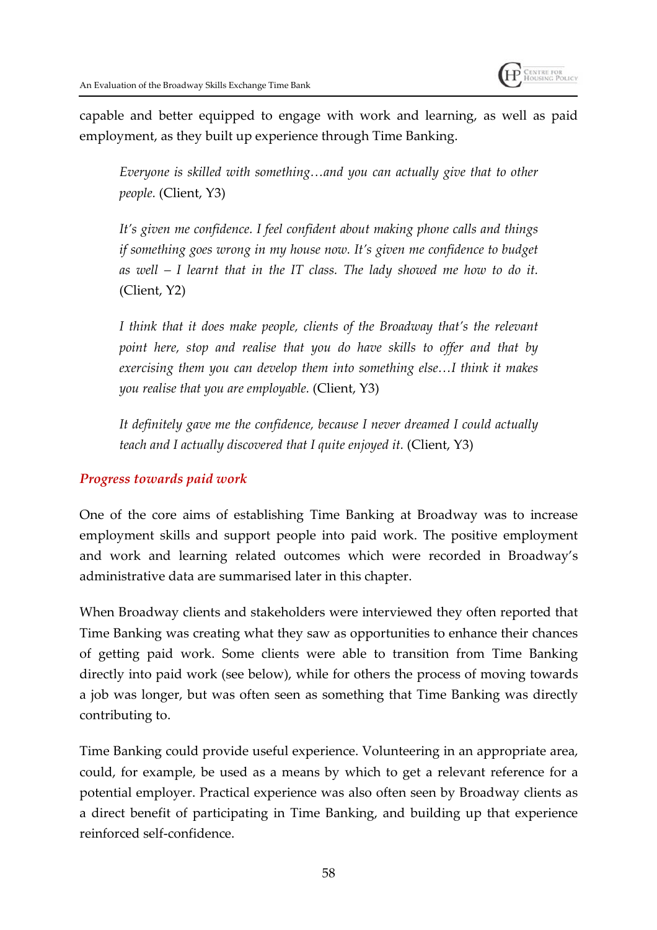

capable and better equipped to engage with work and learning, as well as paid employment, as they built up experience through Time Banking.

*Everyone is skilled with something…and you can actually give that to other people.* (Client, Y3)

*It's given me confidence. I feel confident about making phone calls and things if something goes wrong in my house now. It's given me confidence to budget as well – I learnt that in the IT class. The lady showed me how to do it.* (Client, Y2)

*I think that it does make people, clients of the Broadway that's the relevant point here, stop and realise that you do have skills to offer and that by exercising them you can develop them into something else…I think it makes you realise that you are employable.* (Client, Y3)

*It definitely gave me the confidence, because I never dreamed I could actually teach and I actually discovered that I quite enjoyed it.* (Client, Y3)

#### *Progress towards paid work*

One of the core aims of establishing Time Banking at Broadway was to increase employment skills and support people into paid work. The positive employment and work and learning related outcomes which were recorded in Broadway's administrative data are summarised later in this chapter.

When Broadway clients and stakeholders were interviewed they often reported that Time Banking was creating what they saw as opportunities to enhance their chances of getting paid work. Some clients were able to transition from Time Banking directly into paid work (see below), while for others the process of moving towards a job was longer, but was often seen as something that Time Banking was directly contributing to.

Time Banking could provide useful experience. Volunteering in an appropriate area, could, for example, be used as a means by which to get a relevant reference for a potential employer. Practical experience was also often seen by Broadway clients as a direct benefit of participating in Time Banking, and building up that experience reinforced self-confidence.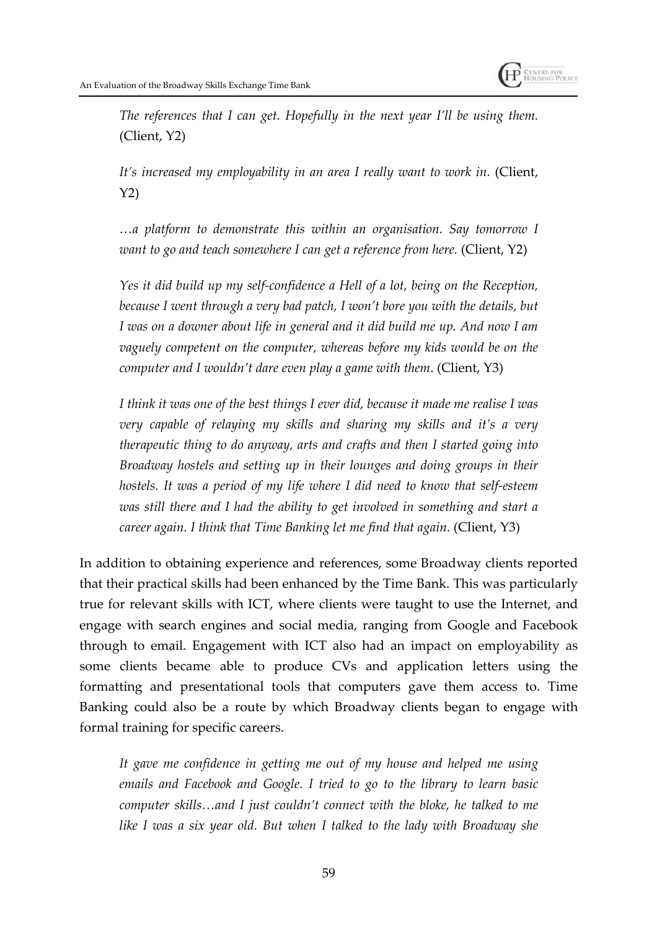

*The references that I can get. Hopefully in the next year I'll be using them.* (Client, Y2)

*It's increased my employability in an area I really want to work in.* (Client, Y2)

*…a platform to demonstrate this within an organisation. Say tomorrow I want to go and teach somewhere I can get a reference from here.* (Client, Y2)

*Yes it did build up my self-confidence a Hell of a lot, being on the Reception, because I went through a very bad patch, I won't bore you with the details, but I was on a downer about life in general and it did build me up. And now I am vaguely competent on the computer, whereas before my kids would be on the computer and I wouldn't dare even play a game with them*. (Client, Y3)

*I think it was one of the best things I ever did, because it made me realise I was very capable of relaying my skills and sharing my skills and it's a very therapeutic thing to do anyway, arts and crafts and then I started going into Broadway hostels and setting up in their lounges and doing groups in their hostels. It was a period of my life where I did need to know that self-esteem was still there and I had the ability to get involved in something and start a career again. I think that Time Banking let me find that again.* (Client, Y3)

In addition to obtaining experience and references, some Broadway clients reported that their practical skills had been enhanced by the Time Bank. This was particularly true for relevant skills with ICT, where clients were taught to use the Internet, and engage with search engines and social media, ranging from Google and Facebook through to email. Engagement with ICT also had an impact on employability as some clients became able to produce CVs and application letters using the formatting and presentational tools that computers gave them access to. Time Banking could also be a route by which Broadway clients began to engage with formal training for specific careers.

*It gave me confidence in getting me out of my house and helped me using emails and Facebook and Google. I tried to go to the library to learn basic computer skills…and I just couldn't connect with the bloke, he talked to me like I was a six year old. But when I talked to the lady with Broadway she*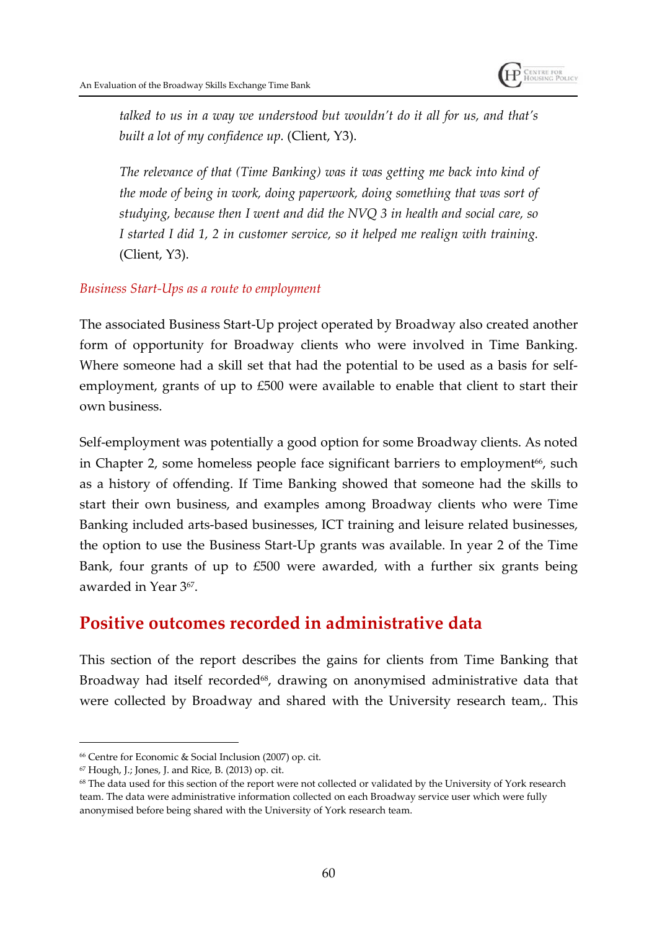

*talked to us in a way we understood but wouldn't do it all for us, and that's built a lot of my confidence up.* (Client, Y3).

*The relevance of that (Time Banking) was it was getting me back into kind of the mode of being in work, doing paperwork, doing something that was sort of studying, because then I went and did the NVQ 3 in health and social care, so I started I did 1, 2 in customer service, so it helped me realign with training.* (Client, Y3).

#### *Business Start-Ups as a route to employment*

The associated Business Start-Up project operated by Broadway also created another form of opportunity for Broadway clients who were involved in Time Banking. Where someone had a skill set that had the potential to be used as a basis for selfemployment, grants of up to £500 were available to enable that client to start their own business.

Self-employment was potentially a good option for some Broadway clients. As noted in Chapter 2, some homeless people face significant barriers to employment<sup>66</sup>, such as a history of offending. If Time Banking showed that someone had the skills to start their own business, and examples among Broadway clients who were Time Banking included arts-based businesses, ICT training and leisure related businesses, the option to use the Business Start-Up grants was available. In year 2 of the Time Bank, four grants of up to £500 were awarded, with a further six grants being awarded in Year 3<sup>67</sup> .

#### **Positive outcomes recorded in administrative data**

This section of the report describes the gains for clients from Time Banking that Broadway had itself recorded<sup>68</sup>, drawing on anonymised administrative data that were collected by Broadway and shared with the University research team,. This

<sup>66</sup> Centre for Economic & Social Inclusion (2007) op. cit.

<sup>67</sup> Hough, J.; Jones, J. and Rice, B. (2013) op. cit.

<sup>68</sup> The data used for this section of the report were not collected or validated by the University of York research team. The data were administrative information collected on each Broadway service user which were fully anonymised before being shared with the University of York research team.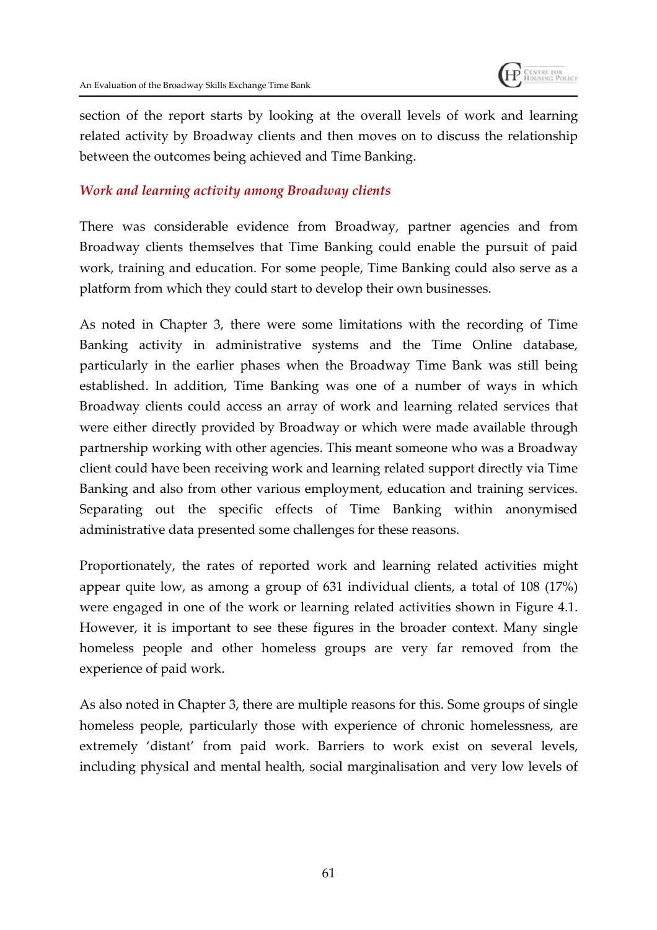

section of the report starts by looking at the overall levels of work and learning related activity by Broadway clients and then moves on to discuss the relationship between the outcomes being achieved and Time Banking.

#### *Work and learning activity among Broadway clients*

There was considerable evidence from Broadway, partner agencies and from Broadway clients themselves that Time Banking could enable the pursuit of paid work, training and education. For some people, Time Banking could also serve as a platform from which they could start to develop their own businesses.

As noted in Chapter 3, there were some limitations with the recording of Time Banking activity in administrative systems and the Time Online database, particularly in the earlier phases when the Broadway Time Bank was still being established. In addition, Time Banking was one of a number of ways in which Broadway clients could access an array of work and learning related services that were either directly provided by Broadway or which were made available through partnership working with other agencies. This meant someone who was a Broadway client could have been receiving work and learning related support directly via Time Banking and also from other various employment, education and training services. Separating out the specific effects of Time Banking within anonymised administrative data presented some challenges for these reasons.

Proportionately, the rates of reported work and learning related activities might appear quite low, as among a group of 631 individual clients, a total of 108 (17%) were engaged in one of the work or learning related activities shown in Figure 4.1. However, it is important to see these figures in the broader context. Many single homeless people and other homeless groups are very far removed from the experience of paid work.

As also noted in Chapter 3, there are multiple reasons for this. Some groups of single homeless people, particularly those with experience of chronic homelessness, are extremely 'distant' from paid work. Barriers to work exist on several levels, including physical and mental health, social marginalisation and very low levels of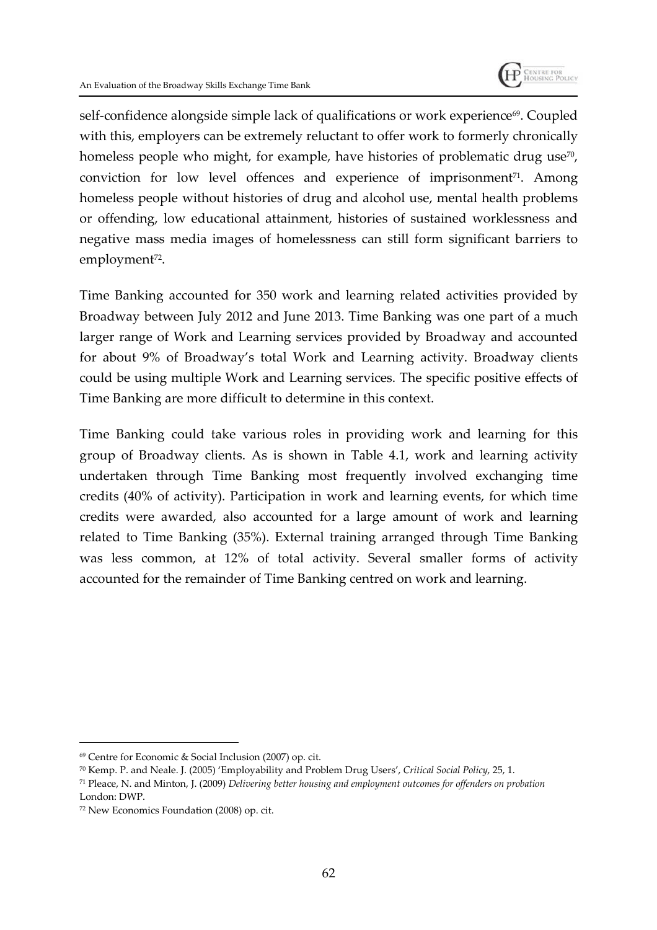

self-confidence alongside simple lack of qualifications or work experience<sup>69</sup>. Coupled with this, employers can be extremely reluctant to offer work to formerly chronically homeless people who might, for example, have histories of problematic drug use<sup>70</sup>, conviction for low level offences and experience of imprisonment $71$ . Among homeless people without histories of drug and alcohol use, mental health problems or offending, low educational attainment, histories of sustained worklessness and negative mass media images of homelessness can still form significant barriers to employment<sup>72</sup>.

Time Banking accounted for 350 work and learning related activities provided by Broadway between July 2012 and June 2013. Time Banking was one part of a much larger range of Work and Learning services provided by Broadway and accounted for about 9% of Broadway's total Work and Learning activity. Broadway clients could be using multiple Work and Learning services. The specific positive effects of Time Banking are more difficult to determine in this context.

Time Banking could take various roles in providing work and learning for this group of Broadway clients. As is shown in Table 4.1, work and learning activity undertaken through Time Banking most frequently involved exchanging time credits (40% of activity). Participation in work and learning events, for which time credits were awarded, also accounted for a large amount of work and learning related to Time Banking (35%). External training arranged through Time Banking was less common, at 12% of total activity. Several smaller forms of activity accounted for the remainder of Time Banking centred on work and learning.

<sup>69</sup> Centre for Economic & Social Inclusion (2007) op. cit.

<sup>70</sup> Kemp. P. and Neale. J. (2005) 'Employability and Problem Drug Users', *Critical Social Policy*, 25, 1.

<sup>71</sup> Pleace, N. and Minton, J. (2009) *Delivering better housing and employment outcomes for offenders on probation* London: DWP.

<sup>72</sup> New Economics Foundation (2008) op. cit.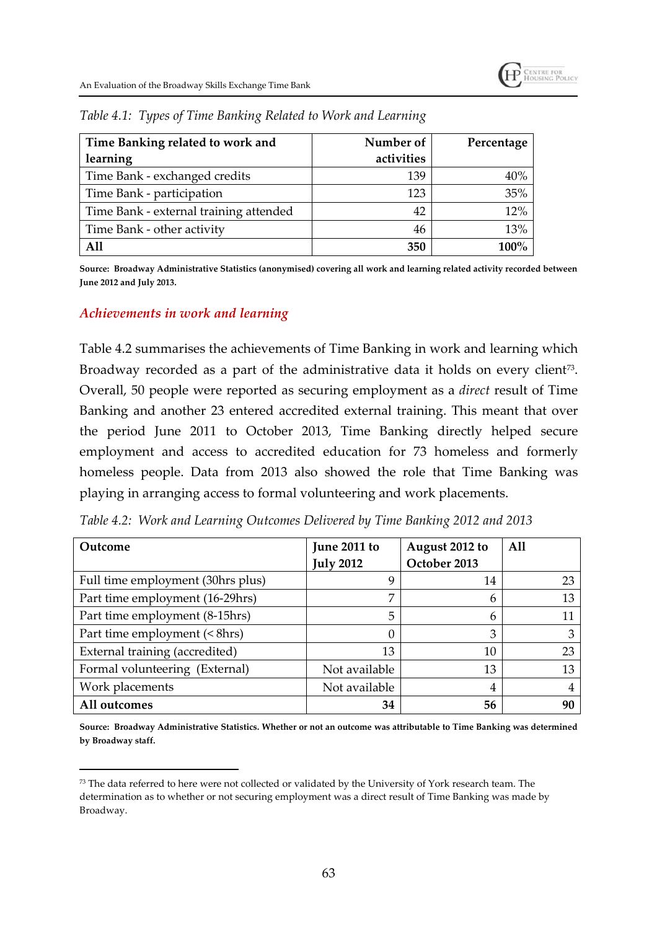| Time Banking related to work and       | Number of  | Percentage |  |
|----------------------------------------|------------|------------|--|
| learning                               | activities |            |  |
| Time Bank - exchanged credits          | 139        | 40%        |  |
| Time Bank - participation              | 123        | 35%        |  |
| Time Bank - external training attended | 42         | 12%        |  |
| Time Bank - other activity             | 46         | 13%        |  |
| A11                                    | 350        | 100%       |  |

*Table 4.1: Types of Time Banking Related to Work and Learning*

**Source: Broadway Administrative Statistics (anonymised) covering all work and learning related activity recorded between June 2012 and July 2013.**

#### *Achievements in work and learning*

Table 4.2 summarises the achievements of Time Banking in work and learning which Broadway recorded as a part of the administrative data it holds on every client $^{\rm 73}.$ Overall, 50 people were reported as securing employment as a *direct* result of Time Banking and another 23 entered accredited external training. This meant that over the period June 2011 to October 2013, Time Banking directly helped secure employment and access to accredited education for 73 homeless and formerly homeless people. Data from 2013 also showed the role that Time Banking was playing in arranging access to formal volunteering and work placements.

*Table 4.2: Work and Learning Outcomes Delivered by Time Banking 2012 and 2013*

| Outcome                           | June 2011 to     | August 2012 to | All |
|-----------------------------------|------------------|----------------|-----|
|                                   | <b>July 2012</b> | October 2013   |     |
| Full time employment (30hrs plus) | 9                | 14             | 23  |
| Part time employment (16-29hrs)   | 7                | 6              | 13  |
| Part time employment (8-15hrs)    | 5                | 6              |     |
| Part time employment (< 8hrs)     | $\theta$         | 3              | 3   |
| External training (accredited)    | 13               | 10             | 23  |
| Formal volunteering (External)    | Not available    | 13             | 13  |
| Work placements                   | Not available    | 4              |     |
| All outcomes                      | 34               | 56             | 90  |

**Source: Broadway Administrative Statistics. Whether or not an outcome was attributable to Time Banking was determined by Broadway staff.**

<sup>73</sup> The data referred to here were not collected or validated by the University of York research team. The determination as to whether or not securing employment was a direct result of Time Banking was made by Broadway.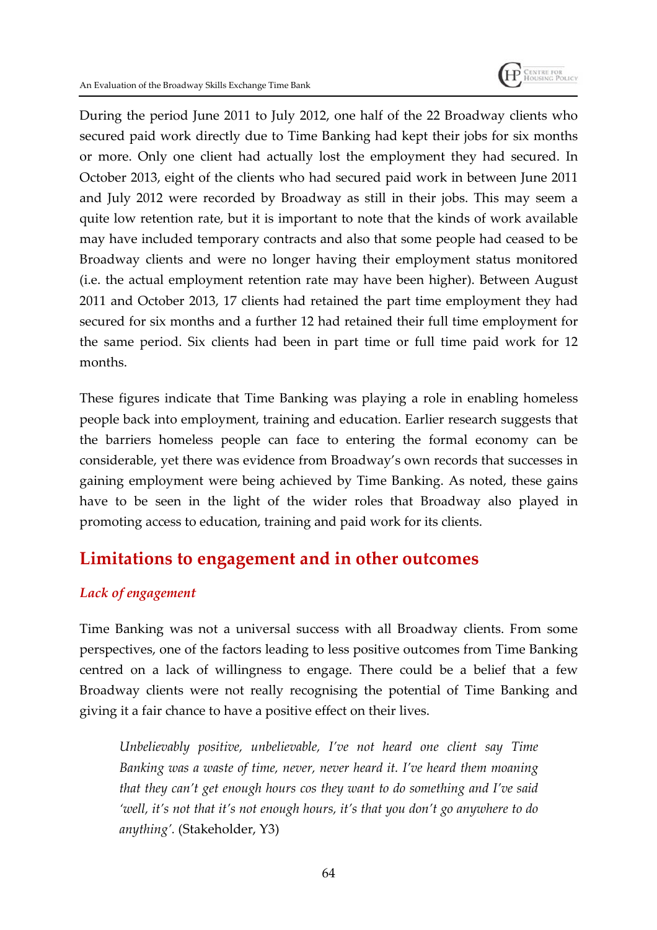

During the period June 2011 to July 2012, one half of the 22 Broadway clients who secured paid work directly due to Time Banking had kept their jobs for six months or more. Only one client had actually lost the employment they had secured. In October 2013, eight of the clients who had secured paid work in between June 2011 and July 2012 were recorded by Broadway as still in their jobs. This may seem a quite low retention rate, but it is important to note that the kinds of work available may have included temporary contracts and also that some people had ceased to be Broadway clients and were no longer having their employment status monitored (i.e. the actual employment retention rate may have been higher). Between August 2011 and October 2013, 17 clients had retained the part time employment they had secured for six months and a further 12 had retained their full time employment for the same period. Six clients had been in part time or full time paid work for 12 months.

These figures indicate that Time Banking was playing a role in enabling homeless people back into employment, training and education. Earlier research suggests that the barriers homeless people can face to entering the formal economy can be considerable, yet there was evidence from Broadway's own records that successes in gaining employment were being achieved by Time Banking. As noted, these gains have to be seen in the light of the wider roles that Broadway also played in promoting access to education, training and paid work for its clients.

### **Limitations to engagement and in other outcomes**

#### *Lack of engagement*

Time Banking was not a universal success with all Broadway clients. From some perspectives, one of the factors leading to less positive outcomes from Time Banking centred on a lack of willingness to engage. There could be a belief that a few Broadway clients were not really recognising the potential of Time Banking and giving it a fair chance to have a positive effect on their lives.

*Unbelievably positive, unbelievable, I've not heard one client say Time Banking was a waste of time, never, never heard it. I've heard them moaning that they can't get enough hours cos they want to do something and I've said 'well, it's not that it's not enough hours, it's that you don't go anywhere to do anything'.* (Stakeholder, Y3)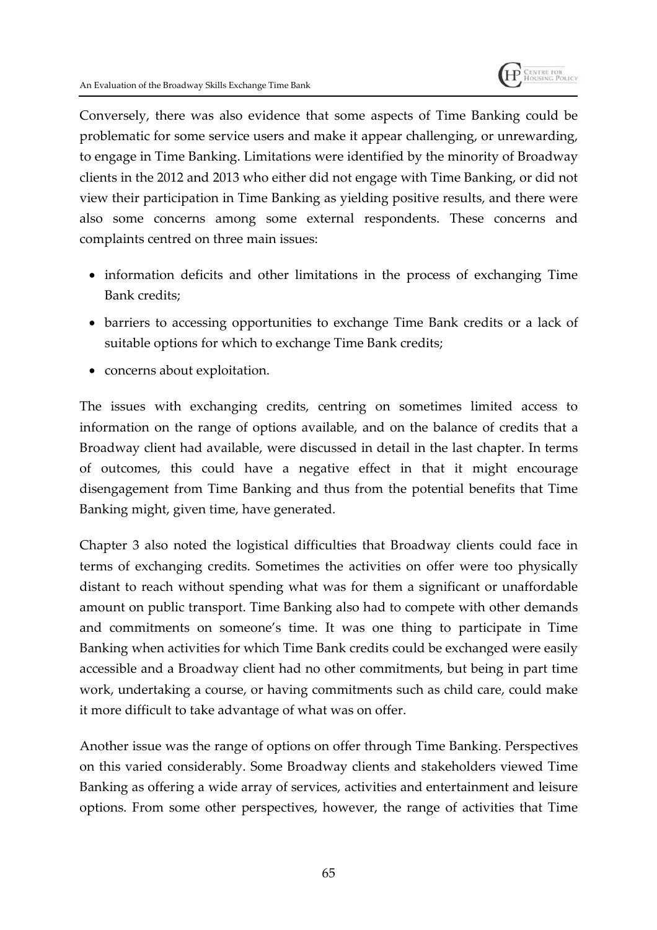

Conversely, there was also evidence that some aspects of Time Banking could be problematic for some service users and make it appear challenging, or unrewarding, to engage in Time Banking. Limitations were identified by the minority of Broadway clients in the 2012 and 2013 who either did not engage with Time Banking, or did not view their participation in Time Banking as yielding positive results, and there were also some concerns among some external respondents. These concerns and complaints centred on three main issues:

- information deficits and other limitations in the process of exchanging Time Bank credits;
- barriers to accessing opportunities to exchange Time Bank credits or a lack of suitable options for which to exchange Time Bank credits;
- concerns about exploitation.

The issues with exchanging credits, centring on sometimes limited access to information on the range of options available, and on the balance of credits that a Broadway client had available, were discussed in detail in the last chapter. In terms of outcomes, this could have a negative effect in that it might encourage disengagement from Time Banking and thus from the potential benefits that Time Banking might, given time, have generated.

Chapter 3 also noted the logistical difficulties that Broadway clients could face in terms of exchanging credits. Sometimes the activities on offer were too physically distant to reach without spending what was for them a significant or unaffordable amount on public transport. Time Banking also had to compete with other demands and commitments on someone's time. It was one thing to participate in Time Banking when activities for which Time Bank credits could be exchanged were easily accessible and a Broadway client had no other commitments, but being in part time work, undertaking a course, or having commitments such as child care, could make it more difficult to take advantage of what was on offer.

Another issue was the range of options on offer through Time Banking. Perspectives on this varied considerably. Some Broadway clients and stakeholders viewed Time Banking as offering a wide array of services, activities and entertainment and leisure options. From some other perspectives, however, the range of activities that Time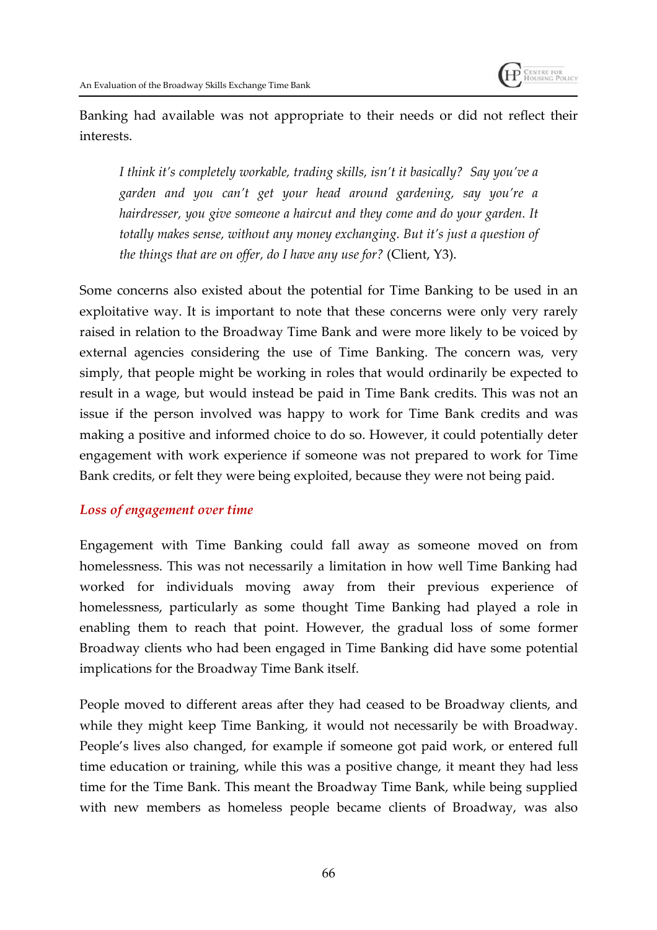

Banking had available was not appropriate to their needs or did not reflect their interests.

*I think it's completely workable, trading skills, isn't it basically? Say you've a garden and you can't get your head around gardening, say you're a hairdresser, you give someone a haircut and they come and do your garden. It totally makes sense, without any money exchanging. But it's just a question of the things that are on offer, do I have any use for?* (Client, Y3).

Some concerns also existed about the potential for Time Banking to be used in an exploitative way. It is important to note that these concerns were only very rarely raised in relation to the Broadway Time Bank and were more likely to be voiced by external agencies considering the use of Time Banking. The concern was, very simply, that people might be working in roles that would ordinarily be expected to result in a wage, but would instead be paid in Time Bank credits. This was not an issue if the person involved was happy to work for Time Bank credits and was making a positive and informed choice to do so. However, it could potentially deter engagement with work experience if someone was not prepared to work for Time Bank credits, or felt they were being exploited, because they were not being paid.

#### *Loss of engagement over time*

Engagement with Time Banking could fall away as someone moved on from homelessness. This was not necessarily a limitation in how well Time Banking had worked for individuals moving away from their previous experience of homelessness, particularly as some thought Time Banking had played a role in enabling them to reach that point. However, the gradual loss of some former Broadway clients who had been engaged in Time Banking did have some potential implications for the Broadway Time Bank itself.

People moved to different areas after they had ceased to be Broadway clients, and while they might keep Time Banking, it would not necessarily be with Broadway. People's lives also changed, for example if someone got paid work, or entered full time education or training, while this was a positive change, it meant they had less time for the Time Bank. This meant the Broadway Time Bank, while being supplied with new members as homeless people became clients of Broadway, was also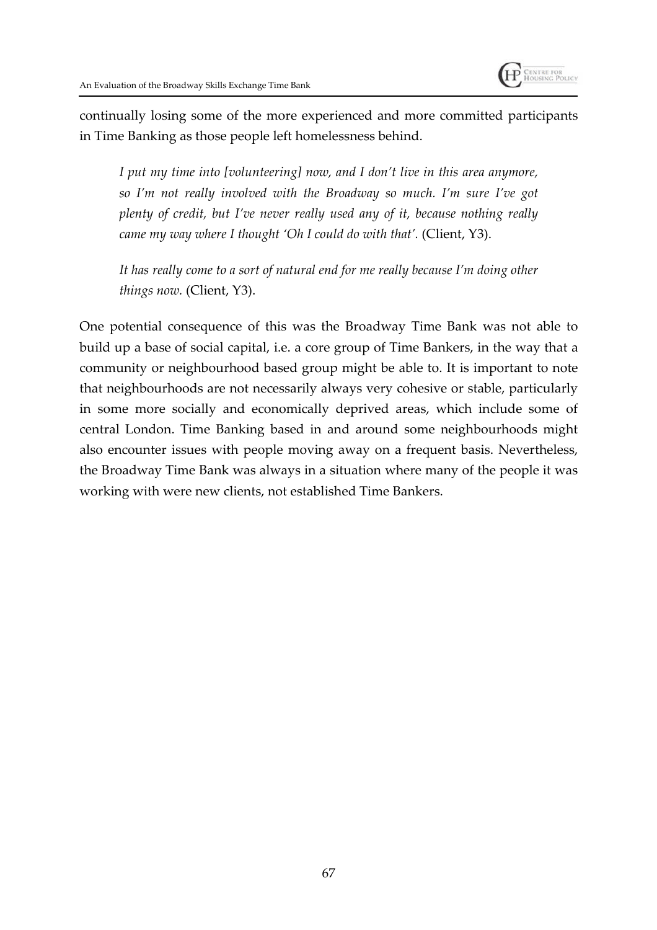

continually losing some of the more experienced and more committed participants in Time Banking as those people left homelessness behind.

*I put my time into [volunteering] now, and I don't live in this area anymore, so I'm not really involved with the Broadway so much. I'm sure I've got plenty of credit, but I've never really used any of it, because nothing really came my way where I thought 'Oh I could do with that'.* (Client, Y3).

*It has really come to a sort of natural end for me really because I'm doing other things now.* (Client, Y3).

One potential consequence of this was the Broadway Time Bank was not able to build up a base of social capital, i.e. a core group of Time Bankers, in the way that a community or neighbourhood based group might be able to. It is important to note that neighbourhoods are not necessarily always very cohesive or stable, particularly in some more socially and economically deprived areas, which include some of central London. Time Banking based in and around some neighbourhoods might also encounter issues with people moving away on a frequent basis. Nevertheless, the Broadway Time Bank was always in a situation where many of the people it was working with were new clients, not established Time Bankers.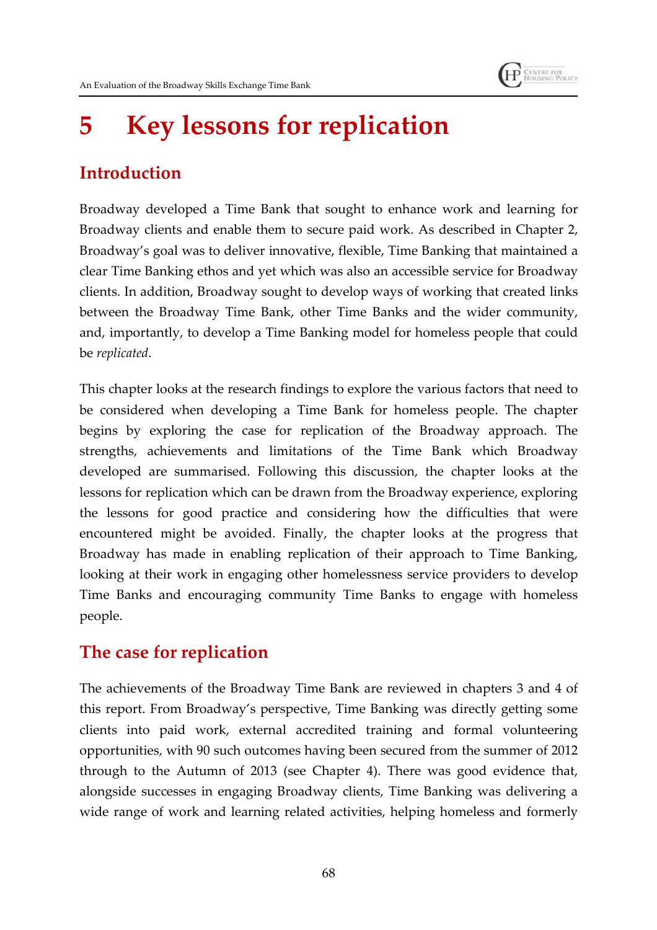# **5 Key lessons for replication**

## **Introduction**

Broadway developed a Time Bank that sought to enhance work and learning for Broadway clients and enable them to secure paid work. As described in Chapter 2, Broadway's goal was to deliver innovative, flexible, Time Banking that maintained a clear Time Banking ethos and yet which was also an accessible service for Broadway clients. In addition, Broadway sought to develop ways of working that created links between the Broadway Time Bank, other Time Banks and the wider community, and, importantly, to develop a Time Banking model for homeless people that could be *replicated*.

This chapter looks at the research findings to explore the various factors that need to be considered when developing a Time Bank for homeless people. The chapter begins by exploring the case for replication of the Broadway approach. The strengths, achievements and limitations of the Time Bank which Broadway developed are summarised. Following this discussion, the chapter looks at the lessons for replication which can be drawn from the Broadway experience, exploring the lessons for good practice and considering how the difficulties that were encountered might be avoided. Finally, the chapter looks at the progress that Broadway has made in enabling replication of their approach to Time Banking, looking at their work in engaging other homelessness service providers to develop Time Banks and encouraging community Time Banks to engage with homeless people.

## **The case for replication**

The achievements of the Broadway Time Bank are reviewed in chapters 3 and 4 of this report. From Broadway's perspective, Time Banking was directly getting some clients into paid work, external accredited training and formal volunteering opportunities, with 90 such outcomes having been secured from the summer of 2012 through to the Autumn of 2013 (see Chapter 4). There was good evidence that, alongside successes in engaging Broadway clients, Time Banking was delivering a wide range of work and learning related activities, helping homeless and formerly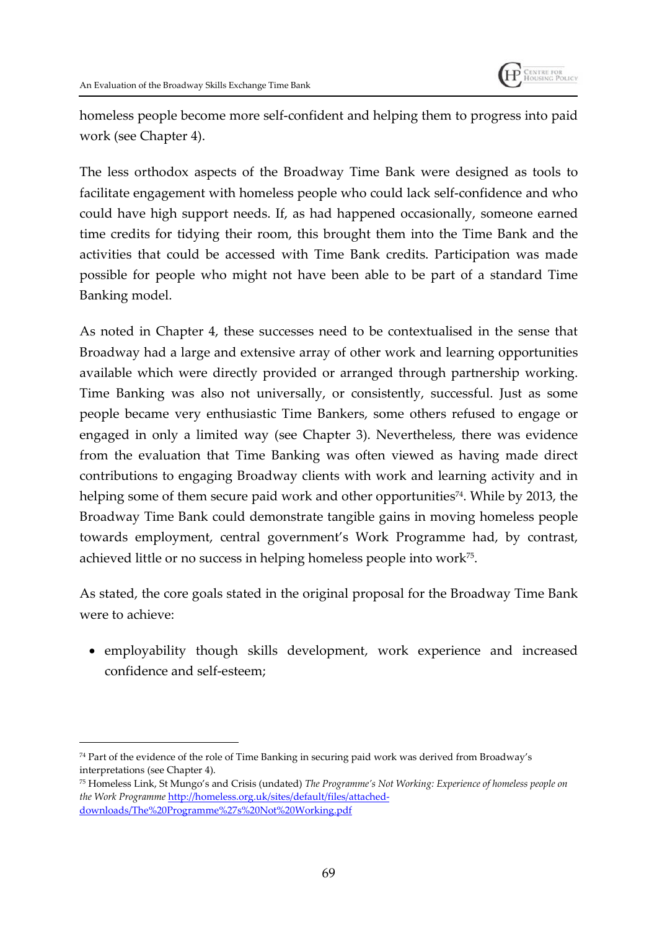

homeless people become more self-confident and helping them to progress into paid work (see Chapter 4).

The less orthodox aspects of the Broadway Time Bank were designed as tools to facilitate engagement with homeless people who could lack self-confidence and who could have high support needs. If, as had happened occasionally, someone earned time credits for tidying their room, this brought them into the Time Bank and the activities that could be accessed with Time Bank credits. Participation was made possible for people who might not have been able to be part of a standard Time Banking model.

As noted in Chapter 4, these successes need to be contextualised in the sense that Broadway had a large and extensive array of other work and learning opportunities available which were directly provided or arranged through partnership working. Time Banking was also not universally, or consistently, successful. Just as some people became very enthusiastic Time Bankers, some others refused to engage or engaged in only a limited way (see Chapter 3). Nevertheless, there was evidence from the evaluation that Time Banking was often viewed as having made direct contributions to engaging Broadway clients with work and learning activity and in helping some of them secure paid work and other opportunities<sup>74</sup>. While by 2013, the Broadway Time Bank could demonstrate tangible gains in moving homeless people towards employment, central government's Work Programme had, by contrast, achieved little or no success in helping homeless people into work $^{75}.$ 

As stated, the core goals stated in the original proposal for the Broadway Time Bank were to achieve:

 employability though skills development, work experience and increased confidence and self-esteem;

<sup>74</sup> Part of the evidence of the role of Time Banking in securing paid work was derived from Broadway's interpretations (see Chapter 4).

<sup>75</sup> Homeless Link, St Mungo's and Crisis (undated) *The Programme's Not Working: Experience of homeless people on the Work Programme* http://homeless.org.uk/sites/default/files/attacheddownloads/The%20Programme%27s%20Not%20Working.pdf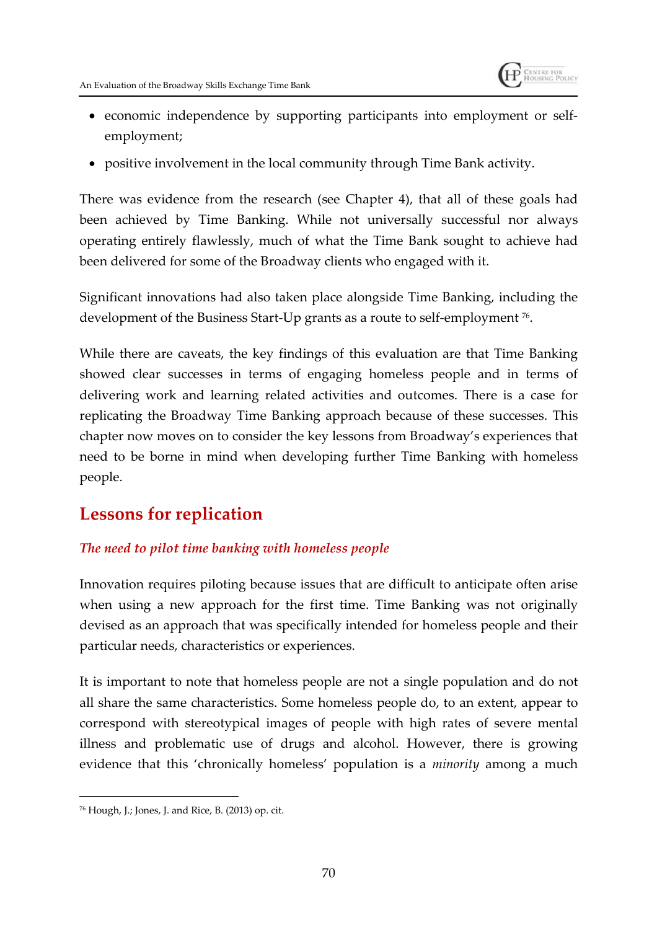

- economic independence by supporting participants into employment or selfemployment;
- positive involvement in the local community through Time Bank activity.

There was evidence from the research (see Chapter 4), that all of these goals had been achieved by Time Banking. While not universally successful nor always operating entirely flawlessly, much of what the Time Bank sought to achieve had been delivered for some of the Broadway clients who engaged with it.

Significant innovations had also taken place alongside Time Banking, including the development of the Business Start-Up grants as a route to self-employment <sup>76</sup> .

While there are caveats, the key findings of this evaluation are that Time Banking showed clear successes in terms of engaging homeless people and in terms of delivering work and learning related activities and outcomes. There is a case for replicating the Broadway Time Banking approach because of these successes. This chapter now moves on to consider the key lessons from Broadway's experiences that need to be borne in mind when developing further Time Banking with homeless people.

## **Lessons for replication**

#### *The need to pilot time banking with homeless people*

Innovation requires piloting because issues that are difficult to anticipate often arise when using a new approach for the first time. Time Banking was not originally devised as an approach that was specifically intended for homeless people and their particular needs, characteristics or experiences.

It is important to note that homeless people are not a single population and do not all share the same characteristics. Some homeless people do, to an extent, appear to correspond with stereotypical images of people with high rates of severe mental illness and problematic use of drugs and alcohol. However, there is growing evidence that this 'chronically homeless' population is a *minority* among a much

<sup>76</sup> Hough, J.; Jones, J. and Rice, B. (2013) op. cit.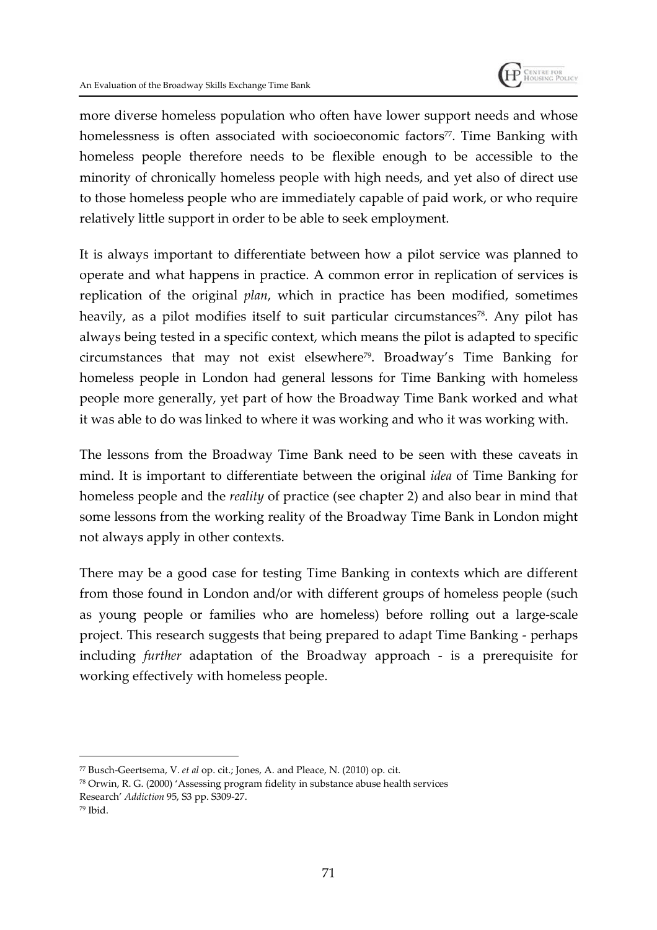

more diverse homeless population who often have lower support needs and whose homelessness is often associated with socioeconomic factors<sup>77</sup>. Time Banking with homeless people therefore needs to be flexible enough to be accessible to the minority of chronically homeless people with high needs, and yet also of direct use to those homeless people who are immediately capable of paid work, or who require relatively little support in order to be able to seek employment.

It is always important to differentiate between how a pilot service was planned to operate and what happens in practice. A common error in replication of services is replication of the original *plan*, which in practice has been modified, sometimes heavily, as a pilot modifies itself to suit particular circumstances<sup>78</sup>. Any pilot has always being tested in a specific context, which means the pilot is adapted to specific circumstances that may not exist elsewhere<sup>79</sup>. Broadway's Time Banking for homeless people in London had general lessons for Time Banking with homeless people more generally, yet part of how the Broadway Time Bank worked and what it was able to do was linked to where it was working and who it was working with.

The lessons from the Broadway Time Bank need to be seen with these caveats in mind. It is important to differentiate between the original *idea* of Time Banking for homeless people and the *reality* of practice (see chapter 2) and also bear in mind that some lessons from the working reality of the Broadway Time Bank in London might not always apply in other contexts.

There may be a good case for testing Time Banking in contexts which are different from those found in London and/or with different groups of homeless people (such as young people or families who are homeless) before rolling out a large-scale project. This research suggests that being prepared to adapt Time Banking - perhaps including *further* adaptation of the Broadway approach - is a prerequisite for working effectively with homeless people.

<sup>77</sup> Busch-Geertsema, V. *et al* op. cit.; Jones, A. and Pleace, N. (2010) op. cit.

<sup>78</sup> Orwin, R. G. (2000) 'Assessing program fidelity in substance abuse health services Research' *Addiction* 95, S3 pp. S309-27.

<sup>79</sup> Ibid.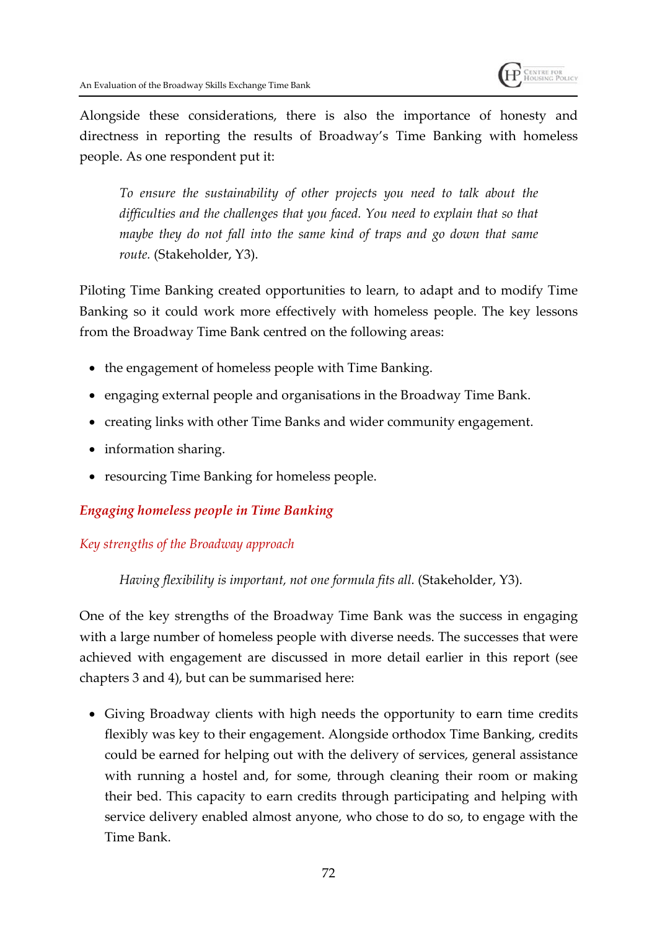

Alongside these considerations, there is also the importance of honesty and directness in reporting the results of Broadway's Time Banking with homeless people. As one respondent put it:

*To ensure the sustainability of other projects you need to talk about the difficulties and the challenges that you faced. You need to explain that so that maybe they do not fall into the same kind of traps and go down that same route.* (Stakeholder, Y3).

Piloting Time Banking created opportunities to learn, to adapt and to modify Time Banking so it could work more effectively with homeless people. The key lessons from the Broadway Time Bank centred on the following areas:

- the engagement of homeless people with Time Banking.
- engaging external people and organisations in the Broadway Time Bank.
- creating links with other Time Banks and wider community engagement.
- information sharing.
- resourcing Time Banking for homeless people.

## *Engaging homeless people in Time Banking*

## *Key strengths of the Broadway approach*

*Having flexibility is important, not one formula fits all.* (Stakeholder, Y3).

One of the key strengths of the Broadway Time Bank was the success in engaging with a large number of homeless people with diverse needs. The successes that were achieved with engagement are discussed in more detail earlier in this report (see chapters 3 and 4), but can be summarised here:

 Giving Broadway clients with high needs the opportunity to earn time credits flexibly was key to their engagement. Alongside orthodox Time Banking, credits could be earned for helping out with the delivery of services, general assistance with running a hostel and, for some, through cleaning their room or making their bed. This capacity to earn credits through participating and helping with service delivery enabled almost anyone, who chose to do so, to engage with the Time Bank.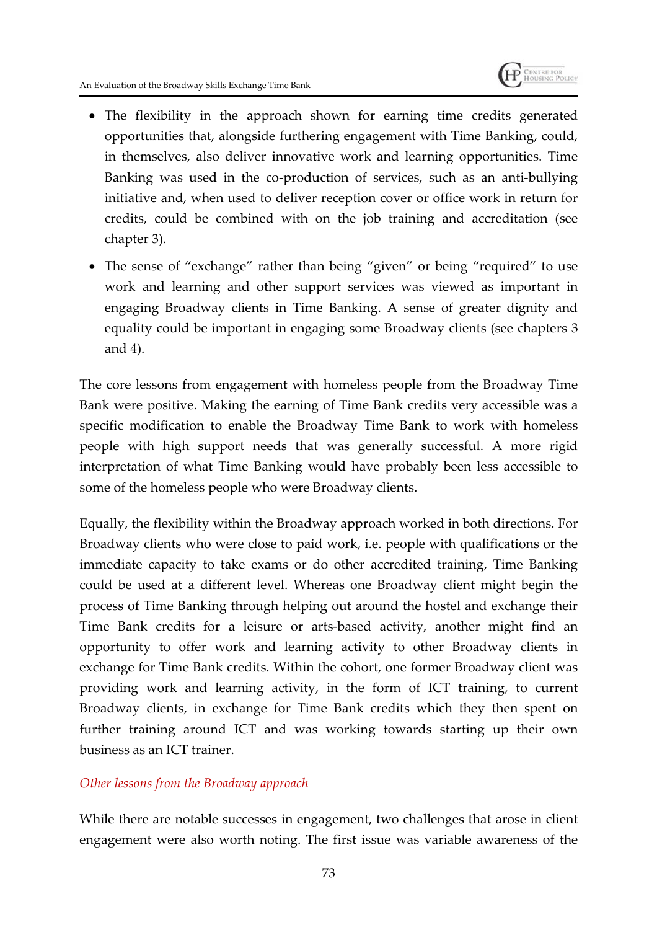

- The flexibility in the approach shown for earning time credits generated opportunities that, alongside furthering engagement with Time Banking, could, in themselves, also deliver innovative work and learning opportunities. Time Banking was used in the co-production of services, such as an anti-bullying initiative and, when used to deliver reception cover or office work in return for credits, could be combined with on the job training and accreditation (see chapter 3).
- The sense of "exchange" rather than being "given" or being "required" to use work and learning and other support services was viewed as important in engaging Broadway clients in Time Banking. A sense of greater dignity and equality could be important in engaging some Broadway clients (see chapters 3 and 4).

The core lessons from engagement with homeless people from the Broadway Time Bank were positive. Making the earning of Time Bank credits very accessible was a specific modification to enable the Broadway Time Bank to work with homeless people with high support needs that was generally successful. A more rigid interpretation of what Time Banking would have probably been less accessible to some of the homeless people who were Broadway clients.

Equally, the flexibility within the Broadway approach worked in both directions. For Broadway clients who were close to paid work, i.e. people with qualifications or the immediate capacity to take exams or do other accredited training, Time Banking could be used at a different level. Whereas one Broadway client might begin the process of Time Banking through helping out around the hostel and exchange their Time Bank credits for a leisure or arts-based activity, another might find an opportunity to offer work and learning activity to other Broadway clients in exchange for Time Bank credits. Within the cohort, one former Broadway client was providing work and learning activity, in the form of ICT training, to current Broadway clients, in exchange for Time Bank credits which they then spent on further training around ICT and was working towards starting up their own business as an ICT trainer.

#### *Other lessons from the Broadway approach*

While there are notable successes in engagement, two challenges that arose in client engagement were also worth noting. The first issue was variable awareness of the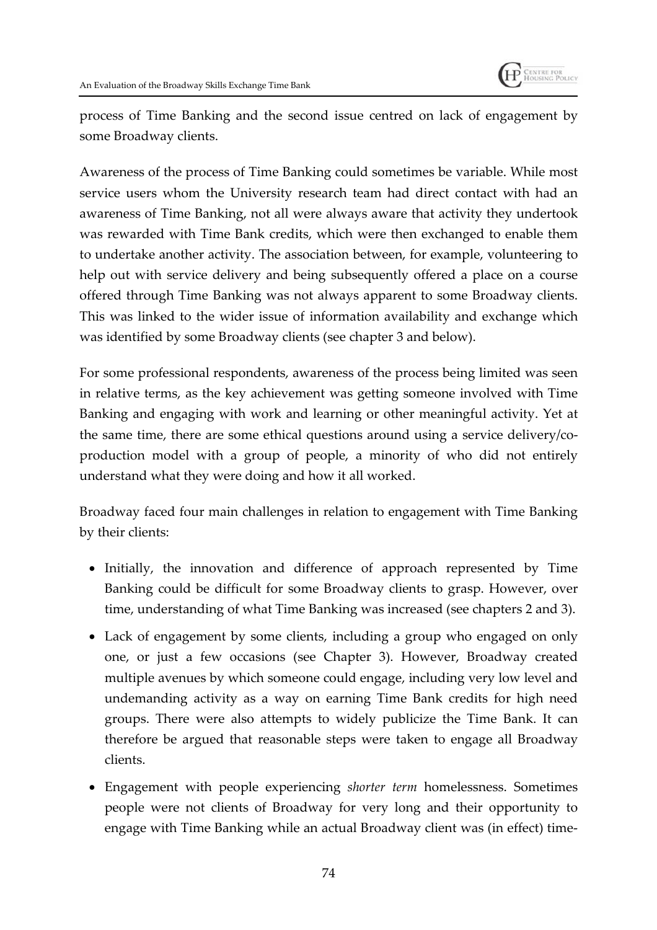

process of Time Banking and the second issue centred on lack of engagement by some Broadway clients.

Awareness of the process of Time Banking could sometimes be variable. While most service users whom the University research team had direct contact with had an awareness of Time Banking, not all were always aware that activity they undertook was rewarded with Time Bank credits, which were then exchanged to enable them to undertake another activity. The association between, for example, volunteering to help out with service delivery and being subsequently offered a place on a course offered through Time Banking was not always apparent to some Broadway clients. This was linked to the wider issue of information availability and exchange which was identified by some Broadway clients (see chapter 3 and below).

For some professional respondents, awareness of the process being limited was seen in relative terms, as the key achievement was getting someone involved with Time Banking and engaging with work and learning or other meaningful activity. Yet at the same time, there are some ethical questions around using a service delivery/coproduction model with a group of people, a minority of who did not entirely understand what they were doing and how it all worked.

Broadway faced four main challenges in relation to engagement with Time Banking by their clients:

- Initially, the innovation and difference of approach represented by Time Banking could be difficult for some Broadway clients to grasp. However, over time, understanding of what Time Banking was increased (see chapters 2 and 3).
- Lack of engagement by some clients, including a group who engaged on only one, or just a few occasions (see Chapter 3). However, Broadway created multiple avenues by which someone could engage, including very low level and undemanding activity as a way on earning Time Bank credits for high need groups. There were also attempts to widely publicize the Time Bank. It can therefore be argued that reasonable steps were taken to engage all Broadway clients.
- Engagement with people experiencing *shorter term* homelessness. Sometimes people were not clients of Broadway for very long and their opportunity to engage with Time Banking while an actual Broadway client was (in effect) time-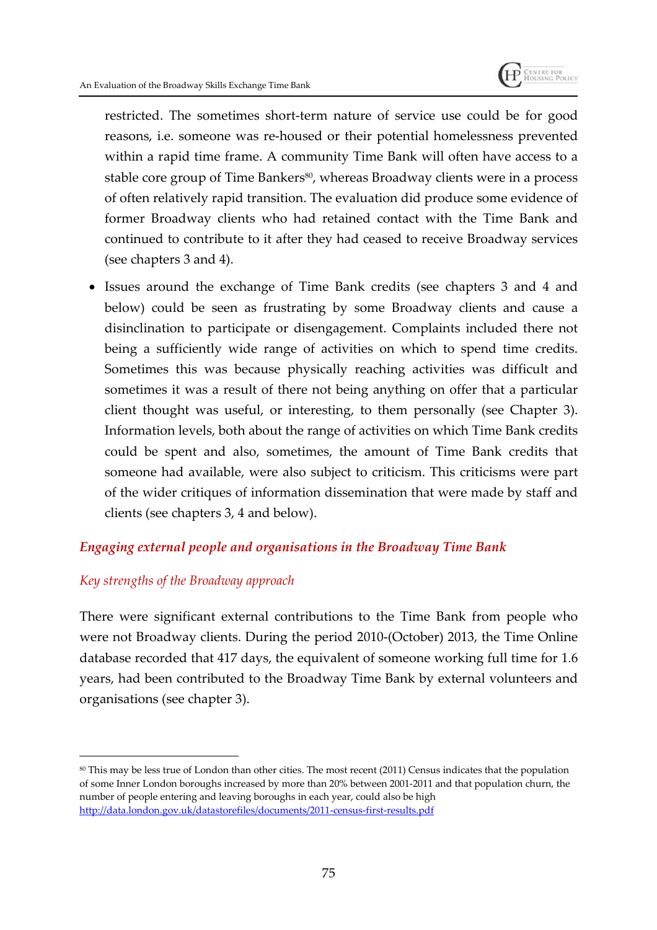

restricted. The sometimes short-term nature of service use could be for good reasons, i.e. someone was re-housed or their potential homelessness prevented within a rapid time frame. A community Time Bank will often have access to a stable core group of Time Bankers<sup>80</sup>, whereas Broadway clients were in a process of often relatively rapid transition. The evaluation did produce some evidence of former Broadway clients who had retained contact with the Time Bank and continued to contribute to it after they had ceased to receive Broadway services (see chapters 3 and 4).

 Issues around the exchange of Time Bank credits (see chapters 3 and 4 and below) could be seen as frustrating by some Broadway clients and cause a disinclination to participate or disengagement. Complaints included there not being a sufficiently wide range of activities on which to spend time credits. Sometimes this was because physically reaching activities was difficult and sometimes it was a result of there not being anything on offer that a particular client thought was useful, or interesting, to them personally (see Chapter 3). Information levels, both about the range of activities on which Time Bank credits could be spent and also, sometimes, the amount of Time Bank credits that someone had available, were also subject to criticism. This criticisms were part of the wider critiques of information dissemination that were made by staff and clients (see chapters 3, 4 and below).

## *Engaging external people and organisations in the Broadway Time Bank*

#### *Key strengths of the Broadway approach*

There were significant external contributions to the Time Bank from people who were not Broadway clients. During the period 2010-(October) 2013, the Time Online database recorded that 417 days, the equivalent of someone working full time for 1.6 years, had been contributed to the Broadway Time Bank by external volunteers and organisations (see chapter 3).

<sup>80</sup> This may be less true of London than other cities. The most recent (2011) Census indicates that the population of some Inner London boroughs increased by more than 20% between 2001-2011 and that population churn, the number of people entering and leaving boroughs in each year, could also be high http://data.london.gov.uk/datastorefiles/documents/2011-census-first-results.pdf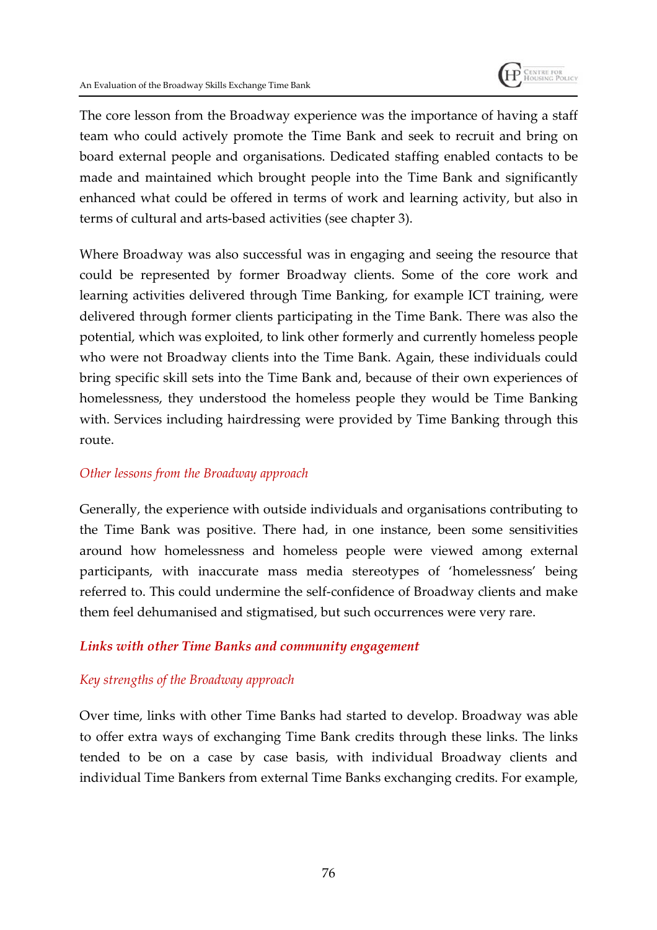

The core lesson from the Broadway experience was the importance of having a staff team who could actively promote the Time Bank and seek to recruit and bring on board external people and organisations. Dedicated staffing enabled contacts to be made and maintained which brought people into the Time Bank and significantly enhanced what could be offered in terms of work and learning activity, but also in terms of cultural and arts-based activities (see chapter 3).

Where Broadway was also successful was in engaging and seeing the resource that could be represented by former Broadway clients. Some of the core work and learning activities delivered through Time Banking, for example ICT training, were delivered through former clients participating in the Time Bank. There was also the potential, which was exploited, to link other formerly and currently homeless people who were not Broadway clients into the Time Bank. Again, these individuals could bring specific skill sets into the Time Bank and, because of their own experiences of homelessness, they understood the homeless people they would be Time Banking with. Services including hairdressing were provided by Time Banking through this route.

## *Other lessons from the Broadway approach*

Generally, the experience with outside individuals and organisations contributing to the Time Bank was positive. There had, in one instance, been some sensitivities around how homelessness and homeless people were viewed among external participants, with inaccurate mass media stereotypes of 'homelessness' being referred to. This could undermine the self-confidence of Broadway clients and make them feel dehumanised and stigmatised, but such occurrences were very rare.

## *Links with other Time Banks and community engagement*

## *Key strengths of the Broadway approach*

Over time, links with other Time Banks had started to develop. Broadway was able to offer extra ways of exchanging Time Bank credits through these links. The links tended to be on a case by case basis, with individual Broadway clients and individual Time Bankers from external Time Banks exchanging credits. For example,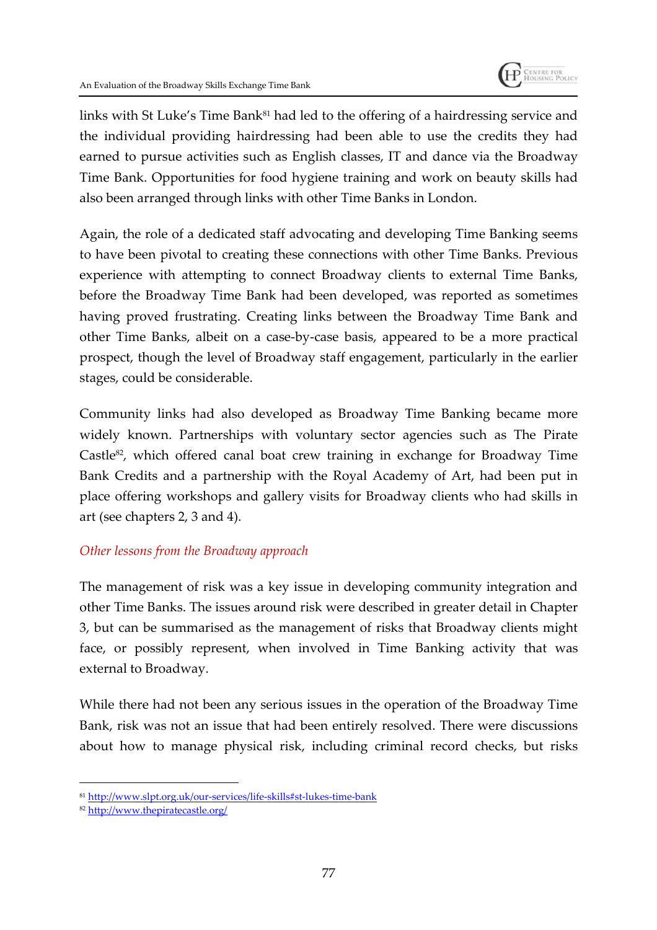

links with St Luke's Time Bank<sup>81</sup> had led to the offering of a hairdressing service and the individual providing hairdressing had been able to use the credits they had earned to pursue activities such as English classes, IT and dance via the Broadway Time Bank. Opportunities for food hygiene training and work on beauty skills had also been arranged through links with other Time Banks in London.

Again, the role of a dedicated staff advocating and developing Time Banking seems to have been pivotal to creating these connections with other Time Banks. Previous experience with attempting to connect Broadway clients to external Time Banks, before the Broadway Time Bank had been developed, was reported as sometimes having proved frustrating. Creating links between the Broadway Time Bank and other Time Banks, albeit on a case-by-case basis, appeared to be a more practical prospect, though the level of Broadway staff engagement, particularly in the earlier stages, could be considerable.

Community links had also developed as Broadway Time Banking became more widely known. Partnerships with voluntary sector agencies such as The Pirate Castle<sup>82</sup>, which offered canal boat crew training in exchange for Broadway Time Bank Credits and a partnership with the Royal Academy of Art, had been put in place offering workshops and gallery visits for Broadway clients who had skills in art (see chapters 2, 3 and 4).

## *Other lessons from the Broadway approach*

The management of risk was a key issue in developing community integration and other Time Banks. The issues around risk were described in greater detail in Chapter 3, but can be summarised as the management of risks that Broadway clients might face, or possibly represent, when involved in Time Banking activity that was external to Broadway.

While there had not been any serious issues in the operation of the Broadway Time Bank, risk was not an issue that had been entirely resolved. There were discussions about how to manage physical risk, including criminal record checks, but risks

<sup>81</sup> http://www.slpt.org.uk/our-services/life-skills#st-lukes-time-bank

<sup>82</sup> http://www.thepiratecastle.org/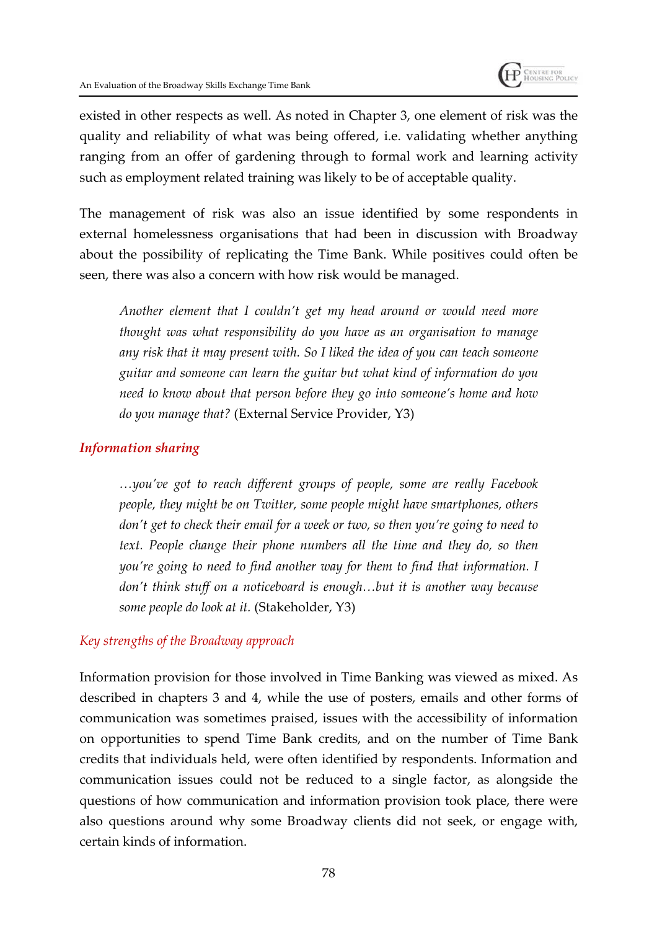

existed in other respects as well. As noted in Chapter 3, one element of risk was the quality and reliability of what was being offered, i.e. validating whether anything ranging from an offer of gardening through to formal work and learning activity such as employment related training was likely to be of acceptable quality.

The management of risk was also an issue identified by some respondents in external homelessness organisations that had been in discussion with Broadway about the possibility of replicating the Time Bank. While positives could often be seen, there was also a concern with how risk would be managed.

*Another element that I couldn't get my head around or would need more thought was what responsibility do you have as an organisation to manage any risk that it may present with. So I liked the idea of you can teach someone guitar and someone can learn the guitar but what kind of information do you need to know about that person before they go into someone's home and how do you manage that?* (External Service Provider, Y3)

#### *Information sharing*

*…you've got to reach different groups of people, some are really Facebook people, they might be on Twitter, some people might have smartphones, others don't get to check their email for a week or two, so then you're going to need to text. People change their phone numbers all the time and they do, so then you're going to need to find another way for them to find that information. I don't think stuff on a noticeboard is enough…but it is another way because some people do look at it.* (Stakeholder, Y3)

#### *Key strengths of the Broadway approach*

Information provision for those involved in Time Banking was viewed as mixed. As described in chapters 3 and 4, while the use of posters, emails and other forms of communication was sometimes praised, issues with the accessibility of information on opportunities to spend Time Bank credits, and on the number of Time Bank credits that individuals held, were often identified by respondents. Information and communication issues could not be reduced to a single factor, as alongside the questions of how communication and information provision took place, there were also questions around why some Broadway clients did not seek, or engage with, certain kinds of information.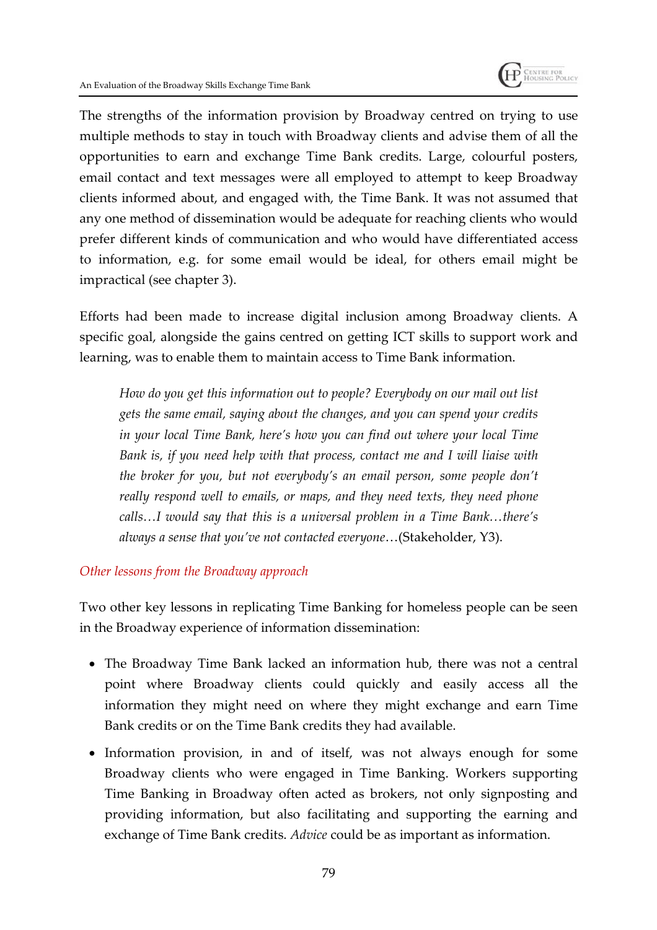

The strengths of the information provision by Broadway centred on trying to use multiple methods to stay in touch with Broadway clients and advise them of all the opportunities to earn and exchange Time Bank credits. Large, colourful posters, email contact and text messages were all employed to attempt to keep Broadway clients informed about, and engaged with, the Time Bank. It was not assumed that any one method of dissemination would be adequate for reaching clients who would prefer different kinds of communication and who would have differentiated access to information, e.g. for some email would be ideal, for others email might be impractical (see chapter 3).

Efforts had been made to increase digital inclusion among Broadway clients. A specific goal, alongside the gains centred on getting ICT skills to support work and learning, was to enable them to maintain access to Time Bank information.

*How do you get this information out to people? Everybody on our mail out list gets the same email, saying about the changes, and you can spend your credits in your local Time Bank, here's how you can find out where your local Time Bank is, if you need help with that process, contact me and I will liaise with the broker for you, but not everybody's an email person, some people don't really respond well to emails, or maps, and they need texts, they need phone calls…I would say that this is a universal problem in a Time Bank…there's always a sense that you've not contacted everyone*…(Stakeholder, Y3).

#### *Other lessons from the Broadway approach*

Two other key lessons in replicating Time Banking for homeless people can be seen in the Broadway experience of information dissemination:

- The Broadway Time Bank lacked an information hub, there was not a central point where Broadway clients could quickly and easily access all the information they might need on where they might exchange and earn Time Bank credits or on the Time Bank credits they had available.
- Information provision, in and of itself, was not always enough for some Broadway clients who were engaged in Time Banking. Workers supporting Time Banking in Broadway often acted as brokers, not only signposting and providing information, but also facilitating and supporting the earning and exchange of Time Bank credits. *Advice* could be as important as information.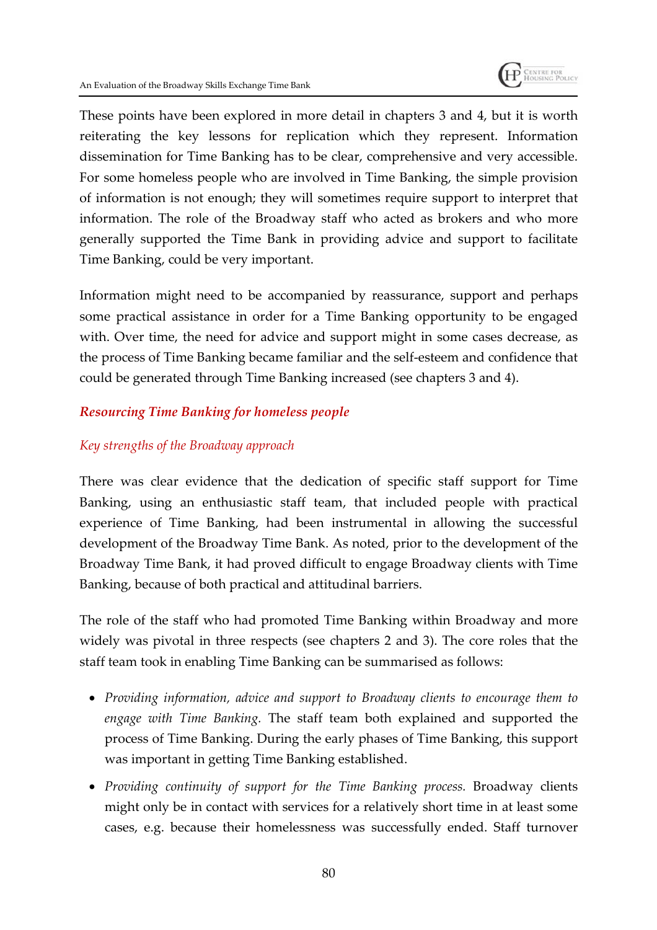

These points have been explored in more detail in chapters 3 and 4, but it is worth reiterating the key lessons for replication which they represent. Information dissemination for Time Banking has to be clear, comprehensive and very accessible. For some homeless people who are involved in Time Banking, the simple provision of information is not enough; they will sometimes require support to interpret that information. The role of the Broadway staff who acted as brokers and who more generally supported the Time Bank in providing advice and support to facilitate Time Banking, could be very important.

Information might need to be accompanied by reassurance, support and perhaps some practical assistance in order for a Time Banking opportunity to be engaged with. Over time, the need for advice and support might in some cases decrease, as the process of Time Banking became familiar and the self-esteem and confidence that could be generated through Time Banking increased (see chapters 3 and 4).

## *Resourcing Time Banking for homeless people*

## *Key strengths of the Broadway approach*

There was clear evidence that the dedication of specific staff support for Time Banking, using an enthusiastic staff team, that included people with practical experience of Time Banking, had been instrumental in allowing the successful development of the Broadway Time Bank. As noted, prior to the development of the Broadway Time Bank, it had proved difficult to engage Broadway clients with Time Banking, because of both practical and attitudinal barriers.

The role of the staff who had promoted Time Banking within Broadway and more widely was pivotal in three respects (see chapters 2 and 3). The core roles that the staff team took in enabling Time Banking can be summarised as follows:

- *Providing information, advice and support to Broadway clients to encourage them to engage with Time Banking.* The staff team both explained and supported the process of Time Banking. During the early phases of Time Banking, this support was important in getting Time Banking established.
- *Providing continuity of support for the Time Banking process.* Broadway clients might only be in contact with services for a relatively short time in at least some cases, e.g. because their homelessness was successfully ended. Staff turnover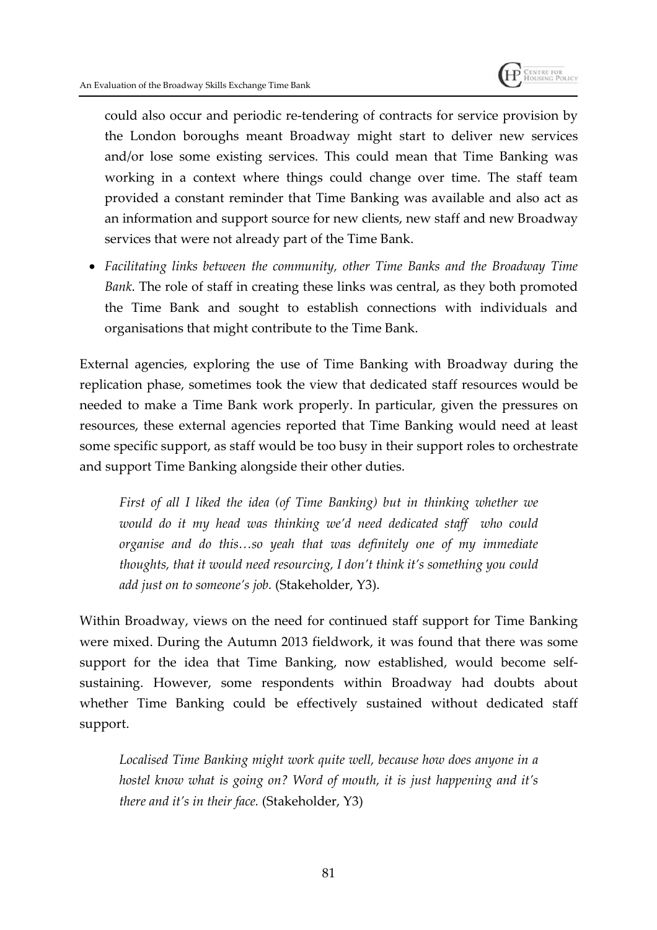

could also occur and periodic re-tendering of contracts for service provision by the London boroughs meant Broadway might start to deliver new services and/or lose some existing services. This could mean that Time Banking was working in a context where things could change over time. The staff team provided a constant reminder that Time Banking was available and also act as an information and support source for new clients, new staff and new Broadway services that were not already part of the Time Bank.

 *Facilitating links between the community, other Time Banks and the Broadway Time Bank*. The role of staff in creating these links was central, as they both promoted the Time Bank and sought to establish connections with individuals and organisations that might contribute to the Time Bank.

External agencies, exploring the use of Time Banking with Broadway during the replication phase, sometimes took the view that dedicated staff resources would be needed to make a Time Bank work properly. In particular, given the pressures on resources, these external agencies reported that Time Banking would need at least some specific support, as staff would be too busy in their support roles to orchestrate and support Time Banking alongside their other duties.

*First of all I liked the idea (of Time Banking) but in thinking whether we would do it my head was thinking we'd need dedicated staff who could organise and do this…so yeah that was definitely one of my immediate thoughts, that it would need resourcing, I don't think it's something you could add just on to someone's job.* (Stakeholder, Y3).

Within Broadway, views on the need for continued staff support for Time Banking were mixed. During the Autumn 2013 fieldwork, it was found that there was some support for the idea that Time Banking, now established, would become selfsustaining. However, some respondents within Broadway had doubts about whether Time Banking could be effectively sustained without dedicated staff support.

*Localised Time Banking might work quite well, because how does anyone in a hostel know what is going on? Word of mouth, it is just happening and it's there and it's in their face.* (Stakeholder, Y3)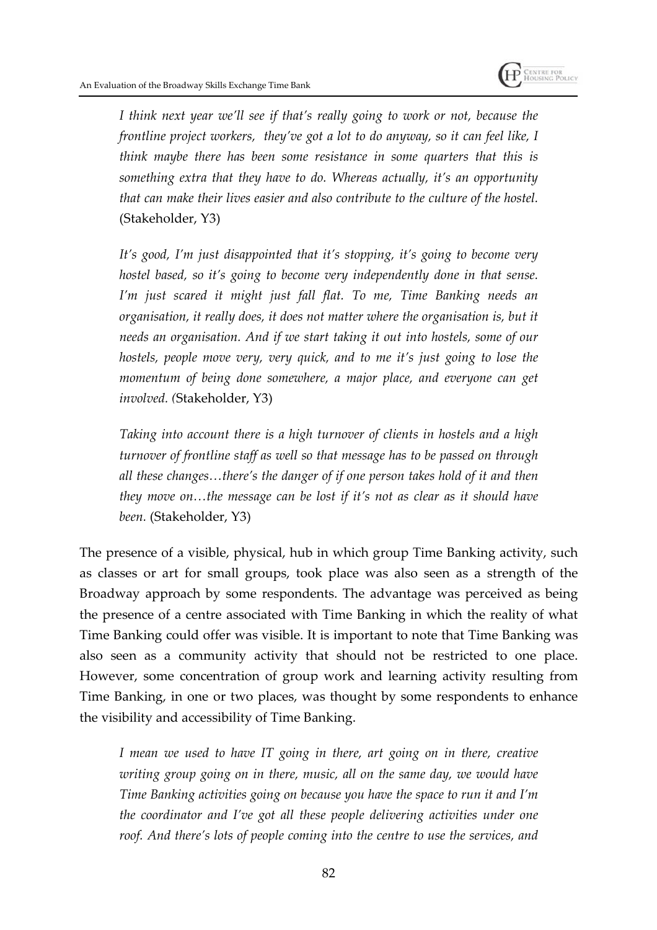

*I think next year we'll see if that's really going to work or not, because the frontline project workers, they've got a lot to do anyway, so it can feel like, I think maybe there has been some resistance in some quarters that this is something extra that they have to do. Whereas actually, it's an opportunity that can make their lives easier and also contribute to the culture of the hostel.* (Stakeholder, Y3)

*It's good, I'm just disappointed that it's stopping, it's going to become very hostel based, so it's going to become very independently done in that sense. I'm just scared it might just fall flat. To me, Time Banking needs an organisation, it really does, it does not matter where the organisation is, but it needs an organisation. And if we start taking it out into hostels, some of our hostels, people move very, very quick, and to me it's just going to lose the momentum of being done somewhere, a major place, and everyone can get involved. (*Stakeholder, Y3)

*Taking into account there is a high turnover of clients in hostels and a high turnover of frontline staff as well so that message has to be passed on through all these changes…there's the danger of if one person takes hold of it and then they move on…the message can be lost if it's not as clear as it should have been.* (Stakeholder, Y3)

The presence of a visible, physical, hub in which group Time Banking activity, such as classes or art for small groups, took place was also seen as a strength of the Broadway approach by some respondents. The advantage was perceived as being the presence of a centre associated with Time Banking in which the reality of what Time Banking could offer was visible. It is important to note that Time Banking was also seen as a community activity that should not be restricted to one place. However, some concentration of group work and learning activity resulting from Time Banking, in one or two places, was thought by some respondents to enhance the visibility and accessibility of Time Banking.

*I mean we used to have IT going in there, art going on in there, creative writing group going on in there, music, all on the same day, we would have Time Banking activities going on because you have the space to run it and I'm the coordinator and I've got all these people delivering activities under one roof. And there's lots of people coming into the centre to use the services, and*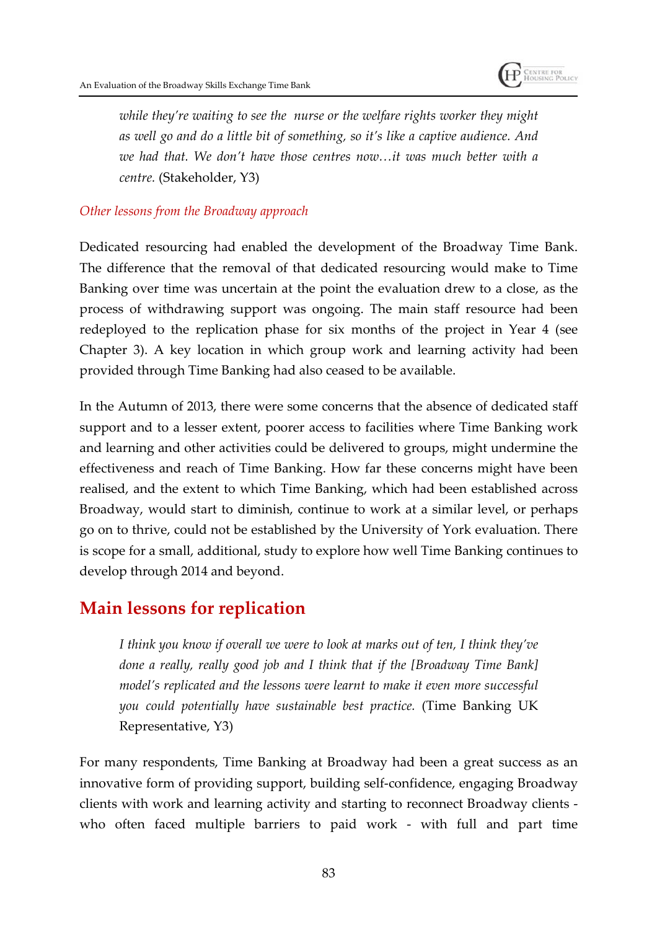

*while they're waiting to see the nurse or the welfare rights worker they might as well go and do a little bit of something, so it's like a captive audience. And we had that. We don't have those centres now…it was much better with a centre.* (Stakeholder, Y3)

#### *Other lessons from the Broadway approach*

Dedicated resourcing had enabled the development of the Broadway Time Bank. The difference that the removal of that dedicated resourcing would make to Time Banking over time was uncertain at the point the evaluation drew to a close, as the process of withdrawing support was ongoing. The main staff resource had been redeployed to the replication phase for six months of the project in Year 4 (see Chapter 3). A key location in which group work and learning activity had been provided through Time Banking had also ceased to be available.

In the Autumn of 2013, there were some concerns that the absence of dedicated staff support and to a lesser extent, poorer access to facilities where Time Banking work and learning and other activities could be delivered to groups, might undermine the effectiveness and reach of Time Banking. How far these concerns might have been realised, and the extent to which Time Banking, which had been established across Broadway, would start to diminish, continue to work at a similar level, or perhaps go on to thrive, could not be established by the University of York evaluation. There is scope for a small, additional, study to explore how well Time Banking continues to develop through 2014 and beyond.

## **Main lessons for replication**

*I think you know if overall we were to look at marks out of ten, I think they've done a really, really good job and I think that if the [Broadway Time Bank] model's replicated and the lessons were learnt to make it even more successful you could potentially have sustainable best practice.* (Time Banking UK Representative, Y3)

For many respondents, Time Banking at Broadway had been a great success as an innovative form of providing support, building self-confidence, engaging Broadway clients with work and learning activity and starting to reconnect Broadway clients who often faced multiple barriers to paid work - with full and part time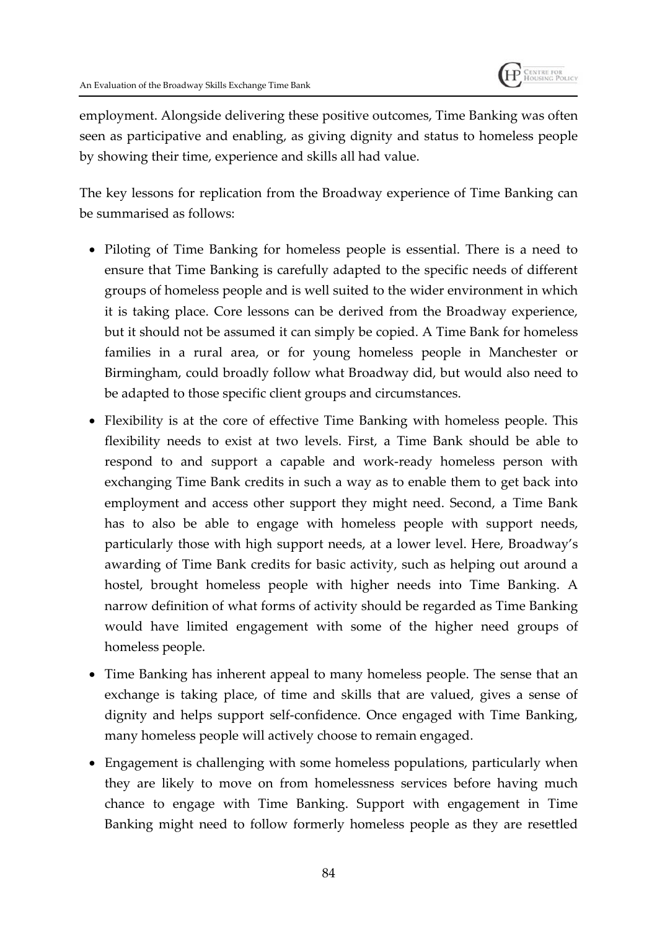

employment. Alongside delivering these positive outcomes, Time Banking was often seen as participative and enabling, as giving dignity and status to homeless people by showing their time, experience and skills all had value.

The key lessons for replication from the Broadway experience of Time Banking can be summarised as follows:

- Piloting of Time Banking for homeless people is essential. There is a need to ensure that Time Banking is carefully adapted to the specific needs of different groups of homeless people and is well suited to the wider environment in which it is taking place. Core lessons can be derived from the Broadway experience, but it should not be assumed it can simply be copied. A Time Bank for homeless families in a rural area, or for young homeless people in Manchester or Birmingham, could broadly follow what Broadway did, but would also need to be adapted to those specific client groups and circumstances.
- Flexibility is at the core of effective Time Banking with homeless people. This flexibility needs to exist at two levels. First, a Time Bank should be able to respond to and support a capable and work-ready homeless person with exchanging Time Bank credits in such a way as to enable them to get back into employment and access other support they might need. Second, a Time Bank has to also be able to engage with homeless people with support needs, particularly those with high support needs, at a lower level. Here, Broadway's awarding of Time Bank credits for basic activity, such as helping out around a hostel, brought homeless people with higher needs into Time Banking. A narrow definition of what forms of activity should be regarded as Time Banking would have limited engagement with some of the higher need groups of homeless people.
- Time Banking has inherent appeal to many homeless people. The sense that an exchange is taking place, of time and skills that are valued, gives a sense of dignity and helps support self-confidence. Once engaged with Time Banking, many homeless people will actively choose to remain engaged.
- Engagement is challenging with some homeless populations, particularly when they are likely to move on from homelessness services before having much chance to engage with Time Banking. Support with engagement in Time Banking might need to follow formerly homeless people as they are resettled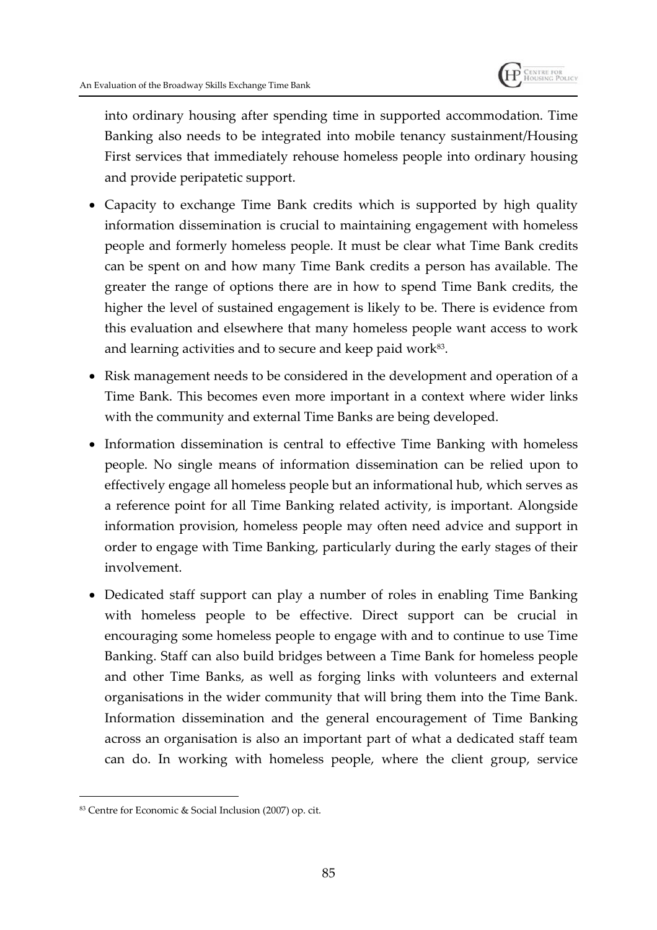

into ordinary housing after spending time in supported accommodation. Time Banking also needs to be integrated into mobile tenancy sustainment/Housing First services that immediately rehouse homeless people into ordinary housing and provide peripatetic support.

- Capacity to exchange Time Bank credits which is supported by high quality information dissemination is crucial to maintaining engagement with homeless people and formerly homeless people. It must be clear what Time Bank credits can be spent on and how many Time Bank credits a person has available. The greater the range of options there are in how to spend Time Bank credits, the higher the level of sustained engagement is likely to be. There is evidence from this evaluation and elsewhere that many homeless people want access to work and learning activities and to secure and keep paid work $^{83}$ .
- Risk management needs to be considered in the development and operation of a Time Bank. This becomes even more important in a context where wider links with the community and external Time Banks are being developed.
- Information dissemination is central to effective Time Banking with homeless people. No single means of information dissemination can be relied upon to effectively engage all homeless people but an informational hub, which serves as a reference point for all Time Banking related activity, is important. Alongside information provision, homeless people may often need advice and support in order to engage with Time Banking, particularly during the early stages of their involvement.
- Dedicated staff support can play a number of roles in enabling Time Banking with homeless people to be effective. Direct support can be crucial in encouraging some homeless people to engage with and to continue to use Time Banking. Staff can also build bridges between a Time Bank for homeless people and other Time Banks, as well as forging links with volunteers and external organisations in the wider community that will bring them into the Time Bank. Information dissemination and the general encouragement of Time Banking across an organisation is also an important part of what a dedicated staff team can do. In working with homeless people, where the client group, service

<sup>83</sup> Centre for Economic & Social Inclusion (2007) op. cit.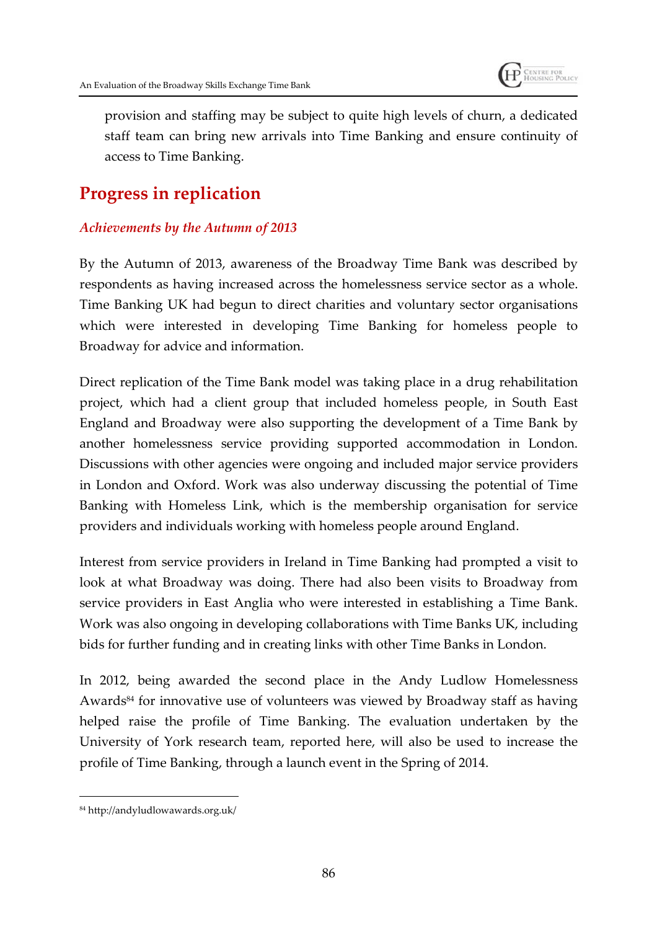

provision and staffing may be subject to quite high levels of churn, a dedicated staff team can bring new arrivals into Time Banking and ensure continuity of access to Time Banking.

# **Progress in replication**

## *Achievements by the Autumn of 2013*

By the Autumn of 2013, awareness of the Broadway Time Bank was described by respondents as having increased across the homelessness service sector as a whole. Time Banking UK had begun to direct charities and voluntary sector organisations which were interested in developing Time Banking for homeless people to Broadway for advice and information.

Direct replication of the Time Bank model was taking place in a drug rehabilitation project, which had a client group that included homeless people, in South East England and Broadway were also supporting the development of a Time Bank by another homelessness service providing supported accommodation in London. Discussions with other agencies were ongoing and included major service providers in London and Oxford. Work was also underway discussing the potential of Time Banking with Homeless Link, which is the membership organisation for service providers and individuals working with homeless people around England.

Interest from service providers in Ireland in Time Banking had prompted a visit to look at what Broadway was doing. There had also been visits to Broadway from service providers in East Anglia who were interested in establishing a Time Bank. Work was also ongoing in developing collaborations with Time Banks UK, including bids for further funding and in creating links with other Time Banks in London.

In 2012, being awarded the second place in the Andy Ludlow Homelessness Awards<sup>84</sup> for innovative use of volunteers was viewed by Broadway staff as having helped raise the profile of Time Banking. The evaluation undertaken by the University of York research team, reported here, will also be used to increase the profile of Time Banking, through a launch event in the Spring of 2014.

<sup>84</sup> http://andyludlowawards.org.uk/